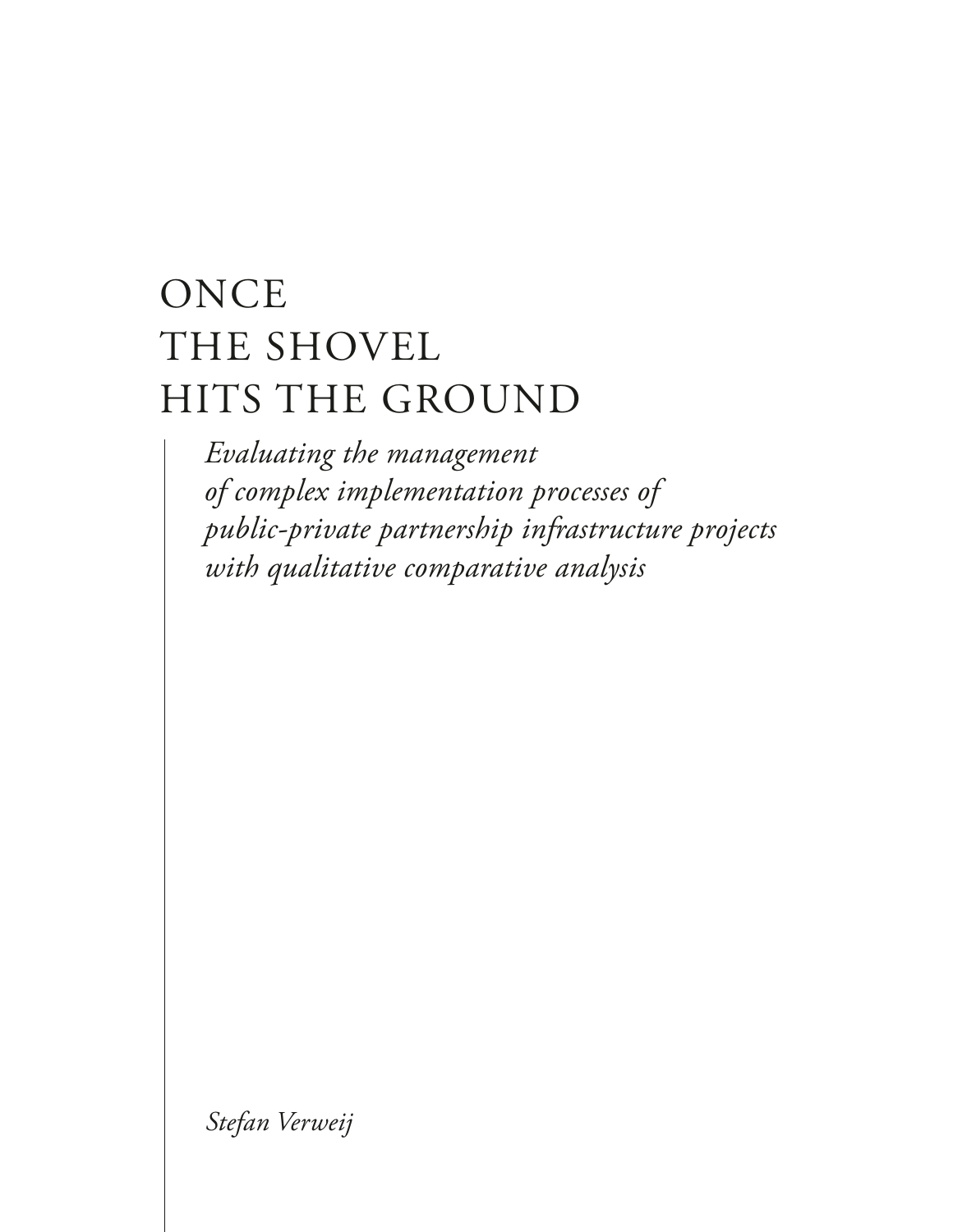# **ONCE** THE SHOVEL HITS THE GROUND

*Evaluating the management of complex implementation processes of public-private partnership infrastructure projects with qualitative comparative analysis*

*Stefan Verweij*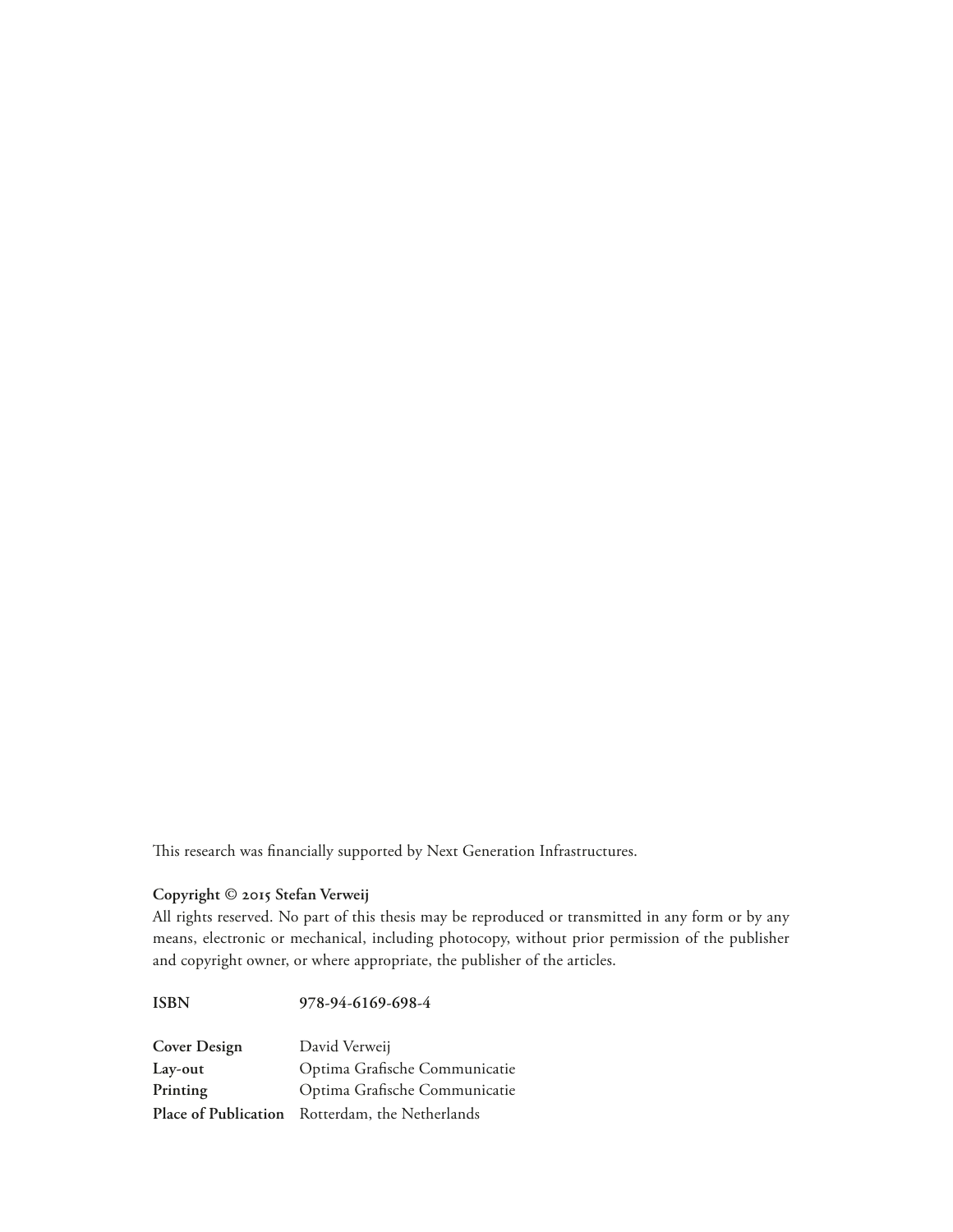This research was financially supported by Next Generation Infrastructures.

## **Copyright © 2015 Stefan Verweij**

All rights reserved. No part of this thesis may be reproduced or transmitted in any form or by any means, electronic or mechanical, including photocopy, without prior permission of the publisher and copyright owner, or where appropriate, the publisher of the articles.

**ISBN 978-94-6169-698-4**

| <b>Cover Design</b> | David Verweij                                   |
|---------------------|-------------------------------------------------|
| Lay-out             | Optima Grafische Communicatie                   |
| Printing            | Optima Grafische Communicatie                   |
|                     | Place of Publication Rotterdam, the Netherlands |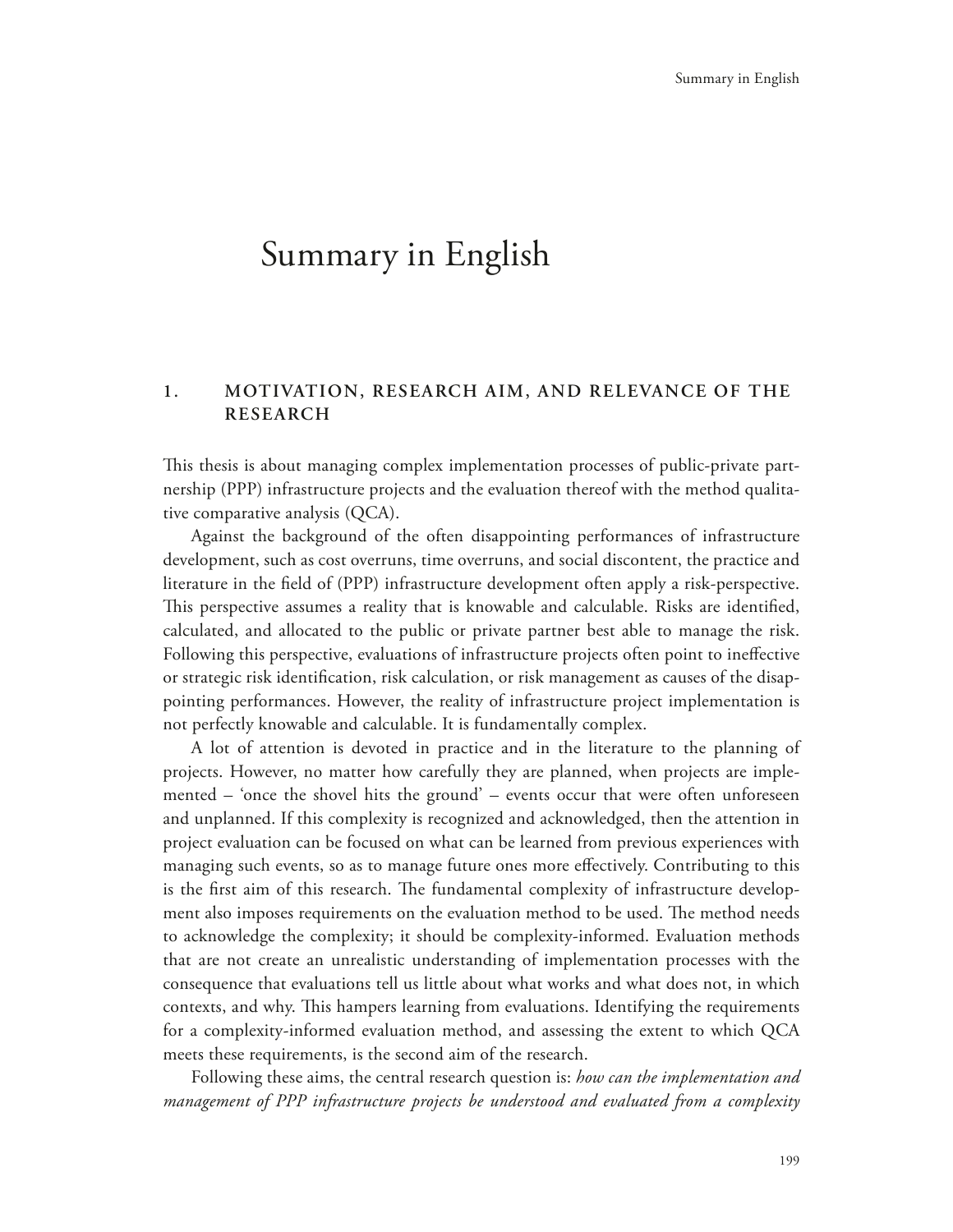# Summary in English

## **1. MOTIVATION, RESEARCH AIM, AND RELEVANCE OF THE RESEARCH**

This thesis is about managing complex implementation processes of public-private partnership (PPP) infrastructure projects and the evaluation thereof with the method qualitative comparative analysis (QCA).

Against the background of the often disappointing performances of infrastructure development, such as cost overruns, time overruns, and social discontent, the practice and literature in the field of (PPP) infrastructure development often apply a risk-perspective. This perspective assumes a reality that is knowable and calculable. Risks are identified, calculated, and allocated to the public or private partner best able to manage the risk. Following this perspective, evaluations of infrastructure projects often point to ineffective or strategic risk identification, risk calculation, or risk management as causes of the disappointing performances. However, the reality of infrastructure project implementation is not perfectly knowable and calculable. It is fundamentally complex.

A lot of attention is devoted in practice and in the literature to the planning of projects. However, no matter how carefully they are planned, when projects are implemented – 'once the shovel hits the ground' – events occur that were often unforeseen and unplanned. If this complexity is recognized and acknowledged, then the attention in project evaluation can be focused on what can be learned from previous experiences with managing such events, so as to manage future ones more effectively. Contributing to this is the first aim of this research. The fundamental complexity of infrastructure development also imposes requirements on the evaluation method to be used. The method needs to acknowledge the complexity; it should be complexity-informed. Evaluation methods that are not create an unrealistic understanding of implementation processes with the consequence that evaluations tell us little about what works and what does not, in which contexts, and why. This hampers learning from evaluations. Identifying the requirements for a complexity-informed evaluation method, and assessing the extent to which QCA meets these requirements, is the second aim of the research.

Following these aims, the central research question is: *how can the implementation and management of PPP infrastructure projects be understood and evaluated from a complexity*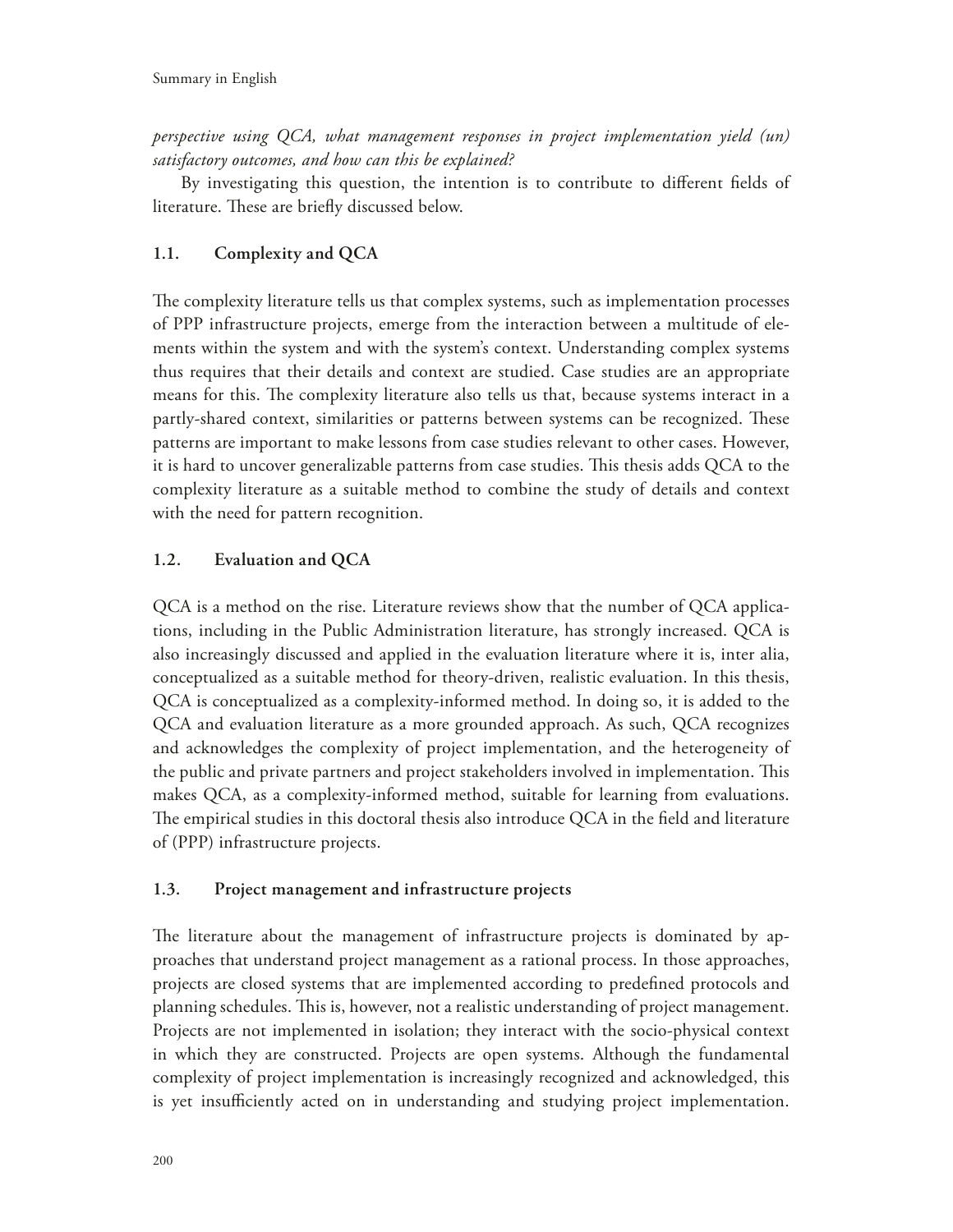*perspective using QCA, what management responses in project implementation yield (un) satisfactory outcomes, and how can this be explained?*

By investigating this question, the intention is to contribute to different fields of literature. These are briefly discussed below.

# **1.1. Complexity and QCA**

The complexity literature tells us that complex systems, such as implementation processes of PPP infrastructure projects, emerge from the interaction between a multitude of elements within the system and with the system's context. Understanding complex systems thus requires that their details and context are studied. Case studies are an appropriate means for this. The complexity literature also tells us that, because systems interact in a partly-shared context, similarities or patterns between systems can be recognized. These patterns are important to make lessons from case studies relevant to other cases. However, it is hard to uncover generalizable patterns from case studies. This thesis adds QCA to the complexity literature as a suitable method to combine the study of details and context with the need for pattern recognition.

# **1.2. Evaluation and QCA**

QCA is a method on the rise. Literature reviews show that the number of QCA applications, including in the Public Administration literature, has strongly increased. QCA is also increasingly discussed and applied in the evaluation literature where it is, inter alia, conceptualized as a suitable method for theory-driven, realistic evaluation. In this thesis, QCA is conceptualized as a complexity-informed method. In doing so, it is added to the QCA and evaluation literature as a more grounded approach. As such, QCA recognizes and acknowledges the complexity of project implementation, and the heterogeneity of the public and private partners and project stakeholders involved in implementation. This makes QCA, as a complexity-informed method, suitable for learning from evaluations. The empirical studies in this doctoral thesis also introduce QCA in the field and literature of (PPP) infrastructure projects.

# **1.3. Project management and infrastructure projects**

The literature about the management of infrastructure projects is dominated by approaches that understand project management as a rational process. In those approaches, projects are closed systems that are implemented according to predefined protocols and planning schedules. This is, however, not a realistic understanding of project management. Projects are not implemented in isolation; they interact with the socio-physical context in which they are constructed. Projects are open systems. Although the fundamental complexity of project implementation is increasingly recognized and acknowledged, this is yet insufficiently acted on in understanding and studying project implementation.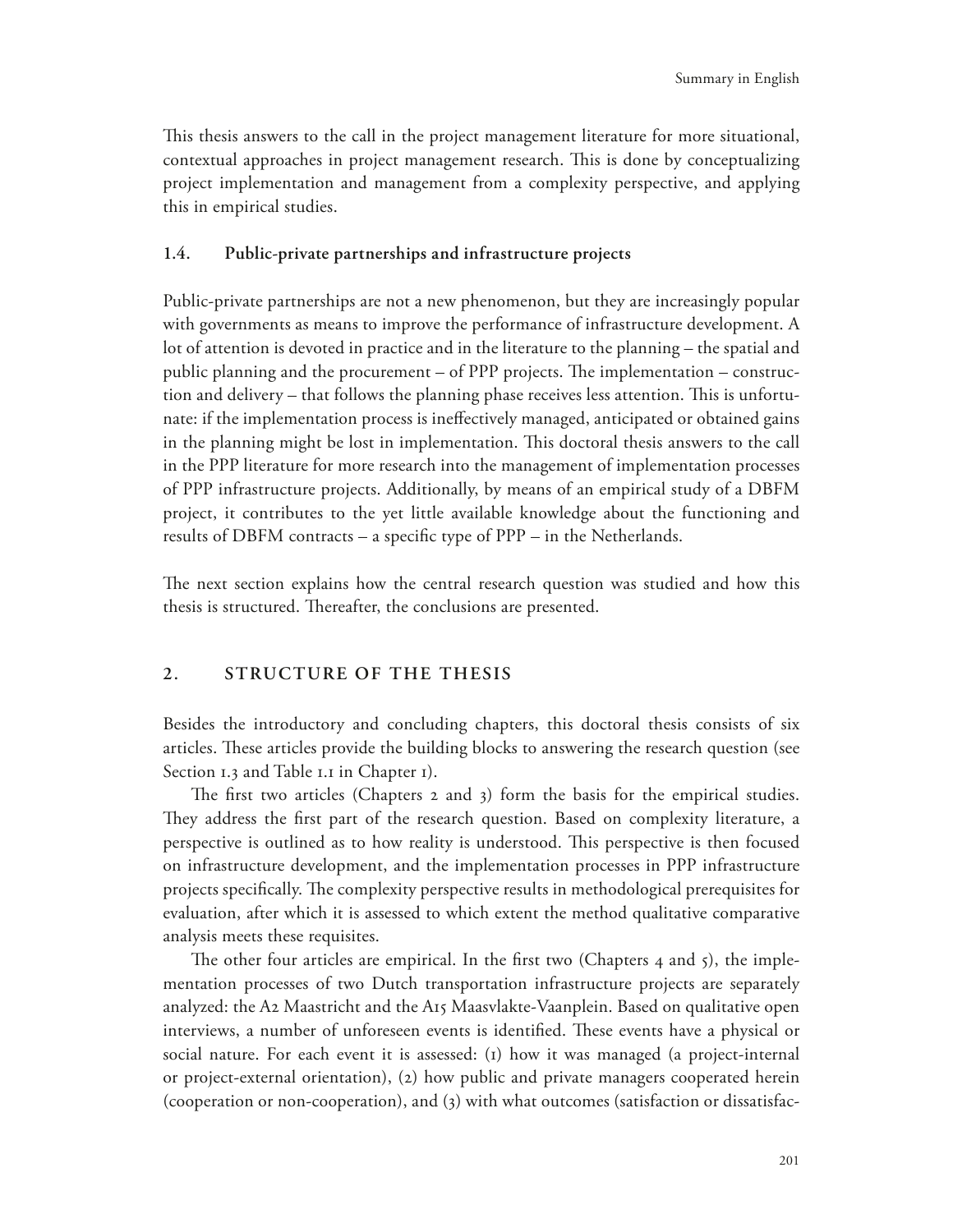This thesis answers to the call in the project management literature for more situational, contextual approaches in project management research. This is done by conceptualizing project implementation and management from a complexity perspective, and applying this in empirical studies.

#### **1.4. Public-private partnerships and infrastructure projects**

Public-private partnerships are not a new phenomenon, but they are increasingly popular with governments as means to improve the performance of infrastructure development. A lot of attention is devoted in practice and in the literature to the planning – the spatial and public planning and the procurement  $-$  of PPP projects. The implementation  $-$  construction and delivery – that follows the planning phase receives less attention. This is unfortunate: if the implementation process is ineffectively managed, anticipated or obtained gains in the planning might be lost in implementation. This doctoral thesis answers to the call in the PPP literature for more research into the management of implementation processes of PPP infrastructure projects. Additionally, by means of an empirical study of a DBFM project, it contributes to the yet little available knowledge about the functioning and results of DBFM contracts – a specific type of  $PPP - in$  the Netherlands.

The next section explains how the central research question was studied and how this thesis is structured. Thereafter, the conclusions are presented.

#### **2. STRUCTURE OF THE THESIS**

Besides the introductory and concluding chapters, this doctoral thesis consists of six articles. These articles provide the building blocks to answering the research question (see Section 1.3 and Table 1.1 in Chapter 1).

The first two articles (Chapters  $2$  and  $3$ ) form the basis for the empirical studies. They address the first part of the research question. Based on complexity literature, a perspective is outlined as to how reality is understood. This perspective is then focused on infrastructure development, and the implementation processes in PPP infrastructure projects specifically. The complexity perspective results in methodological prerequisites for evaluation, after which it is assessed to which extent the method qualitative comparative analysis meets these requisites.

The other four articles are empirical. In the first two (Chapters 4 and 5), the implementation processes of two Dutch transportation infrastructure projects are separately analyzed: the A2 Maastricht and the A15 Maasvlakte-Vaanplein. Based on qualitative open interviews, a number of unforeseen events is identified. These events have a physical or social nature. For each event it is assessed: (1) how it was managed (a project-internal or project-external orientation), (2) how public and private managers cooperated herein (cooperation or non-cooperation), and (3) with what outcomes (satisfaction or dissatisfac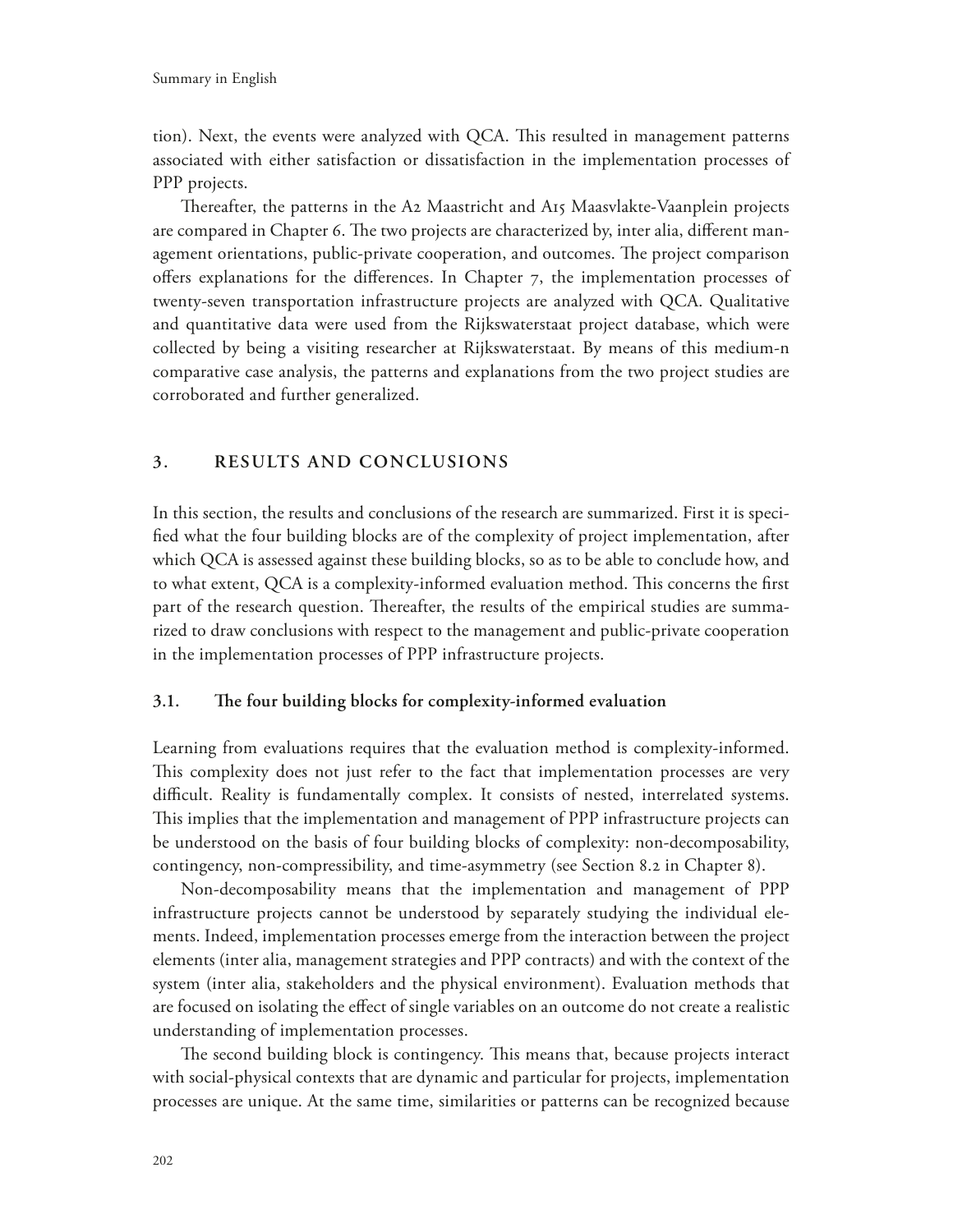tion). Next, the events were analyzed with QCA. This resulted in management patterns associated with either satisfaction or dissatisfaction in the implementation processes of PPP projects.

Thereafter, the patterns in the A2 Maastricht and  $A_1$ 5 Maasvlakte-Vaanplein projects are compared in Chapter 6. The two projects are characterized by, inter alia, different management orientations, public-private cooperation, and outcomes. The project comparison offers explanations for the differences. In Chapter  $7$ , the implementation processes of twenty-seven transportation infrastructure projects are analyzed with QCA. Qualitative and quantitative data were used from the Rijkswaterstaat project database, which were collected by being a visiting researcher at Rijkswaterstaat. By means of this medium-n comparative case analysis, the patterns and explanations from the two project studies are corroborated and further generalized.

#### **3. RESULTS AND CONCLUSIONS**

In this section, the results and conclusions of the research are summarized. First it is speci fied what the four building blocks are of the complexity of project implementation, after which QCA is assessed against these building blocks, so as to be able to conclude how, and to what extent, QCA is a complexity-informed evaluation method. This concerns the first part of the research question. Thereafter, the results of the empirical studies are summarized to draw conclusions with respect to the management and public-private cooperation in the implementation processes of PPP infrastructure projects.

#### **3.1.** The four building blocks for complexity-informed evaluation

Learning from evaluations requires that the evaluation method is complexity-informed. This complexity does not just refer to the fact that implementation processes are very difficult. Reality is fundamentally complex. It consists of nested, interrelated systems. This implies that the implementation and management of PPP infrastructure projects can be understood on the basis of four building blocks of complexity: non-decomposability, contingency, non-compressibility, and time-asymmetry (see Section 8.2 in Chapter 8).

Non-decomposability means that the implementation and management of PPP infrastructure projects cannot be understood by separately studying the individual elements. Indeed, implementation processes emerge from the interaction between the project elements (inter alia, management strategies and PPP contracts) and with the context of the system (inter alia, stakeholders and the physical environment). Evaluation methods that are focused on isolating the effect of single variables on an outcome do not create a realistic understanding of implementation processes.

The second building block is contingency. This means that, because projects interact with social-physical contexts that are dynamic and particular for projects, implementation processes are unique. At the same time, similarities or patterns can be recognized because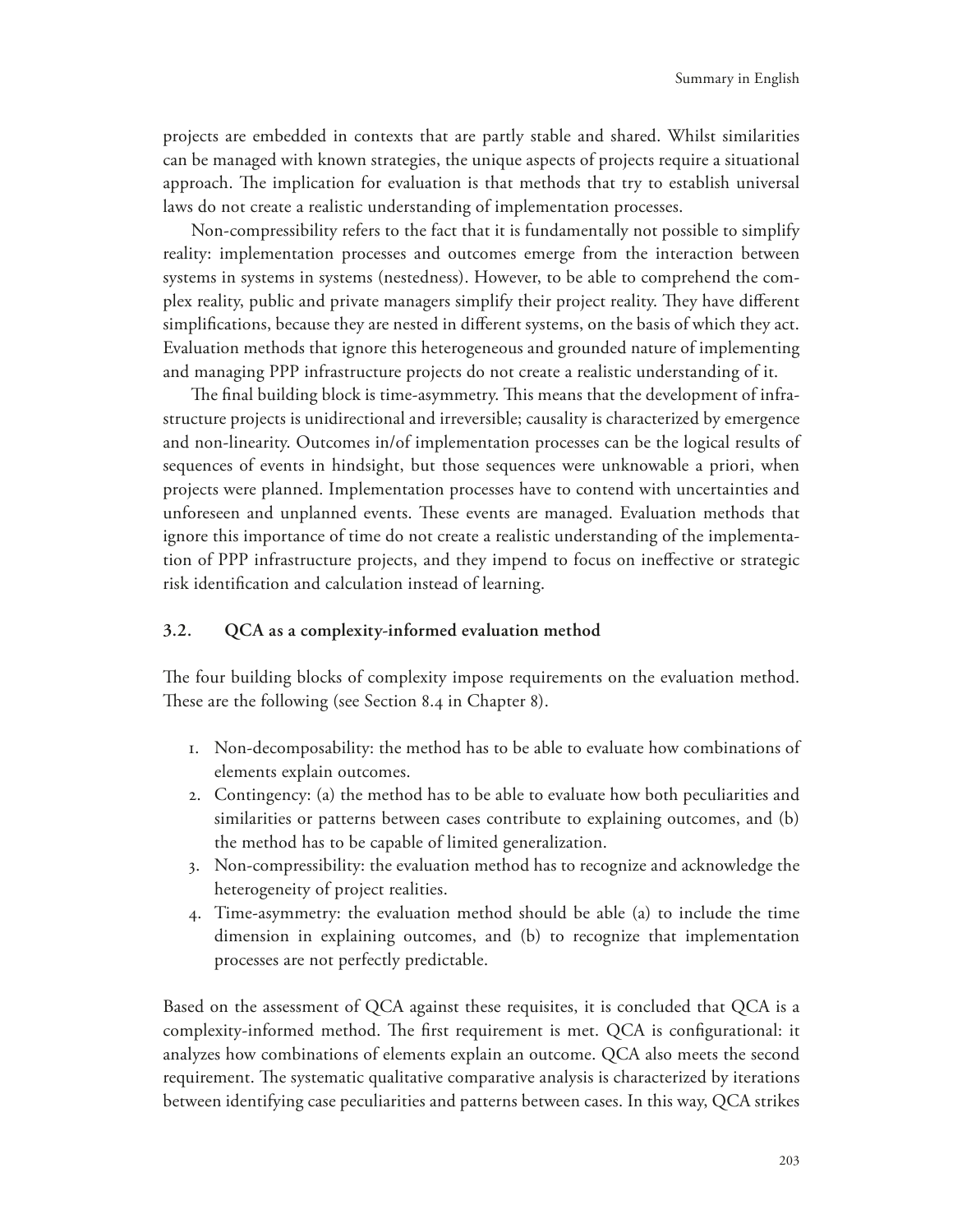projects are embedded in contexts that are partly stable and shared. Whilst similarities can be managed with known strategies, the unique aspects of projects require a situational approach. The implication for evaluation is that methods that try to establish universal laws do not create a realistic understanding of implementation processes.

Non-compressibility refers to the fact that it is fundamentally not possible to simplify reality: implementation processes and outcomes emerge from the interaction between systems in systems in systems (nestedness). However, to be able to comprehend the complex reality, public and private managers simplify their project reality. They have different simplifications, because they are nested in different systems, on the basis of which they act. Evaluation methods that ignore this heterogeneous and grounded nature of implementing and managing PPP infrastructure projects do not create a realistic understanding of it.

The final building block is time-asymmetry. This means that the development of infrastructure projects is unidirectional and irreversible; causality is characterized by emergence and non-linearity. Outcomes in/of implementation processes can be the logical results of sequences of events in hindsight, but those sequences were unknowable a priori, when projects were planned. Implementation processes have to contend with uncertainties and unforeseen and unplanned events. These events are managed. Evaluation methods that ignore this importance of time do not create a realistic understanding of the implementation of PPP infrastructure projects, and they impend to focus on ineffective or strategic risk identification and calculation instead of learning.

### **3.2. QCA as a complexity-informed evaluation method**

The four building blocks of complexity impose requirements on the evaluation method. These are the following (see Section 8.4 in Chapter 8).

- 1. Non-decomposability: the method has to be able to evaluate how combinations of elements explain outcomes.
- 2. Contingency: (a) the method has to be able to evaluate how both peculiarities and similarities or patterns between cases contribute to explaining outcomes, and (b) the method has to be capable of limited generalization.
- 3. Non-compressibility: the evaluation method has to recognize and acknowledge the heterogeneity of project realities.
- 4. Time-asymmetry: the evaluation method should be able (a) to include the time dimension in explaining outcomes, and (b) to recognize that implementation processes are not perfectly predictable.

Based on the assessment of QCA against these requisites, it is concluded that QCA is a complexity-informed method. The first requirement is met. QCA is configurational: it analyzes how combinations of elements explain an outcome. QCA also meets the second requirement. The systematic qualitative comparative analysis is characterized by iterations between identifying case peculiarities and patterns between cases. In this way, QCA strikes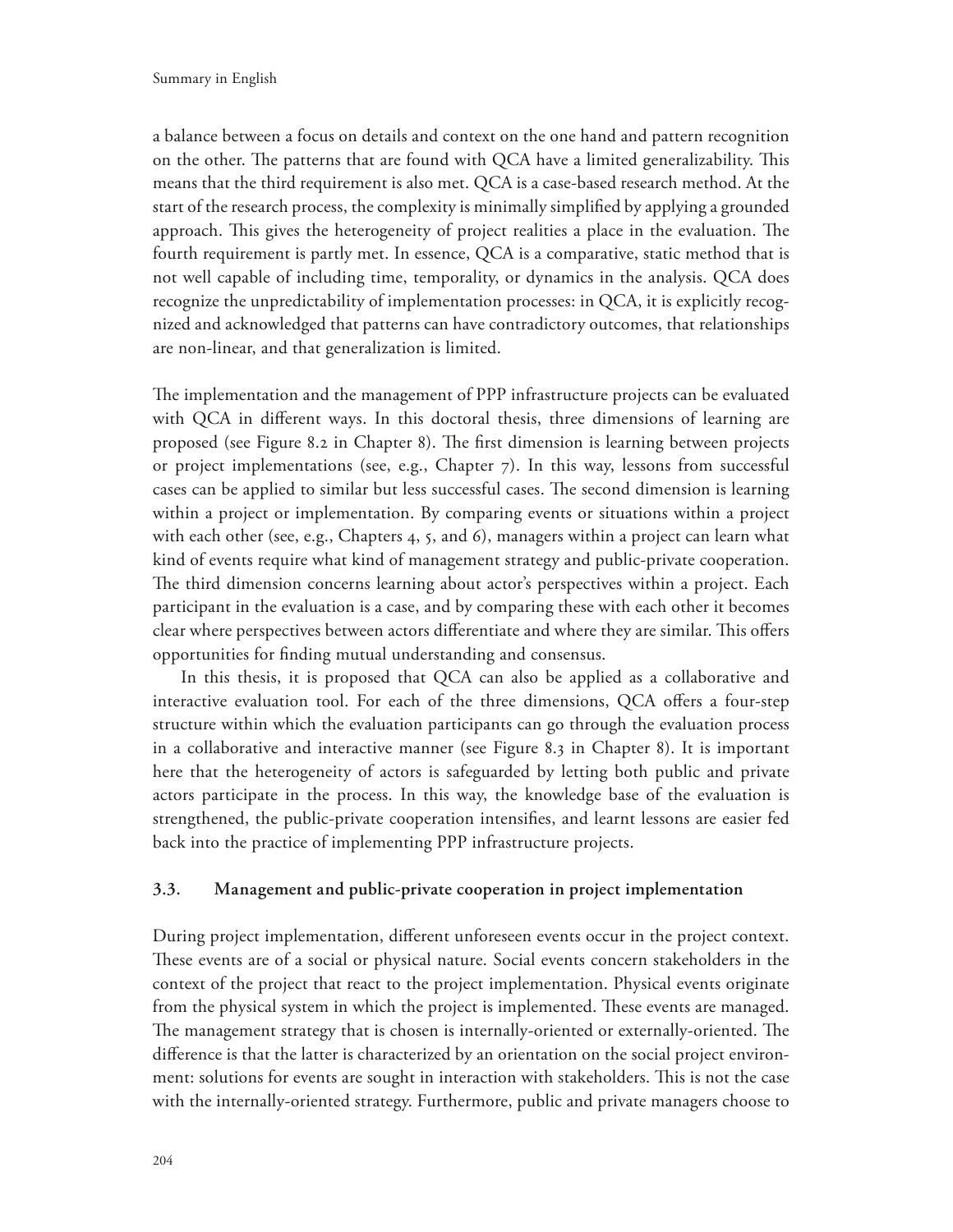a balance between a focus on details and context on the one hand and pattern recognition on the other. The patterns that are found with QCA have a limited generalizability. This means that the third requirement is also met. QCA is a case-based research method. At the start of the research process, the complexity is minimally simplified by applying a grounded approach. This gives the heterogeneity of project realities a place in the evaluation. The fourth requirement is partly met. In essence, QCA is a comparative, static method that is not well capable of including time, temporality, or dynamics in the analysis. QCA does recognize the unpredictability of implementation processes: in QCA, it is explicitly recognized and acknowledged that patterns can have contradictory outcomes, that relationships are non-linear, and that generalization is limited.

The implementation and the management of PPP infrastructure projects can be evaluated with QCA in different ways. In this doctoral thesis, three dimensions of learning are proposed (see Figure 8.2 in Chapter 8). The first dimension is learning between projects or project implementations (see, e.g., Chapter 7). In this way, lessons from successful cases can be applied to similar but less successful cases. The second dimension is learning within a project or implementation. By comparing events or situations within a project with each other (see, e.g., Chapters 4, 5, and 6), managers within a project can learn what kind of events require what kind of management strategy and public-private cooperation. The third dimension concerns learning about actor's perspectives within a project. Each participant in the evaluation is a case, and by comparing these with each other it becomes clear where perspectives between actors differentiate and where they are similar. This offers opportunities for finding mutual understanding and consensus.

In this thesis, it is proposed that QCA can also be applied as a collaborative and interactive evaluation tool. For each of the three dimensions, QCA offers a four-step structure within which the evaluation participants can go through the evaluation process in a collaborative and interactive manner (see Figure 8.3 in Chapter 8). It is important here that the heterogeneity of actors is safeguarded by letting both public and private actors participate in the process. In this way, the knowledge base of the evaluation is strengthened, the public-private cooperation intensifies, and learnt lessons are easier fed back into the practice of implementing PPP infrastructure projects.

#### **3.3. Management and public-private cooperation in project implementation**

During project implementation, different unforeseen events occur in the project context. These events are of a social or physical nature. Social events concern stakeholders in the context of the project that react to the project implementation. Physical events originate from the physical system in which the project is implemented. These events are managed. The management strategy that is chosen is internally-oriented or externally-oriented. The difference is that the latter is characterized by an orientation on the social project environment: solutions for events are sought in interaction with stakeholders. This is not the case with the internally-oriented strategy. Furthermore, public and private managers choose to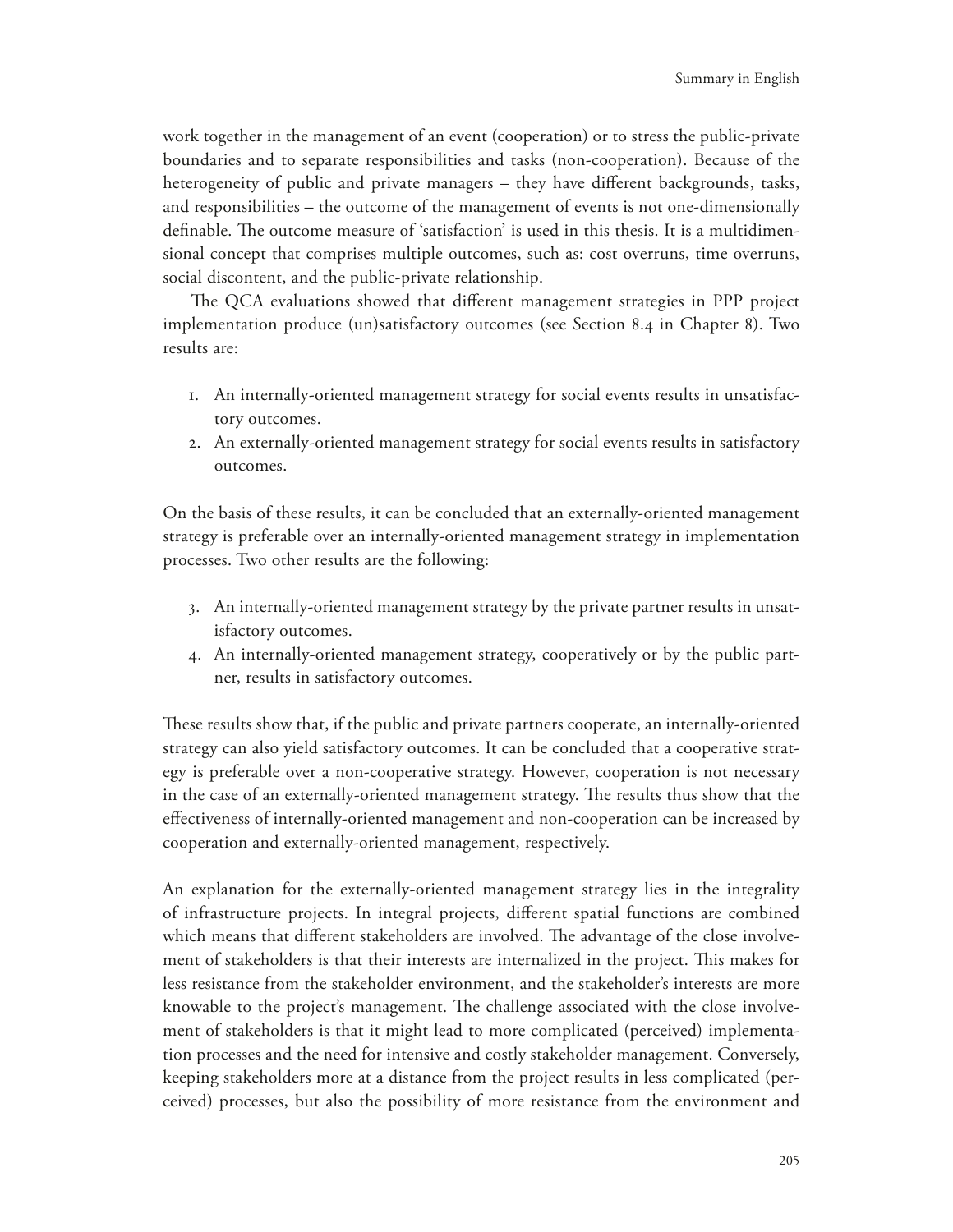work together in the management of an event (cooperation) or to stress the public-private boundaries and to separate responsibilities and tasks (non-cooperation). Because of the heterogeneity of public and private managers  $-$  they have different backgrounds, tasks, and responsibilities – the outcome of the management of events is not one-dimensionally definable. The outcome measure of 'satisfaction' is used in this thesis. It is a multidimensional concept that comprises multiple outcomes, such as: cost overruns, time overruns, social discontent, and the public-private relationship.

The QCA evaluations showed that different management strategies in PPP project implementation produce (un)satisfactory outcomes (see Section 8.4 in Chapter 8). Two results are:

- 1. An internally-oriented management strategy for social events results in unsatisfactory outcomes.
- 2. An externally-oriented management strategy for social events results in satisfactory outcomes.

On the basis of these results, it can be concluded that an externally-oriented management strategy is preferable over an internally-oriented management strategy in implementation processes. Two other results are the following:

- 3. An internally-oriented management strategy by the private partner results in unsatisfactory outcomes.
- 4. An internally-oriented management strategy, cooperatively or by the public partner, results in satisfactory outcomes.

These results show that, if the public and private partners cooperate, an internally-oriented strategy can also yield satisfactory outcomes. It can be concluded that a cooperative strategy is preferable over a non-cooperative strategy. However, cooperation is not necessary in the case of an externally-oriented management strategy. The results thus show that the effectiveness of internally-oriented management and non-cooperation can be increased by cooperation and externally-oriented management, respectively.

An explanation for the externally-oriented management strategy lies in the integrality of infrastructure projects. In integral projects, different spatial functions are combined which means that different stakeholders are involved. The advantage of the close involvement of stakeholders is that their interests are internalized in the project. This makes for less resistance from the stakeholder environment, and the stakeholder's interests are more knowable to the project's management. The challenge associated with the close involvement of stakeholders is that it might lead to more complicated (perceived) implementation processes and the need for intensive and costly stakeholder management. Conversely, keeping stakeholders more at a distance from the project results in less complicated (perceived) processes, but also the possibility of more resistance from the environment and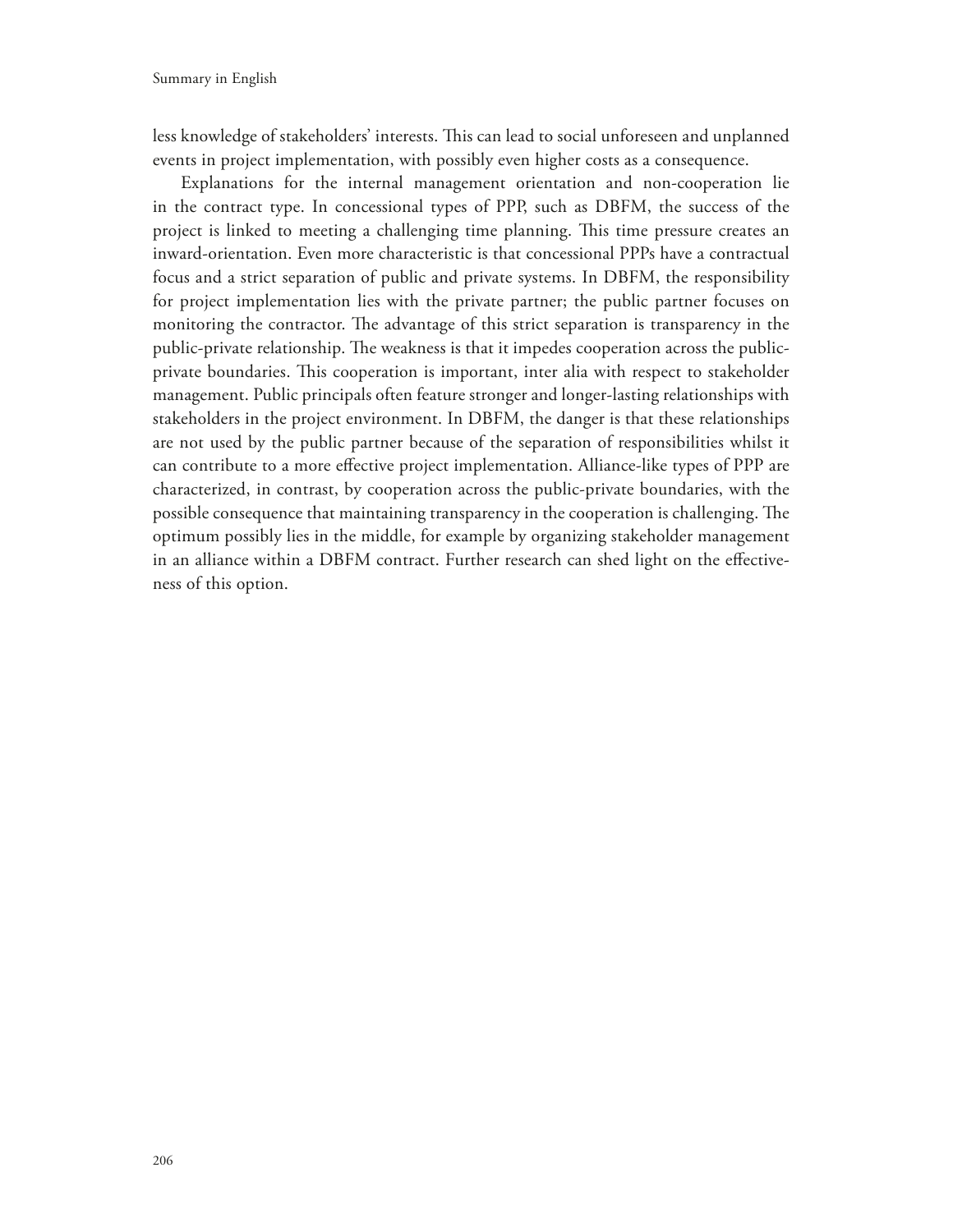less knowledge of stakeholders' interests. This can lead to social unforeseen and unplanned events in project implementation, with possibly even higher costs as a consequence.

Explanations for the internal management orientation and non-cooperation lie in the contract type. In concessional types of PPP, such as DBFM, the success of the project is linked to meeting a challenging time planning. This time pressure creates an inward-orientation. Even more characteristic is that concessional PPPs have a contractual focus and a strict separation of public and private systems. In DBFM, the responsibility for project implementation lies with the private partner; the public partner focuses on monitoring the contractor. The advantage of this strict separation is transparency in the public-private relationship. The weakness is that it impedes cooperation across the publicprivate boundaries. This cooperation is important, inter alia with respect to stakeholder management. Public principals often feature stronger and longer-lasting relationships with stakeholders in the project environment. In DBFM, the danger is that these relationships are not used by the public partner because of the separation of responsibilities whilst it can contribute to a more effective project implementation. Alliance-like types of PPP are characterized, in contrast, by cooperation across the public-private boundaries, with the possible consequence that maintaining transparency in the cooperation is challenging. The optimum possibly lies in the middle, for example by organizing stakeholder management in an alliance within a DBFM contract. Further research can shed light on the effectiveness of this option.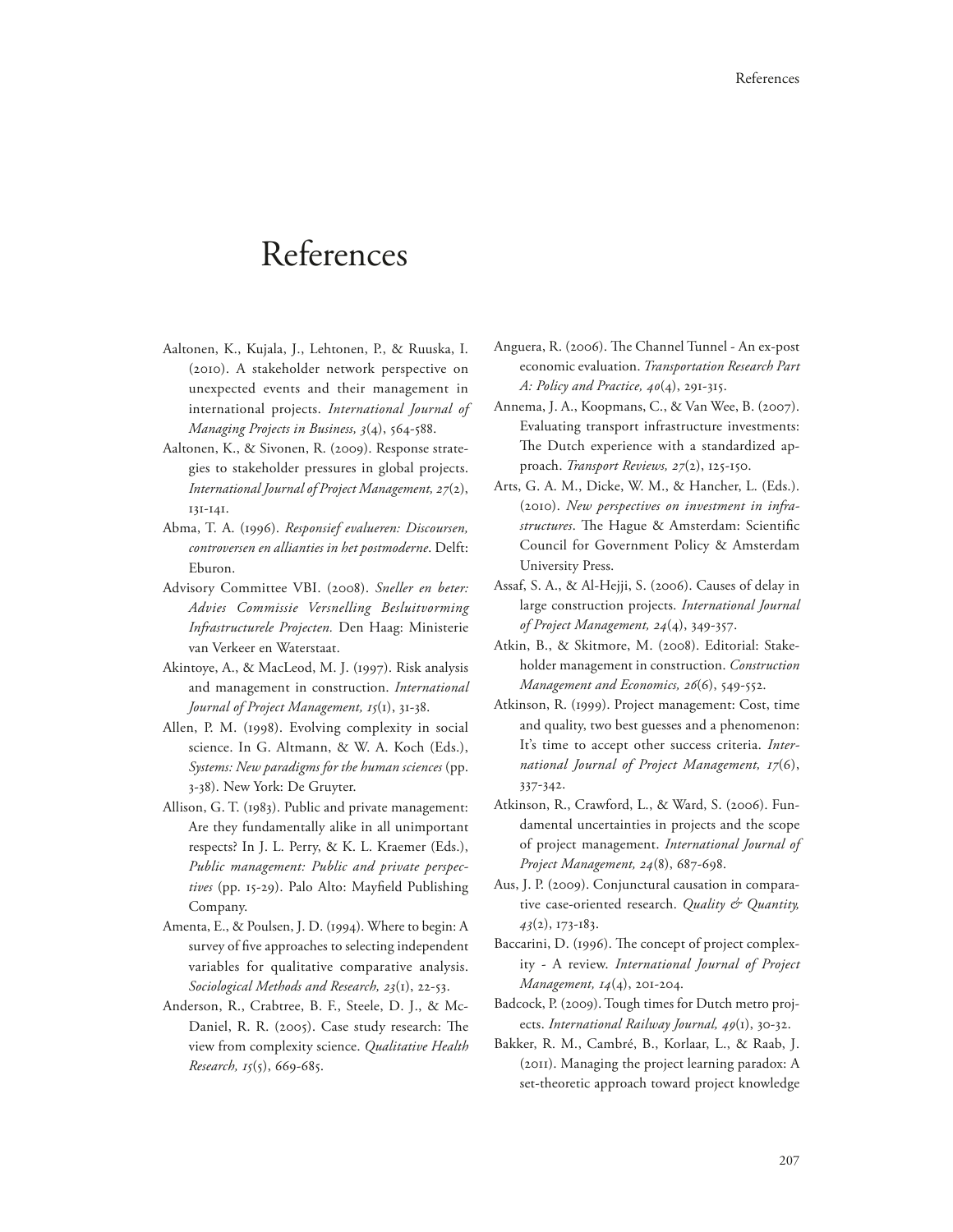# References

- Aaltonen, K., Kujala, J., Lehtonen, P., & Ruuska, I. (2010). A stakeholder network perspective on unexpected events and their management in international projects. *International Journal of Managing Projects in Business, 3*(4), 564-588.
- Aaltonen, K., & Sivonen, R. (2009). Response strategies to stakeholder pressures in global projects. *International Journal of Project Management, 27*(2), 131-141.
- Abma, T. A. (1996). *Responsief evalueren: Discoursen, controversen en allianties in het postmoderne*. Delft: Eburon.
- Advisory Committee VBI. (2008). *Sneller en beter: Advies Commissie Versnelling Besluitvorming Infrastructurele Projecten.* Den Haag: Ministerie van Verkeer en Waterstaat.
- Akintoye, A., & MacLeod, M. J. (1997). Risk analysis and management in construction. *International Journal of Project Management, 15*(1), 31-38.
- Allen, P. M. (1998). Evolving complexity in social science. In G. Altmann, & W. A. Koch (Eds.), *Systems: New paradigms for the human sciences* (pp. 3-38). New York: De Gruyter.
- Allison, G. T. (1983). Public and private management: Are they fundamentally alike in all unimportant respects? In J. L. Perry, & K. L. Kraemer (Eds.), *Public management: Public and private perspec*tives (pp. 15-29). Palo Alto: Mayfield Publishing Company.
- Amenta, E., & Poulsen, J. D. (1994). Where to begin: A survey of five approaches to selecting independent variables for qualitative comparative analysis. *Sociological Methods and Research, 23*(1), 22-53.
- Anderson, R., Crabtree, B. F., Steele, D. J., & Mc-Daniel, R. R. (2005). Case study research: The view from complexity science. *Qualitative Health Research, 15*(5), 669-685.
- Anguera, R. (2006). The Channel Tunnel An ex-post economic evaluation. *Transportation Research Part A: Policy and Practice, 40*(4), 291-315.
- Annema, J. A., Koopmans, C., & Van Wee, B. (2007). Evaluating transport infrastructure investments: The Dutch experience with a standardized approach. *Transport Reviews, 27*(2), 125-150.
- Arts, G. A. M., Dicke, W. M., & Hancher, L. (Eds.). (2010). *New perspectives on investment in infrastructures*. The Hague & Amsterdam: Scientific Council for Government Policy & Amsterdam University Press.
- Assaf, S. A., & Al-Hejji, S. (2006). Causes of delay in large construction projects. *International Journal of Project Management, 24*(4), 349-357.
- Atkin, B., & Skitmore, M. (2008). Editorial: Stakeholder management in construction. *Construction Management and Economics, 26*(6), 549-552.
- Atkinson, R. (1999). Project management: Cost, time and quality, two best guesses and a phenomenon: It's time to accept other success criteria. *International Journal of Project Management, 17*(6), 337-342.
- Atkinson, R., Crawford, L., & Ward, S. (2006). Fundamental uncertainties in projects and the scope of project management. *International Journal of Project Management, 24*(8), 687-698.
- Aus, J. P. (2009). Conjunctural causation in comparative case-oriented research. *Quality & Quantity, 43*(2), 173-183.
- Baccarini, D. (1996). The concept of project complexity - A review. *International Journal of Project Management, 14*(4), 201-204.
- Badcock, P. (2009). Tough times for Dutch metro projects. *International Railway Journal, 49*(1), 30-32.
- Bakker, R. M., Cambré, B., Korlaar, L., & Raab, J. (2011). Managing the project learning paradox: A set-theoretic approach toward project knowledge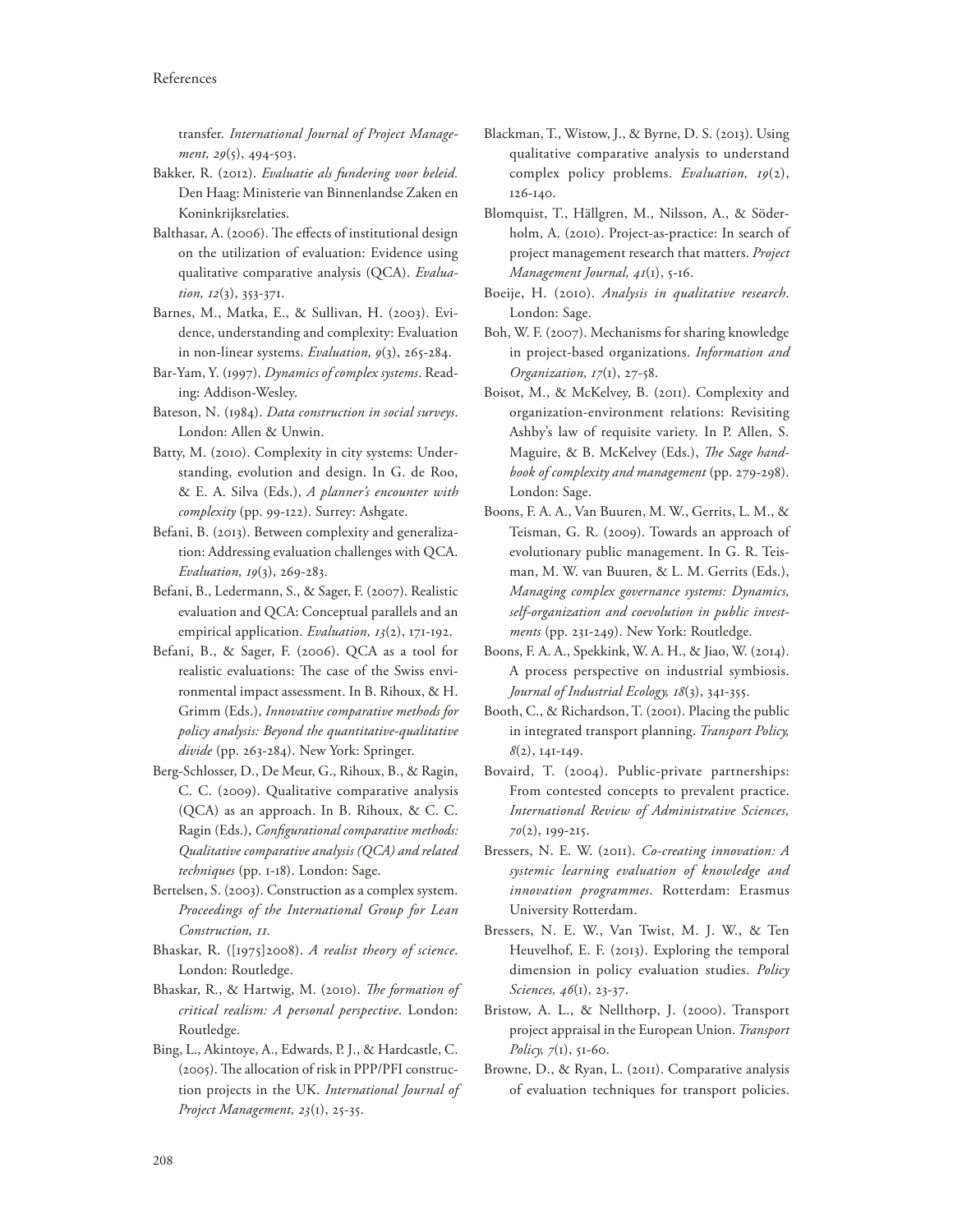transfer. *International Journal of Project Management, 29*(5), 494-503.

- Bakker, R. (2012). *Evaluatie als fundering voor beleid.* Den Haag: Ministerie van Binnenlandse Zaken en Koninkrijksrelaties.
- Balthasar, A. (2006). The effects of institutional design on the utilization of evaluation: Evidence using qualitative comparative analysis (QCA). *Evaluation, 12*(3), 353-371.
- Barnes, M., Matka, E., & Sullivan, H. (2003). Evidence, understanding and complexity: Evaluation in non-linear systems. *Evaluation, 9*(3), 265-284.
- Bar-Yam, Y. (1997). *Dynamics of complex systems*. Reading: Addison-Wesley.
- Bateson, N. (1984). *Data construction in social surveys*. London: Allen & Unwin.
- Batty, M. (2010). Complexity in city systems: Understanding, evolution and design. In G. de Roo, & E. A. Silva (Eds.), *A planner's encounter with complexity* (pp. 99-122). Surrey: Ashgate.
- Befani, B. (2013). Between complexity and generalization: Addressing evaluation challenges with QCA. *Evaluation, 19*(3), 269-283.
- Befani, B., Ledermann, S., & Sager, F. (2007). Realistic evaluation and QCA: Conceptual parallels and an empirical application. *Evaluation, 13*(2), 171-192.
- Befani, B., & Sager, F. (2006). QCA as a tool for realistic evaluations: The case of the Swiss environmental impact assessment. In B. Rihoux, & H. Grimm (Eds.), *Innovative comparative methods for policy analysis: Beyond the quantitative-qualitative divide* (pp. 263-284). New York: Springer.
- Berg-Schlosser, D., De Meur, G., Rihoux, B., & Ragin, C. C. (2009). Qualitative comparative analysis (QCA) as an approach. In B. Rihoux, & C. C. Ragin (Eds.), *Configurational comparative methods: Qualitative comparative analysis (QCA) and related techniques* (pp. 1-18). London: Sage.
- Bertelsen, S. (2003). Construction as a complex system. *Proceedings of the International Group for Lean Construction, 11.*
- Bhaskar, R. ([1975]2008). *A realist theory of science*. London: Routledge.
- Bhaskar, R., & Hartwig, M. (2010). *The formation of critical realism: A personal perspective*. London: Routledge.
- Bing, L., Akintoye, A., Edwards, P. J., & Hardcastle, C. (2005). The allocation of risk in PPP/PFI construction projects in the UK. *International Journal of Project Management, 23*(1), 25-35.
- Blackman, T., Wistow, J., & Byrne, D. S. (2013). Using qualitative comparative analysis to understand complex policy problems. *Evaluation, 19*(2), 126-140.
- Blomquist, T., Hällgren, M., Nilsson, A., & Söderholm, A. (2010). Project-as-practice: In search of project management research that matters. *Project Management Journal, 41*(1), 5-16.
- Boeije, H. (2010). *Analysis in qualitative research*. London: Sage.
- Boh, W. F. (2007). Mechanisms for sharing knowledge in project-based organizations. *Information and Organization, 17*(1), 27-58.
- Boisot, M., & McKelvey, B. (2011). Complexity and organization-environment relations: Revisiting Ashby's law of requisite variety. In P. Allen, S. Maguire, & B. McKelvey (Eds.), *The Sage handbook of complexity and management* (pp. 279-298). London: Sage.
- Boons, F. A. A., Van Buuren, M. W., Gerrits, L. M., & Teisman, G. R. (2009). Towards an approach of evolutionary public management. In G. R. Teisman, M. W. van Buuren, & L. M. Gerrits (Eds.), *Managing complex governance systems: Dynamics, self-organization and coevolution in public investments* (pp. 231-249). New York: Routledge.
- Boons, F. A. A., Spekkink, W. A. H., & Jiao, W. (2014). A process perspective on industrial symbiosis. *Journal of Industrial Ecology, 18*(3), 341-355.
- Booth, C., & Richardson, T. (2001). Placing the public in integrated transport planning. *Transport Policy, 8*(2), 141-149.
- Bovaird, T. (2004). Public-private partnerships: From contested concepts to prevalent practice. *International Review of Administrative Sciences, 70*(2), 199-215.
- Bressers, N. E. W. (2011). *Co-creating innovation: A systemic learning evaluation of knowledge and innovation programmes*. Rotterdam: Erasmus University Rotterdam.
- Bressers, N. E. W., Van Twist, M. J. W., & Ten Heuvelhof, E. F. (2013). Exploring the temporal dimension in policy evaluation studies. *Policy Sciences, 46*(1), 23-37.
- Bristow, A. L., & Nellthorp, J. (2000). Transport project appraisal in the European Union. *Transport Policy, 7*(1), 51-60.
- Browne, D., & Ryan, L. (2011). Comparative analysis of evaluation techniques for transport policies.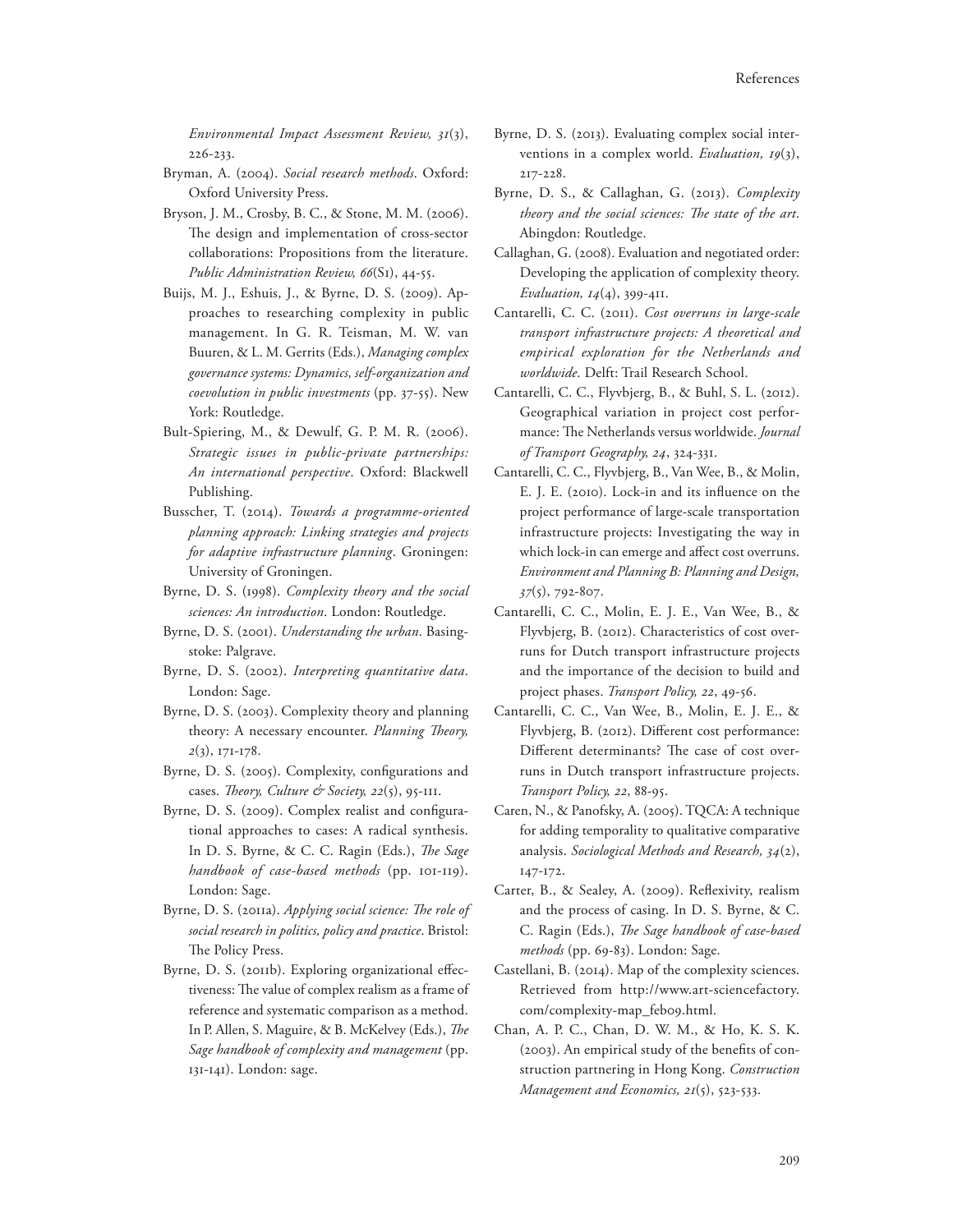*Environmental Impact Assessment Review, 31*(3), 226-233.

- Bryman, A. (2004). *Social research methods*. Oxford: Oxford University Press.
- Bryson, J. M., Crosby, B. C., & Stone, M. M. (2006). The design and implementation of cross-sector collaborations: Propositions from the literature. *Public Administration Review, 66*(S1), 44-55.
- Buijs, M. J., Eshuis, J., & Byrne, D. S. (2009). Approaches to researching complexity in public management. In G. R. Teisman, M. W. van Buuren, & L. M. Gerrits (Eds.), *Managing complex governance systems: Dynamics, self-organization and coevolution in public investments* (pp. 37-55). New York: Routledge.
- Bult-Spiering, M., & Dewulf, G. P. M. R. (2006). *Strategic issues in public-private partnerships: An international perspective*. Oxford: Blackwell Publishing.
- Busscher, T. (2014). *Towards a programme-oriented planning approach: Linking strategies and projects for adaptive infrastructure planning*. Groningen: University of Groningen.
- Byrne, D. S. (1998). *Complexity theory and the social sciences: An introduction*. London: Routledge.
- Byrne, D. S. (2001). *Understanding the urban*. Basingstoke: Palgrave.
- Byrne, D. S. (2002). *Interpreting quantitative data*. London: Sage.
- Byrne, D. S. (2003). Complexity theory and planning theory: A necessary encounter. *Planning Theory*, *2*(3), 171-178.
- Byrne, D. S. (2005). Complexity, configurations and cases. *Theory, Culture & Society, 22*(5), 95-III.
- Byrne, D. S. (2009). Complex realist and configurational approaches to cases: A radical synthesis. In D. S. Byrne, & C. C. Ragin (Eds.), *The Sage handbook of case-based methods* (pp. 101-119). London: Sage.
- Byrne, D. S. (2011a). *Applying social science: The role of social research in politics, policy and practice*. Bristol: The Policy Press.
- Byrne, D. S. (2011b). Exploring organizational effectiveness: The value of complex realism as a frame of reference and systematic comparison as a method. In P. Allen, S. Maguire, & B. McKelvey (Eds.), *The Sage handbook of complexity and management* (pp. 131-141). London: sage.
- Byrne, D. S. (2013). Evaluating complex social interventions in a complex world. *Evaluation, 19*(3), 217-228.
- Byrne, D. S., & Callaghan, G. (2013). *Complexity*  theory and the social sciences: The state of the art. Abingdon: Routledge.
- Callaghan, G. (2008). Evaluation and negotiated order: Developing the application of complexity theory. *Evaluation, 14*(4), 399-411.
- Cantarelli, C. C. (2011). *Cost overruns in large-scale transport infrastructure projects: A theoretical and empirical exploration for the Netherlands and worldwide*. Delft: Trail Research School.
- Cantarelli, C. C., Flyvbjerg, B., & Buhl, S. L. (2012). Geographical variation in project cost performance: The Netherlands versus worldwide. *Journal of Transport Geography, 24*, 324-331.
- Cantarelli, C. C., Flyvbjerg, B., Van Wee, B., & Molin, E. J. E. (2010). Lock-in and its influence on the project performance of large-scale transportation infrastructure projects: Investigating the way in which lock-in can emerge and affect cost overruns. *Environment and Planning B: Planning and Design, 37*(5), 792-807.
- Cantarelli, C. C., Molin, E. J. E., Van Wee, B., & Flyvbjerg, B. (2012). Characteristics of cost overruns for Dutch transport infrastructure projects and the importance of the decision to build and project phases. *Transport Policy, 22*, 49-56.
- Cantarelli, C. C., Van Wee, B., Molin, E. J. E., & Flyvbjerg, B. (2012). Different cost performance: Different determinants? The case of cost overruns in Dutch transport infrastructure projects. *Transport Policy, 22*, 88-95.
- Caren, N., & Panofsky, A. (2005). TQCA: A technique for adding temporality to qualitative comparative analysis. *Sociological Methods and Research, 34*(2), 147-172.
- Carter, B., & Sealey, A. (2009). Reflexivity, realism and the process of casing. In D. S. Byrne, & C. C. Ragin (Eds.), *The Sage handbook of case-based methods* (pp. 69-83). London: Sage.
- Castellani, B. (2014). Map of the complexity sciences. Retrieved from http://www.art-sciencefactory. com/complexity-map\_feb09.html.
- Chan, A. P. C., Chan, D. W. M., & Ho, K. S. K. (2003). An empirical study of the benefits of construction partnering in Hong Kong. *Construction Management and Economics, 21*(5), 523-533.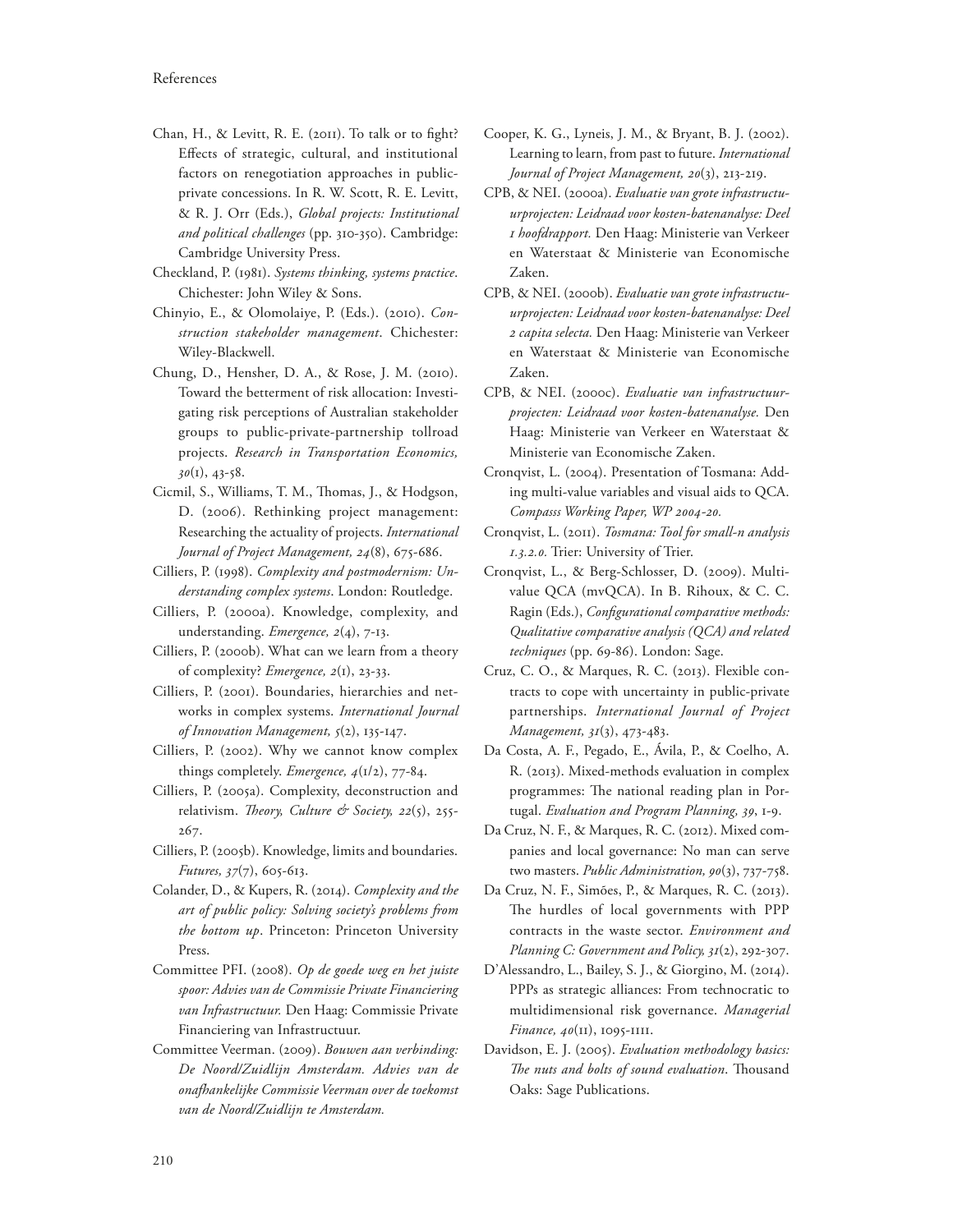- Chan, H., & Levitt, R. E. (2011). To talk or to fight? Effects of strategic, cultural, and institutional factors on renegotiation approaches in publicprivate concessions. In R. W. Scott, R. E. Levitt, & R. J. Orr (Eds.), *Global projects: Institutional and political challenges* (pp. 310-350). Cambridge: Cambridge University Press.
- Checkland, P. (1981). *Systems thinking, systems practice*. Chichester: John Wiley & Sons.
- Chinyio, E., & Olomolaiye, P. (Eds.). (2010). *Construction stakeholder management*. Chichester: Wiley-Blackwell.
- Chung, D., Hensher, D. A., & Rose, J. M. (2010). Toward the betterment of risk allocation: Investigating risk perceptions of Australian stakeholder groups to public-private-partnership tollroad projects. *Research in Transportation Economics, 30*(1), 43-58.
- Cicmil, S., Williams, T. M., Thomas, J., & Hodgson, D. (2006). Rethinking project management: Researching the actuality of projects. *International Journal of Project Management, 24*(8), 675-686.
- Cilliers, P. (1998). *Complexity and postmodernism: Understanding complex systems*. London: Routledge.
- Cilliers, P. (2000a). Knowledge, complexity, and understanding. *Emergence, 2*(4), 7-13.
- Cilliers, P. (2000b). What can we learn from a theory of complexity? *Emergence, 2*(1), 23-33.
- Cilliers, P. (2001). Boundaries, hierarchies and networks in complex systems. *International Journal of Innovation Management, 5*(2), 135-147.
- Cilliers, P. (2002). Why we cannot know complex things completely. *Emergence, 4*(1/2), 77-84.
- Cilliers, P. (2005a). Complexity, deconstruction and relativism. Theory, Culture & Society, 22(5), 255-267.
- Cilliers, P. (2005b). Knowledge, limits and boundaries. *Futures, 37*(7), 605-613.
- Colander, D., & Kupers, R. (2014). *Complexity and the art of public policy: Solving society's problems from the bottom up*. Princeton: Princeton University Press.
- Committee PFI. (2008). *Op de goede weg en het juiste spoor: Advies van de Commissie Private Financiering van Infrastructuur.* Den Haag: Commissie Private Financiering van Infrastructuur.
- Committee Veerman. (2009). *Bouwen aan verbinding: De Noord/Zuidlijn Amsterdam. Advies van de onafhankelijke Commissie Veerman over de toekomst van de Noord/Zuidlijn te Amsterdam.*
- Cooper, K. G., Lyneis, J. M., & Bryant, B. J. (2002). Learning to learn, from past to future. *International Journal of Project Management, 20*(3), 213-219.
- CPB, & NEI. (2000a). *Evaluatie van grote infrastructuurprojecten: Leidraad voor kosten-batenanalyse: Deel 1 hoofdrapport.* Den Haag: Ministerie van Verkeer en Waterstaat & Ministerie van Economische Zaken.
- CPB, & NEI. (2000b). *Evaluatie van grote infrastructuurprojecten: Leidraad voor kosten-batenanalyse: Deel 2 capita selecta.* Den Haag: Ministerie van Verkeer en Waterstaat & Ministerie van Economische Zaken.
- CPB, & NEI. (2000c). *Evaluatie van infrastructuurprojecten: Leidraad voor kosten-batenanalyse.* Den Haag: Ministerie van Verkeer en Waterstaat & Ministerie van Economische Zaken.
- Cronqvist, L. (2004). Presentation of Tosmana: Adding multi-value variables and visual aids to QCA. *Compasss Working Paper, WP 2004-20.*
- Cronqvist, L. (2011). *Tosmana: Tool for small-n analysis 1.3.2.0.* Trier: University of Trier.
- Cronqvist, L., & Berg-Schlosser, D. (2009). Multivalue QCA (mvQCA). In B. Rihoux, & C. C. Ragin (Eds.), *Configurational comparative methods: Qualitative comparative analysis (QCA) and related techniques* (pp. 69-86). London: Sage.
- Cruz, C. O., & Marques, R. C. (2013). Flexible contracts to cope with uncertainty in public-private partnerships. *International Journal of Project Management, 31*(3), 473-483.
- Da Costa, A. F., Pegado, E., Ávila, P., & Coelho, A. R. (2013). Mixed-methods evaluation in complex programmes: The national reading plan in Portugal. *Evaluation and Program Planning, 39*, 1-9.
- Da Cruz, N. F., & Marques, R. C. (2012). Mixed companies and local governance: No man can serve two masters. *Public Administration, 90*(3), 737-758.
- Da Cruz, N. F., Simões, P., & Marques, R. C. (2013). The hurdles of local governments with PPP contracts in the waste sector. *Environment and Planning C: Government and Policy, 31*(2), 292-307.
- D'Alessandro, L., Bailey, S. J., & Giorgino, M. (2014). PPPs as strategic alliances: From technocratic to multidimensional risk governance. *Managerial Finance, 40*(11), 1095-1111.
- Davidson, E. J. (2005). *Evaluation methodology basics:*  The nuts and bolts of sound evaluation. Thousand Oaks: Sage Publications.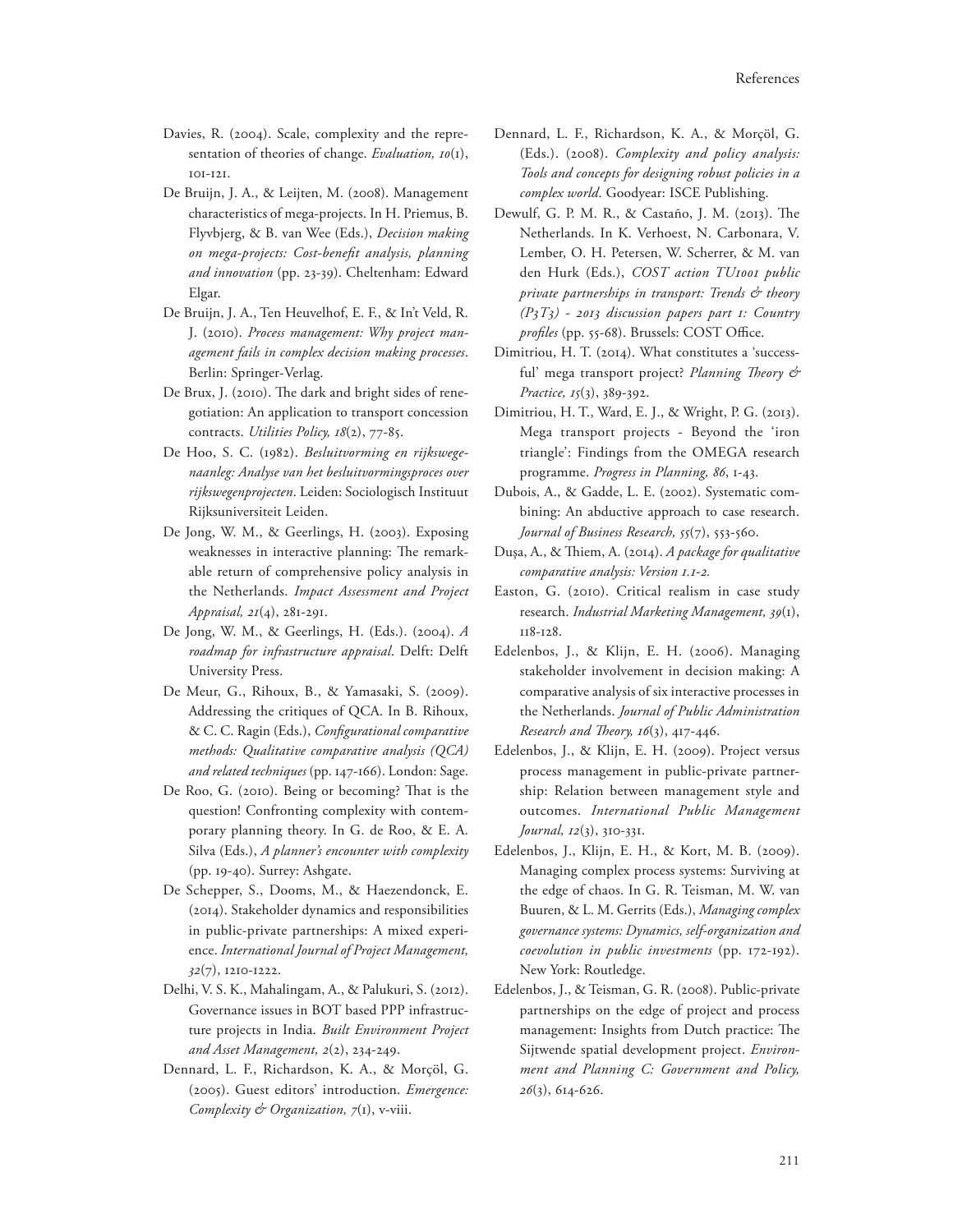- Davies, R. (2004). Scale, complexity and the representation of theories of change. *Evaluation, 10*(1), 101-121.
- De Bruijn, J. A., & Leijten, M. (2008). Management characteristics of mega-projects. In H. Priemus, B. Flyvbjerg, & B. van Wee (Eds.), *Decision making on mega-projects: Cost-bene1t analysis, planning and innovation* (pp. 23-39). Cheltenham: Edward Elgar.
- De Bruijn, J. A., Ten Heuvelhof, E. F., & In't Veld, R. J. (2010). *Process management: Why project management fails in complex decision making processes*. Berlin: Springer-Verlag.
- De Brux, J. (2010). The dark and bright sides of renegotiation: An application to transport concession contracts. *Utilities Policy, 18*(2), 77-85.
- De Hoo, S. C. (1982). *Besluitvorming en rijkswegenaanleg: Analyse van het besluitvormingsproces over rijkswegenprojecten*. Leiden: Sociologisch Instituut Rijksuniversiteit Leiden.
- De Jong, W. M., & Geerlings, H. (2003). Exposing weaknesses in interactive planning: The remarkable return of comprehensive policy analysis in the Netherlands. *Impact Assessment and Project Appraisal, 21*(4), 281-291.
- De Jong, W. M., & Geerlings, H. (Eds.). (2004). *A roadmap for infrastructure appraisal*. Delft: Delft University Press.
- De Meur, G., Rihoux, B., & Yamasaki, S. (2009). Addressing the critiques of QCA. In B. Rihoux,  $& C. C.$  Ragin (Eds.), *Configurational comparative methods: Qualitative comparative analysis (QCA) and related techniques* (pp. 147-166). London: Sage.
- De Roo, G. (2010). Being or becoming? That is the question! Confronting complexity with contemporary planning theory. In G. de Roo, & E. A. Silva (Eds.), *A planner's encounter with complexity* (pp. 19-40). Surrey: Ashgate.
- De Schepper, S., Dooms, M., & Haezendonck, E. (2014). Stakeholder dynamics and responsibilities in public-private partnerships: A mixed experience. *International Journal of Project Management, 32*(7), 1210-1222.
- Delhi, V. S. K., Mahalingam, A., & Palukuri, S. (2012). Governance issues in BOT based PPP infrastructure projects in India. *Built Environment Project and Asset Management, 2*(2), 234-249.
- Dennard, L. F., Richardson, K. A., & Morçöl, G. (2005). Guest editors' introduction. *Emergence: Complexity & Organization, 7*(1), v-viii.
- Dennard, L. F., Richardson, K. A., & Morçöl, G. (Eds.). (2008). *Complexity and policy analysis: Tools and concepts for designing robust policies in a complex world*. Goodyear: ISCE Publishing.
- Dewulf, G. P. M. R., & Castaño, J. M. (2013). The Netherlands. In K. Verhoest, N. Carbonara, V. Lember, O. H. Petersen, W. Scherrer, & M. van den Hurk (Eds.), *COST action TU1001 public private partnerships in transport: Trends & theory (P3T3) - 2013 discussion papers part 1: Country profiles* (pp. 55-68). Brussels: COST Office.
- Dimitriou, H. T. (2014). What constitutes a 'successful' mega transport project? *Planning Theory & Practice, 15*(3), 389-392.
- Dimitriou, H. T., Ward, E. J., & Wright, P. G. (2013). Mega transport projects - Beyond the 'iron triangle': Findings from the OMEGA research programme. *Progress in Planning, 86*, 1-43.
- Dubois, A., & Gadde, L. E. (2002). Systematic combining: An abductive approach to case research. *Journal of Business Research, 55*(7), 553-560.
- Duşa, A., & !iem, A. (2014). *A package for qualitative comparative analysis: Version 1.1-2.*
- Easton, G. (2010). Critical realism in case study research. *Industrial Marketing Management, 39*(1), 118-128.
- Edelenbos, J., & Klijn, E. H. (2006). Managing stakeholder involvement in decision making: A comparative analysis of six interactive processes in the Netherlands. *Journal of Public Administration Research and Theory, 16*(3), 417-446.
- Edelenbos, J., & Klijn, E. H. (2009). Project versus process management in public-private partnership: Relation between management style and outcomes. *International Public Management Journal, 12*(3), 310-331.
- Edelenbos, J., Klijn, E. H., & Kort, M. B. (2009). Managing complex process systems: Surviving at the edge of chaos. In G. R. Teisman, M. W. van Buuren, & L. M. Gerrits (Eds.), *Managing complex governance systems: Dynamics, self-organization and coevolution in public investments* (pp. 172-192). New York: Routledge.
- Edelenbos, J., & Teisman, G. R. (2008). Public-private partnerships on the edge of project and process management: Insights from Dutch practice: The Sijtwende spatial development project. *Environment and Planning C: Government and Policy, 26*(3), 614-626.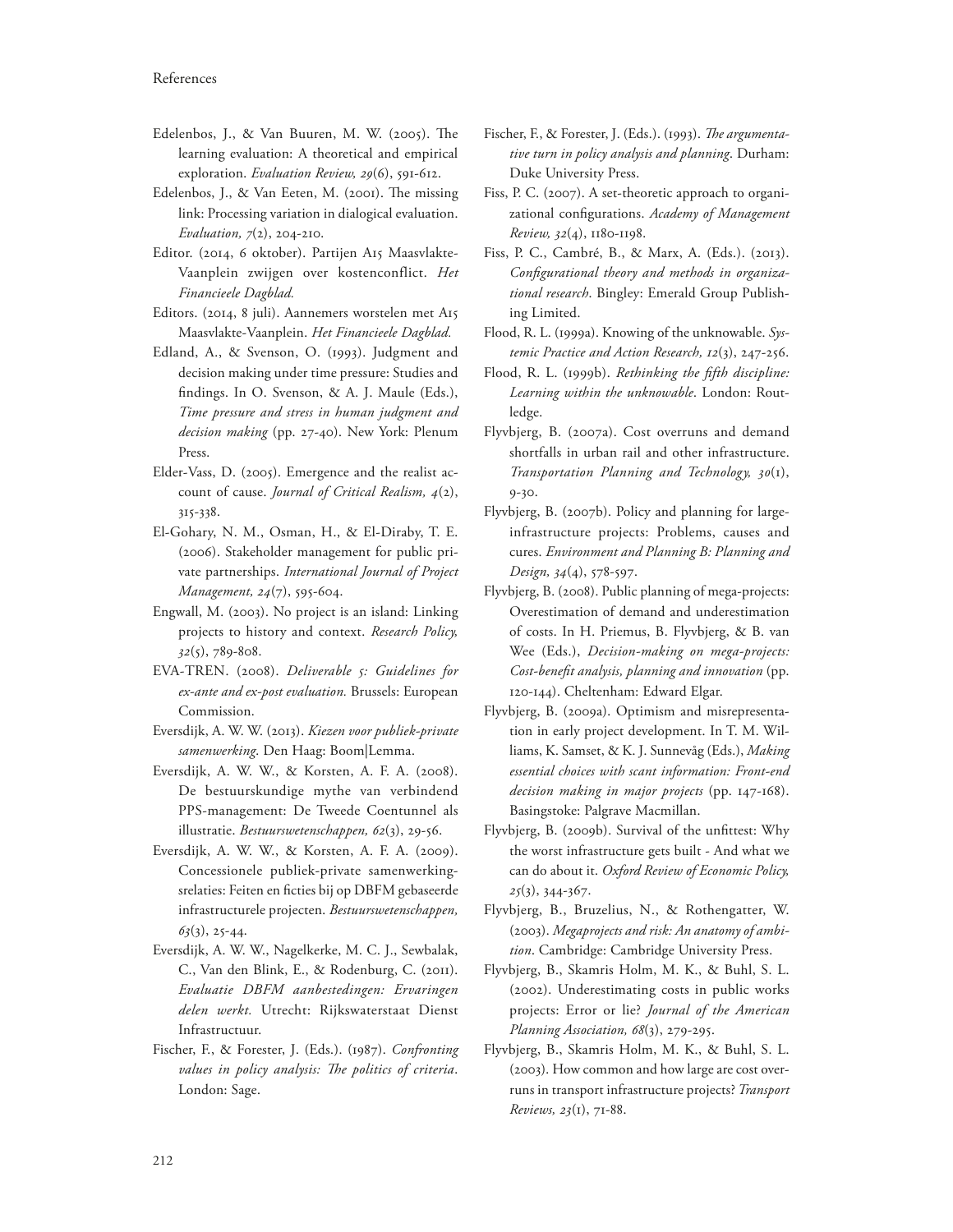- Edelenbos, J., & Van Buuren, M. W. (2005). The learning evaluation: A theoretical and empirical exploration. *Evaluation Review, 29*(6), 591-612.
- Edelenbos, J., & Van Eeten, M. (2001). The missing link: Processing variation in dialogical evaluation. *Evaluation, 7*(2), 204-210.
- Editor. (2014, 6 oktober). Partijen A15 Maasvlakte-Vaanplein zwijgen over kostenconflict. *Het Financieele Dagblad.*
- Editors. (2014, 8 juli). Aannemers worstelen met A15 Maasvlakte-Vaanplein. *Het Financieele Dagblad.*
- Edland, A., & Svenson, O. (1993). Judgment and decision making under time pressure: Studies and findings. In O. Svenson, & A. J. Maule (Eds.), *Time pressure and stress in human judgment and decision making* (pp. 27-40). New York: Plenum Press.
- Elder-Vass, D. (2005). Emergence and the realist account of cause. *Journal of Critical Realism, 4*(2), 315-338.
- El-Gohary, N. M., Osman, H., & El-Diraby, T. E. (2006). Stakeholder management for public private partnerships. *International Journal of Project Management, 24*(7), 595-604.
- Engwall, M. (2003). No project is an island: Linking projects to history and context. *Research Policy, 32*(5), 789-808.
- EVA-TREN. (2008). *Deliverable 5: Guidelines for ex-ante and ex-post evaluation.* Brussels: European Commission.
- Eversdijk, A. W. W. (2013). *Kiezen voor publiek-private samenwerking*. Den Haag: Boom|Lemma.
- Eversdijk, A. W. W., & Korsten, A. F. A. (2008). De bestuurskundige mythe van verbindend PPS-management: De Tweede Coentunnel als illustratie. *Bestuurswetenschappen, 62*(3), 29-56.
- Eversdijk, A. W. W., & Korsten, A. F. A. (2009). Concessionele publiek-private samenwerkingsrelaties: Feiten en ficties bij op DBFM gebaseerde infrastructurele projecten. *Bestuurswetenschappen, 63*(3), 25-44.
- Eversdijk, A. W. W., Nagelkerke, M. C. J., Sewbalak, C., Van den Blink, E., & Rodenburg, C. (2011). *Evaluatie DBFM aanbestedingen: Ervaringen delen werkt.* Utrecht: Rijkswaterstaat Dienst Infrastructuur.
- Fischer, F., & Forester, J. (Eds.). (1987). *Confronting values in policy analysis: The politics of criteria.* London: Sage.
- Fischer, F., & Forester, J. (Eds.). (1993). *The argumentative turn in policy analysis and planning*. Durham: Duke University Press.
- Fiss, P. C. (2007). A set-theoretic approach to organizational con"gurations. *Academy of Management Review, 32*(4), 1180-1198.
- Fiss, P. C., Cambré, B., & Marx, A. (Eds.). (2013). Configurational theory and methods in organiza*tional research*. Bingley: Emerald Group Publishing Limited.
- Flood, R. L. (1999a). Knowing of the unknowable. *Systemic Practice and Action Research, 12*(3), 247-256.
- Flood, R. L. (1999b). *Rethinking the 1fth discipline: Learning within the unknowable*. London: Routledge.
- Flyvbjerg, B. (2007a). Cost overruns and demand shortfalls in urban rail and other infrastructure. *Transportation Planning and Technology, 30*(1), 9-30.
- Flyvbjerg, B. (2007b). Policy and planning for largeinfrastructure projects: Problems, causes and cures. *Environment and Planning B: Planning and Design, 34*(4), 578-597.
- Flyvbjerg, B. (2008). Public planning of mega-projects: Overestimation of demand and underestimation of costs. In H. Priemus, B. Flyvbjerg, & B. van Wee (Eds.), *Decision-making on mega-projects: Cost-bene1t analysis, planning and innovation* (pp. 120-144). Cheltenham: Edward Elgar.
- Flyvbjerg, B. (2009a). Optimism and misrepresentation in early project development. In T. M. Williams, K. Samset, & K. J. Sunnevåg (Eds.), *Making essential choices with scant information: Front-end decision making in major projects* (pp. 147-168). Basingstoke: Palgrave Macmillan.
- Flyvbjerg, B. (2009b). Survival of the unfittest: Why the worst infrastructure gets built - And what we can do about it. *Oxford Review of Economic Policy, 25*(3), 344-367.
- Flyvbjerg, B., Bruzelius, N., & Rothengatter, W. (2003). *Megaprojects and risk: An anatomy of ambition*. Cambridge: Cambridge University Press.
- Flyvbjerg, B., Skamris Holm, M. K., & Buhl, S. L. (2002). Underestimating costs in public works projects: Error or lie? *Journal of the American Planning Association, 68*(3), 279-295.
- Flyvbjerg, B., Skamris Holm, M. K., & Buhl, S. L. (2003). How common and how large are cost overruns in transport infrastructure projects? *Transport Reviews, 23*(1), 71-88.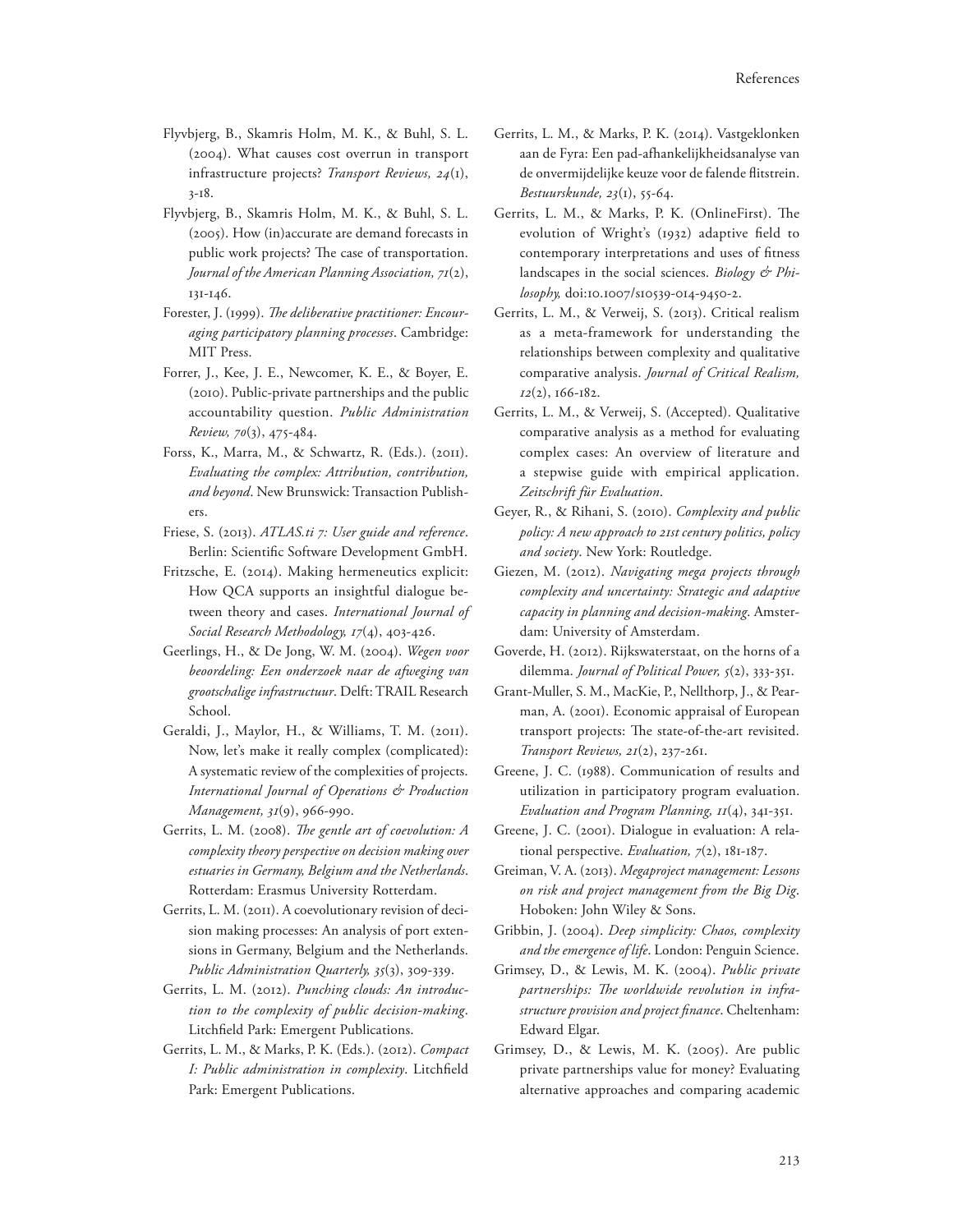- Flyvbjerg, B., Skamris Holm, M. K., & Buhl, S. L. (2004). What causes cost overrun in transport infrastructure projects? *Transport Reviews, 24*(1), 3-18.
- Flyvbjerg, B., Skamris Holm, M. K., & Buhl, S. L. (2005). How (in)accurate are demand forecasts in public work projects? The case of transportation. *Journal of the American Planning Association, 71*(2), 131-146.
- Forester, J. (1999). The deliberative practitioner: Encour*aging participatory planning processes*. Cambridge: MIT Press.
- Forrer, J., Kee, J. E., Newcomer, K. E., & Boyer, E. (2010). Public-private partnerships and the public accountability question. *Public Administration Review, 70*(3), 475-484.
- Forss, K., Marra, M., & Schwartz, R. (Eds.). (2011). *Evaluating the complex: Attribution, contribution, and beyond*. New Brunswick: Transaction Publishers.
- Friese, S. (2013). *ATLAS.ti 7: User guide and reference*. Berlin: Scientific Software Development GmbH.
- Fritzsche, E. (2014). Making hermeneutics explicit: How QCA supports an insightful dialogue between theory and cases. *International Journal of Social Research Methodology, 17*(4), 403-426.
- Geerlings, H., & De Jong, W. M. (2004). *Wegen voor beoordeling: Een onderzoek naar de afweging van grootschalige infrastructuur*. Delft: TRAIL Research School.
- Geraldi, J., Maylor, H., & Williams, T. M. (2011). Now, let's make it really complex (complicated): A systematic review of the complexities of projects. *International Journal of Operations & Production Management, 31*(9), 966-990.
- Gerrits, L. M. (2008). *The gentle art of coevolution: A complexity theory perspective on decision making over estuaries in Germany, Belgium and the Netherlands*. Rotterdam: Erasmus University Rotterdam.
- Gerrits, L. M. (2011). A coevolutionary revision of decision making processes: An analysis of port extensions in Germany, Belgium and the Netherlands. *Public Administration Quarterly, 35*(3), 309-339.
- Gerrits, L. M. (2012). *Punching clouds: An introduction to the complexity of public decision-making*. Litchfield Park: Emergent Publications.
- Gerrits, L. M., & Marks, P. K. (Eds.). (2012). *Compact I: Public administration in complexity*. Litchfield Park: Emergent Publications.
- Gerrits, L. M., & Marks, P. K. (2014). Vastgeklonken aan de Fyra: Een pad-afhankelijkheidsanalyse van de onvermijdelijke keuze voor de falende flitstrein. *Bestuurskunde, 23*(1), 55-64.
- Gerrits, L. M., & Marks, P. K. (OnlineFirst). The evolution of Wright's (1932) adaptive field to contemporary interpretations and uses of fitness landscapes in the social sciences. *Biology & Philosophy,* doi:10.1007/s10539-014-9450-2.
- Gerrits, L. M., & Verweij, S. (2013). Critical realism as a meta-framework for understanding the relationships between complexity and qualitative comparative analysis. *Journal of Critical Realism, 12*(2), 166-182.
- Gerrits, L. M., & Verweij, S. (Accepted). Qualitative comparative analysis as a method for evaluating complex cases: An overview of literature and a stepwise guide with empirical application. *Zeitschrift für Evaluation*.
- Geyer, R., & Rihani, S. (2010). *Complexity and public policy: A new approach to 21st century politics, policy and society*. New York: Routledge.
- Giezen, M. (2012). *Navigating mega projects through complexity and uncertainty: Strategic and adaptive capacity in planning and decision-making*. Amsterdam: University of Amsterdam.
- Goverde, H. (2012). Rijkswaterstaat, on the horns of a dilemma. *Journal of Political Power, 5*(2), 333-351.
- Grant-Muller, S. M., MacKie, P., Nellthorp, J., & Pearman, A. (2001). Economic appraisal of European transport projects: The state-of-the-art revisited. *Transport Reviews, 21*(2), 237-261.
- Greene, J. C. (1988). Communication of results and utilization in participatory program evaluation. *Evaluation and Program Planning, 11*(4), 341-351.
- Greene, J. C. (2001). Dialogue in evaluation: A relational perspective. *Evaluation, 7*(2), 181-187.
- Greiman, V. A. (2013). *Megaproject management: Lessons on risk and project management from the Big Dig*. Hoboken: John Wiley & Sons.
- Gribbin, J. (2004). *Deep simplicity: Chaos, complexity and the emergence of life*. London: Penguin Science.
- Grimsey, D., & Lewis, M. K. (2004). *Public private*  partnerships: The worldwide revolution in infra*structure provision and project 1nance*. Cheltenham: Edward Elgar.
- Grimsey, D., & Lewis, M. K. (2005). Are public private partnerships value for money? Evaluating alternative approaches and comparing academic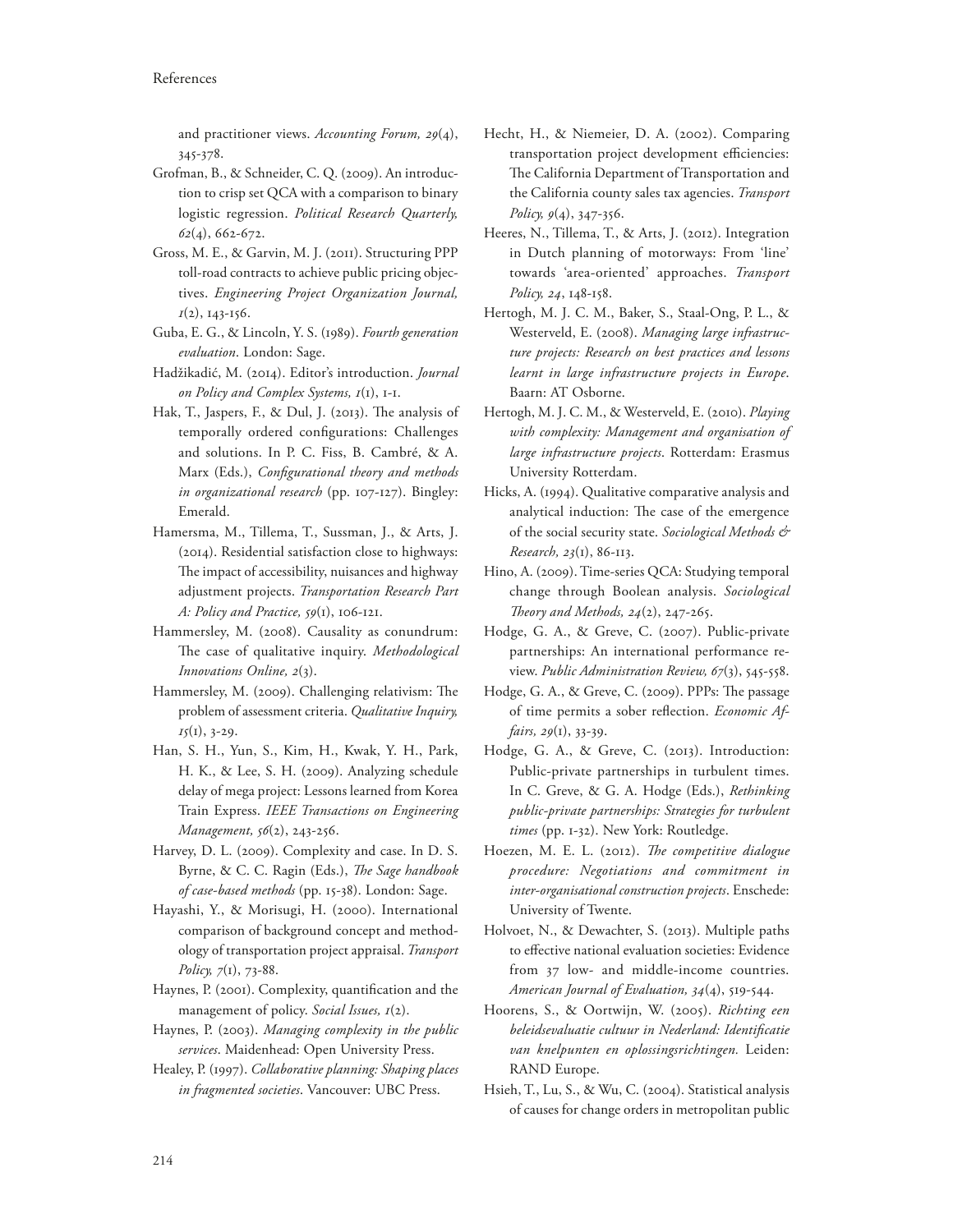and practitioner views. *Accounting Forum, 29*(4), 345-378.

- Grofman, B., & Schneider, C. Q. (2009). An introduction to crisp set QCA with a comparison to binary logistic regression. *Political Research Quarterly, 62*(4), 662-672.
- Gross, M. E., & Garvin, M. J. (2011). Structuring PPP toll-road contracts to achieve public pricing objectives. *Engineering Project Organization Journal, 1*(2), 143-156.
- Guba, E. G., & Lincoln, Y. S. (1989). *Fourth generation evaluation*. London: Sage.
- Hadžikadić, M. (2014). Editor's introduction. *Journal on Policy and Complex Systems, 1*(1), 1-1.
- Hak, T., Jaspers, F., & Dul, J. (2013). The analysis of temporally ordered configurations: Challenges and solutions. In P. C. Fiss, B. Cambré, & A. Marx (Eds.), *Configurational theory and methods in organizational research* (pp. 107-127). Bingley: Emerald.
- Hamersma, M., Tillema, T., Sussman, J., & Arts, J. (2014). Residential satisfaction close to highways: The impact of accessibility, nuisances and highway adjustment projects. *Transportation Research Part A: Policy and Practice, 59*(1), 106-121.
- Hammersley, M. (2008). Causality as conundrum: The case of qualitative inquiry. Methodological *Innovations Online, 2*(3).
- Hammersley, M. (2009). Challenging relativism: The problem of assessment criteria. *Qualitative Inquiry, 15*(1), 3-29.
- Han, S. H., Yun, S., Kim, H., Kwak, Y. H., Park, H. K., & Lee, S. H. (2009). Analyzing schedule delay of mega project: Lessons learned from Korea Train Express. *IEEE Transactions on Engineering Management, 56*(2), 243-256.
- Harvey, D. L. (2009). Complexity and case. In D. S. Byrne, & C. C. Ragin (Eds.), *The Sage handbook of case-based methods* (pp. 15-38). London: Sage.
- Hayashi, Y., & Morisugi, H. (2000). International comparison of background concept and methodology of transportation project appraisal. *Transport Policy, 7*(1), 73-88.
- Haynes, P. (2001). Complexity, quantification and the management of policy. *Social Issues, 1*(2).
- Haynes, P. (2003). *Managing complexity in the public services*. Maidenhead: Open University Press.
- Healey, P. (1997). *Collaborative planning: Shaping places in fragmented societies*. Vancouver: UBC Press.
- Hecht, H., & Niemeier, D. A. (2002). Comparing transportation project development efficiencies: The California Department of Transportation and the California county sales tax agencies. *Transport Policy, 9*(4), 347-356.
- Heeres, N., Tillema, T., & Arts, J. (2012). Integration in Dutch planning of motorways: From 'line' towards 'area-oriented' approaches. *Transport Policy, 24*, 148-158.
- Hertogh, M. J. C. M., Baker, S., Staal-Ong, P. L., & Westerveld, E. (2008). *Managing large infrastructure projects: Research on best practices and lessons learnt in large infrastructure projects in Europe*. Baarn: AT Osborne.
- Hertogh, M. J. C. M., & Westerveld, E. (2010). *Playing with complexity: Management and organisation of large infrastructure projects*. Rotterdam: Erasmus University Rotterdam.
- Hicks, A. (1994). Qualitative comparative analysis and analytical induction: The case of the emergence of the social security state. *Sociological Methods & Research, 23*(1), 86-113.
- Hino, A. (2009). Time-series QCA: Studying temporal change through Boolean analysis. *Sociological 2eory and Methods, 24*(2), 247-265.
- Hodge, G. A., & Greve, C. (2007). Public-private partnerships: An international performance review. *Public Administration Review, 67*(3), 545-558.
- Hodge, G. A., & Greve, C. (2009). PPPs: The passage of time permits a sober reflection. *Economic Affairs, 29*(1), 33-39.
- Hodge, G. A., & Greve, C. (2013). Introduction: Public-private partnerships in turbulent times. In C. Greve, & G. A. Hodge (Eds.), *Rethinking public-private partnerships: Strategies for turbulent times* (pp. 1-32). New York: Routledge.
- Hoezen, M. E. L. (2012). *The competitive dialogue procedure: Negotiations and commitment in inter-organisational construction projects*. Enschede: University of Twente.
- Holvoet, N., & Dewachter, S. (2013). Multiple paths to effective national evaluation societies: Evidence from 37 low- and middle-income countries. *American Journal of Evaluation, 34*(4), 519-544.
- Hoorens, S., & Oortwijn, W. (2005). *Richting een*   $beleidevaluate$  *cultuur in Nederland: Identificatie van knelpunten en oplossingsrichtingen.* Leiden: RAND Europe.
- Hsieh, T., Lu, S., & Wu, C. (2004). Statistical analysis of causes for change orders in metropolitan public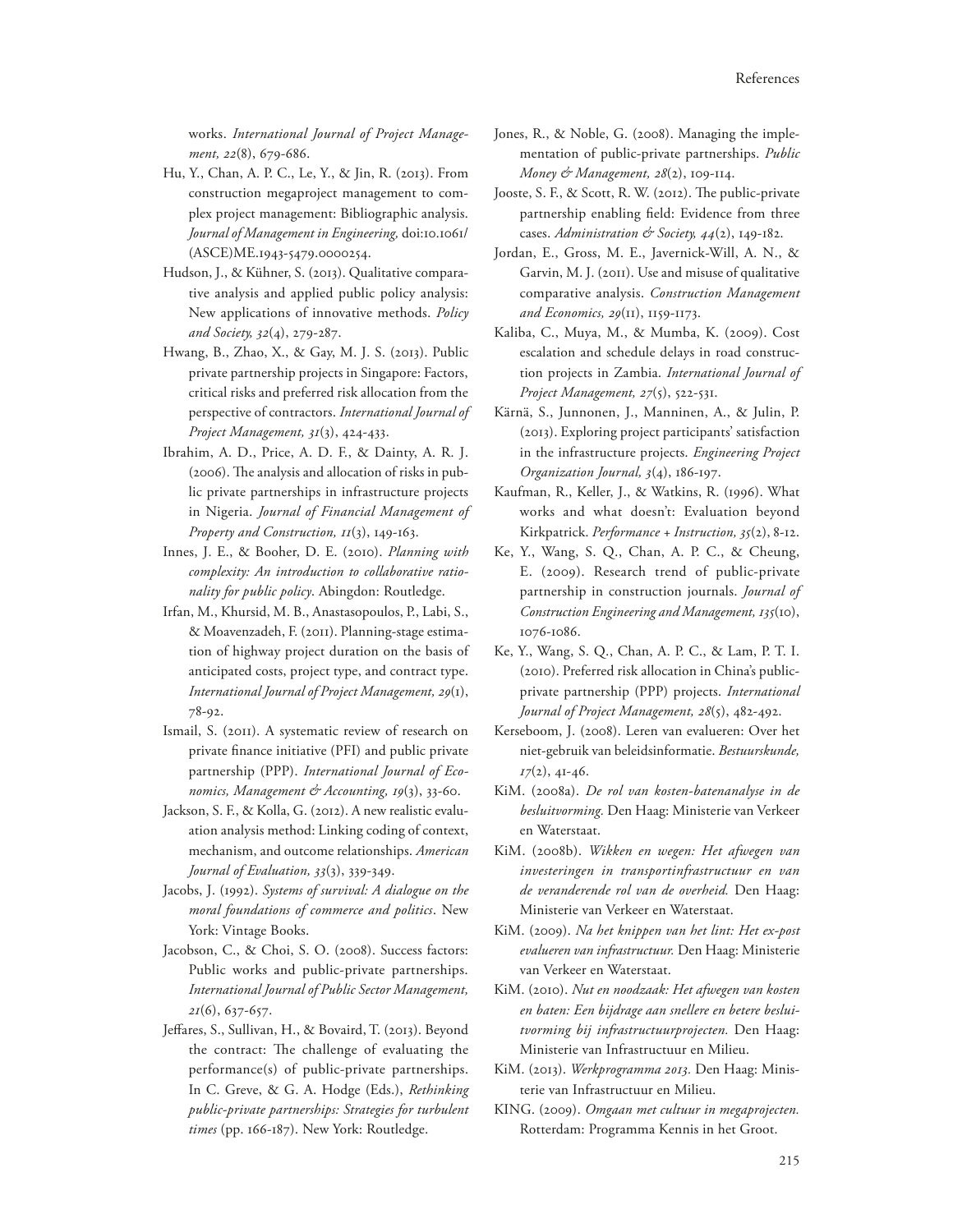works. *International Journal of Project Management, 22*(8), 679-686.

- Hu, Y., Chan, A. P. C., Le, Y., & Jin, R. (2013). From construction megaproject management to complex project management: Bibliographic analysis. *Journal of Management in Engineering,* doi:10.1061/ (ASCE)ME.1943-5479.0000254.
- Hudson, J., & Kühner, S. (2013). Qualitative comparative analysis and applied public policy analysis: New applications of innovative methods. *Policy and Society, 32*(4), 279-287.
- Hwang, B., Zhao, X., & Gay, M. J. S. (2013). Public private partnership projects in Singapore: Factors, critical risks and preferred risk allocation from the perspective of contractors. *International Journal of Project Management, 31*(3), 424-433.
- Ibrahim, A. D., Price, A. D. F., & Dainty, A. R. J.  $(2006)$ . The analysis and allocation of risks in public private partnerships in infrastructure projects in Nigeria. *Journal of Financial Management of Property and Construction, 11*(3), 149-163.
- Innes, J. E., & Booher, D. E. (2010). *Planning with complexity: An introduction to collaborative rationality for public policy*. Abingdon: Routledge.
- Irfan, M., Khursid, M. B., Anastasopoulos, P., Labi, S., & Moavenzadeh, F. (2011). Planning-stage estimation of highway project duration on the basis of anticipated costs, project type, and contract type. *International Journal of Project Management, 29*(1), 78-92.
- Ismail, S. (2011). A systematic review of research on private finance initiative (PFI) and public private partnership (PPP). *International Journal of Economics, Management & Accounting, 19*(3), 33-60.
- Jackson, S. F., & Kolla, G. (2012). A new realistic evaluation analysis method: Linking coding of context, mechanism, and outcome relationships. *American Journal of Evaluation, 33*(3), 339-349.
- Jacobs, J. (1992). *Systems of survival: A dialogue on the moral foundations of commerce and politics*. New York: Vintage Books.
- Jacobson, C., & Choi, S. O. (2008). Success factors: Public works and public-private partnerships. *International Journal of Public Sector Management, 21*(6), 637-657.
- Jeffares, S., Sullivan, H., & Bovaird, T. (2013). Beyond the contract: The challenge of evaluating the performance(s) of public-private partnerships. In C. Greve, & G. A. Hodge (Eds.), *Rethinking public-private partnerships: Strategies for turbulent times* (pp. 166-187). New York: Routledge.
- Jones, R., & Noble, G. (2008). Managing the implementation of public-private partnerships. *Public Money & Management, 28(2)*, 109-114.
- Jooste, S. F., & Scott, R. W. (2012). The public-private partnership enabling field: Evidence from three cases. Administration & Society,  $44(2)$ , 149-182.
- Jordan, E., Gross, M. E., Javernick-Will, A. N., & Garvin, M. J. (2011). Use and misuse of qualitative comparative analysis. *Construction Management and Economics, 29*(11), 1159-1173.
- Kaliba, C., Muya, M., & Mumba, K. (2009). Cost escalation and schedule delays in road construction projects in Zambia. *International Journal of Project Management, 27*(5), 522-531.
- Kärnä, S., Junnonen, J., Manninen, A., & Julin, P. (2013). Exploring project participants' satisfaction in the infrastructure projects. *Engineering Project Organization Journal, 3*(4), 186-197.
- Kaufman, R., Keller, J., & Watkins, R. (1996). What works and what doesn't: Evaluation beyond Kirkpatrick. *Performance + Instruction, 35*(2), 8-12.
- Ke, Y., Wang, S. Q., Chan, A. P. C., & Cheung, E. (2009). Research trend of public-private partnership in construction journals. *Journal of Construction Engineering and Management, 135*(10), 1076-1086.
- Ke, Y., Wang, S. Q., Chan, A. P. C., & Lam, P. T. I. (2010). Preferred risk allocation in China's publicprivate partnership (PPP) projects. *International Journal of Project Management, 28*(5), 482-492.
- Kerseboom, J. (2008). Leren van evalueren: Over het niet-gebruik van beleidsinformatie. *Bestuurskunde, 17*(2), 41-46.
- KiM. (2008a). *De rol van kosten-batenanalyse in de besluitvorming.* Den Haag: Ministerie van Verkeer en Waterstaat.
- KiM. (2008b). *Wikken en wegen: Het afwegen van investeringen in transportinfrastructuur en van de veranderende rol van de overheid.* Den Haag: Ministerie van Verkeer en Waterstaat.
- KiM. (2009). *Na het knippen van het lint: Het ex-post evalueren van infrastructuur.* Den Haag: Ministerie van Verkeer en Waterstaat.
- KiM. (2010). *Nut en noodzaak: Het afwegen van kosten en baten: Een bijdrage aan snellere en betere besluitvorming bij infrastructuurprojecten.* Den Haag: Ministerie van Infrastructuur en Milieu.
- KiM. (2013). *Werkprogramma 2013.* Den Haag: Ministerie van Infrastructuur en Milieu.
- KING. (2009). *Omgaan met cultuur in megaprojecten.* Rotterdam: Programma Kennis in het Groot.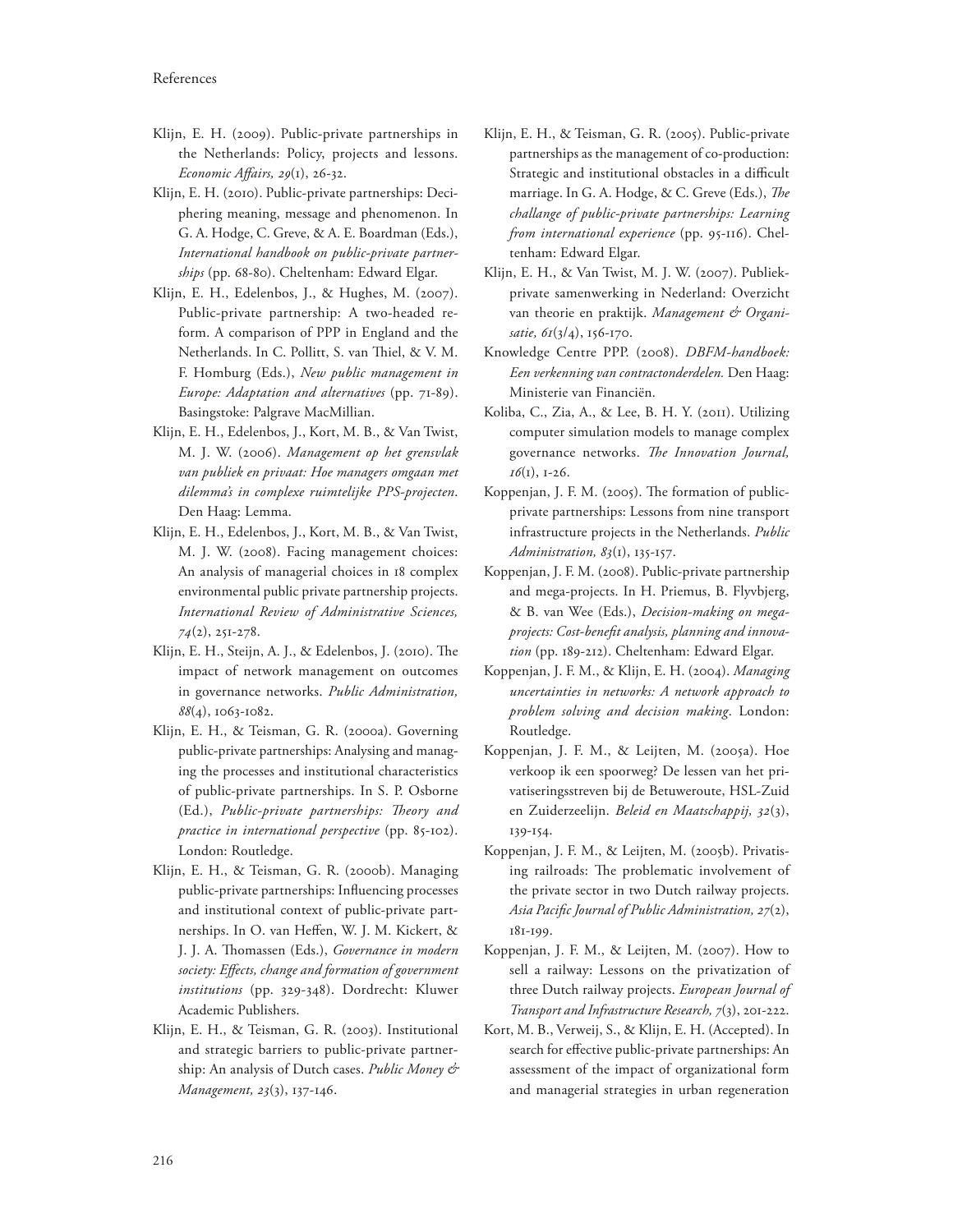- Klijn, E. H. (2009). Public-private partnerships in the Netherlands: Policy, projects and lessons. *Economic A7airs, 29*(1), 26-32.
- Klijn, E. H. (2010). Public-private partnerships: Deciphering meaning, message and phenomenon. In G. A. Hodge, C. Greve, & A. E. Boardman (Eds.), *International handbook on public-private partnerships* (pp. 68-80). Cheltenham: Edward Elgar.
- Klijn, E. H., Edelenbos, J., & Hughes, M. (2007). Public-private partnership: A two-headed reform. A comparison of PPP in England and the Netherlands. In C. Pollitt, S. van Thiel, & V. M. F. Homburg (Eds.), *New public management in Europe: Adaptation and alternatives* (pp. 71-89). Basingstoke: Palgrave MacMillian.
- Klijn, E. H., Edelenbos, J., Kort, M. B., & Van Twist, M. J. W. (2006). *Management op het grensvlak van publiek en privaat: Hoe managers omgaan met dilemma's in complexe ruimtelijke PPS-projecten*. Den Haag: Lemma.
- Klijn, E. H., Edelenbos, J., Kort, M. B., & Van Twist, M. J. W. (2008). Facing management choices: An analysis of managerial choices in 18 complex environmental public private partnership projects. *International Review of Administrative Sciences, 74*(2), 251-278.
- Klijn, E. H., Steijn, A. J., & Edelenbos, J. (2010). The impact of network management on outcomes in governance networks. *Public Administration, 88*(4), 1063-1082.
- Klijn, E. H., & Teisman, G. R. (2000a). Governing public-private partnerships: Analysing and managing the processes and institutional characteristics of public-private partnerships. In S. P. Osborne (Ed.), *Public-private partnerships: Theory and practice in international perspective* (pp. 85-102). London: Routledge.
- Klijn, E. H., & Teisman, G. R. (2000b). Managing public-private partnerships: Influencing processes and institutional context of public-private partnerships. In O. van Heffen, W. J. M. Kickert, & J. J. A. Thomassen (Eds.), *Governance in modern society: E7ects, change and formation of government institutions* (pp. 329-348). Dordrecht: Kluwer Academic Publishers.
- Klijn, E. H., & Teisman, G. R. (2003). Institutional and strategic barriers to public-private partnership: An analysis of Dutch cases. *Public Money & Management, 23*(3), 137-146.
- Klijn, E. H., & Teisman, G. R. (2005). Public-private partnerships as the management of co-production: Strategic and institutional obstacles in a difficult marriage. In G. A. Hodge, & C. Greve (Eds.), *The challange of public-private partnerships: Learning from international experience* (pp. 95-116). Cheltenham: Edward Elgar.
- Klijn, E. H., & Van Twist, M. J. W. (2007). Publiekprivate samenwerking in Nederland: Overzicht van theorie en praktijk. *Management & Organisatie, 61*(3/4), 156-170.
- Knowledge Centre PPP. (2008). *DBFM-handboek: Een verkenning van contractonderdelen.* Den Haag: Ministerie van Financiën.
- Koliba, C., Zia, A., & Lee, B. H. Y. (2011). Utilizing computer simulation models to manage complex governance networks. The Innovation Journal, *16*(1), 1-26.
- Koppenjan, J. F. M. (2005). The formation of publicprivate partnerships: Lessons from nine transport infrastructure projects in the Netherlands. *Public Administration, 83*(1), 135-157.
- Koppenjan, J. F. M. (2008). Public-private partnership and mega-projects. In H. Priemus, B. Flyvbjerg, & B. van Wee (Eds.), *Decision-making on megaprojects: Cost-bene1t analysis, planning and innovation* (pp. 189-212). Cheltenham: Edward Elgar.
- Koppenjan, J. F. M., & Klijn, E. H. (2004). *Managing uncertainties in networks: A network approach to problem solving and decision making*. London: Routledge.
- Koppenjan, J. F. M., & Leijten, M. (2005a). Hoe verkoop ik een spoorweg? De lessen van het privatiseringsstreven bij de Betuweroute, HSL-Zuid en Zuiderzeelijn. *Beleid en Maatschappij, 32*(3), 139-154.
- Koppenjan, J. F. M., & Leijten, M. (2005b). Privatising railroads: The problematic involvement of the private sector in two Dutch railway projects. *Asia Paci1c Journal of Public Administration, 27*(2), 181-199.
- Koppenjan, J. F. M., & Leijten, M. (2007). How to sell a railway: Lessons on the privatization of three Dutch railway projects. *European Journal of Transport and Infrastructure Research, 7*(3), 201-222.
- Kort, M. B., Verweij, S., & Klijn, E. H. (Accepted). In search for effective public-private partnerships: An assessment of the impact of organizational form and managerial strategies in urban regeneration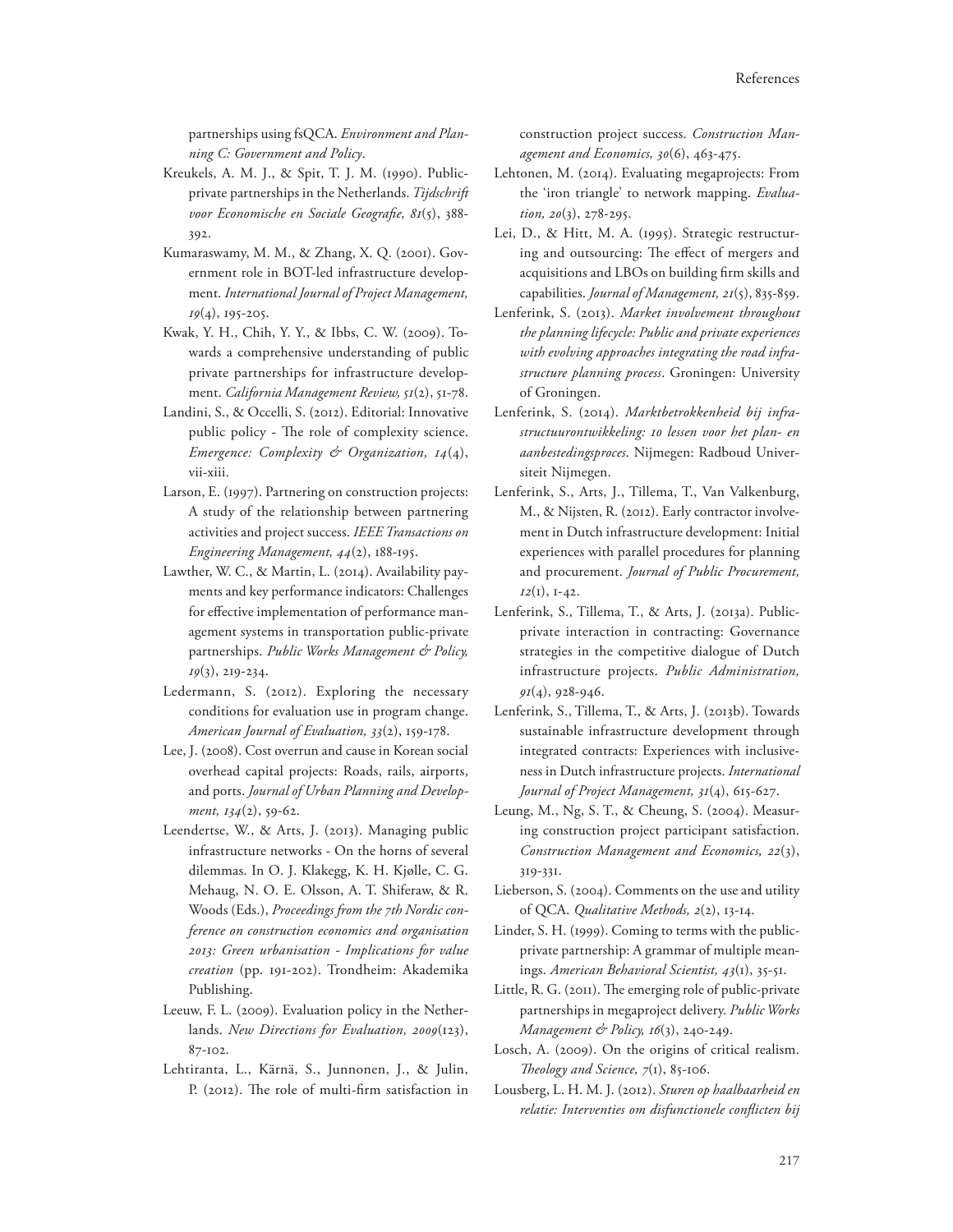partnerships using fsQCA. *Environment and Planning C: Government and Policy*.

- Kreukels, A. M. J., & Spit, T. J. M. (1990). Publicprivate partnerships in the Netherlands. *Tijdschrift*  voor Economische en Sociale Geografie, 81(5), 388-392.
- Kumaraswamy, M. M., & Zhang, X. Q. (2001). Government role in BOT-led infrastructure development. *International Journal of Project Management, 19*(4), 195-205.
- Kwak, Y. H., Chih, Y. Y., & Ibbs, C. W. (2009). Towards a comprehensive understanding of public private partnerships for infrastructure development. *California Management Review, 51*(2), 51-78.
- Landini, S., & Occelli, S. (2012). Editorial: Innovative public policy - The role of complexity science. *Emergence: Complexity & Organization, 14*(4), vii-xiii.
- Larson, E. (1997). Partnering on construction projects: A study of the relationship between partnering activities and project success. *IEEE Transactions on Engineering Management, 44*(2), 188-195.
- Lawther, W. C., & Martin, L. (2014). Availability payments and key performance indicators: Challenges for effective implementation of performance management systems in transportation public-private partnerships. *Public Works Management & Policy, 19*(3), 219-234.
- Ledermann, S. (2012). Exploring the necessary conditions for evaluation use in program change. *American Journal of Evaluation, 33*(2), 159-178.
- Lee, J. (2008). Cost overrun and cause in Korean social overhead capital projects: Roads, rails, airports, and ports. *Journal of Urban Planning and Development, 134*(2), 59-62.
- Leendertse, W., & Arts, J. (2013). Managing public infrastructure networks - On the horns of several dilemmas. In O. J. Klakegg, K. H. Kjølle, C. G. Mehaug, N. O. E. Olsson, A. T. Shiferaw, & R. Woods (Eds.), *Proceedings from the 7th Nordic conference on construction economics and organisation 2013: Green urbanisation - Implications for value creation* (pp. 191-202). Trondheim: Akademika Publishing.
- Leeuw, F. L. (2009). Evaluation policy in the Netherlands. *New Directions for Evaluation, 2009*(123), 87-102.
- Lehtiranta, L., Kärnä, S., Junnonen, J., & Julin, P. (2012). The role of multi-firm satisfaction in

construction project success. *Construction Management and Economics, 30*(6), 463-475.

- Lehtonen, M. (2014). Evaluating megaprojects: From the 'iron triangle' to network mapping. *Evaluation, 20*(3), 278-295.
- Lei, D., & Hitt, M. A. (1995). Strategic restructuring and outsourcing: The effect of mergers and acquisitions and LBOs on building firm skills and capabilities. *Journal of Management, 21*(5), 835-859.
- Lenferink, S. (2013). *Market involvement throughout the planning lifecycle: Public and private experiences with evolving approaches integrating the road infrastructure planning process*. Groningen: University of Groningen.
- Lenferink, S. (2014). *Marktbetrokkenheid bij infrastructuurontwikkeling: 10 lessen voor het plan- en aanbestedingsproces*. Nijmegen: Radboud Universiteit Nijmegen.
- Lenferink, S., Arts, J., Tillema, T., Van Valkenburg, M., & Nijsten, R. (2012). Early contractor involvement in Dutch infrastructure development: Initial experiences with parallel procedures for planning and procurement. *Journal of Public Procurement, 12*(1), 1-42.
- Lenferink, S., Tillema, T., & Arts, J. (2013a). Publicprivate interaction in contracting: Governance strategies in the competitive dialogue of Dutch infrastructure projects. *Public Administration, 91*(4), 928-946.
- Lenferink, S., Tillema, T., & Arts, J. (2013b). Towards sustainable infrastructure development through integrated contracts: Experiences with inclusiveness in Dutch infrastructure projects. *International Journal of Project Management, 31*(4), 615-627.
- Leung, M., Ng, S. T., & Cheung, S. (2004). Measuring construction project participant satisfaction. *Construction Management and Economics, 22*(3), 319-331.
- Lieberson, S. (2004). Comments on the use and utility of QCA. *Qualitative Methods, 2*(2), 13-14.
- Linder, S. H. (1999). Coming to terms with the publicprivate partnership: A grammar of multiple meanings. *American Behavioral Scientist, 43*(1), 35-51.
- Little, R. G. (2011). The emerging role of public-private partnerships in megaproject delivery. *Public Works Management & Policy, 16(3), 240-249.*
- Losch, A. (2009). On the origins of critical realism. *Theology and Science, 7(1)*, 85-106.
- Lousberg, L. H. M. J. (2012). *Sturen op haalbaarheid en relatie: Interventies om disfunctionele con8icten bij*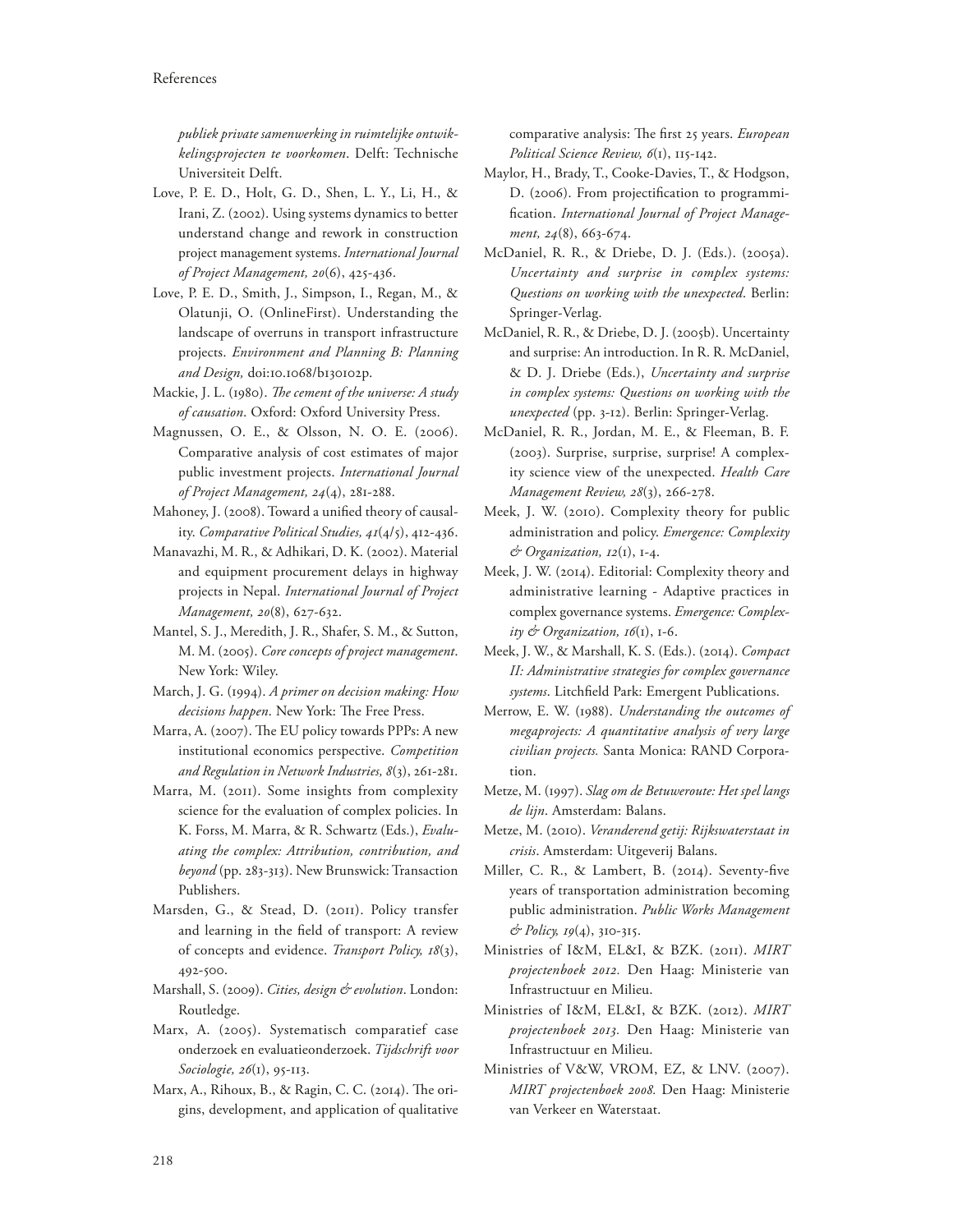*publiek private samenwerking in ruimtelijke ontwikkelingsprojecten te voorkomen*. Delft: Technische Universiteit Delft.

- Love, P. E. D., Holt, G. D., Shen, L. Y., Li, H., & Irani, Z. (2002). Using systems dynamics to better understand change and rework in construction project management systems. *International Journal of Project Management, 20*(6), 425-436.
- Love, P. E. D., Smith, J., Simpson, I., Regan, M., & Olatunji, O. (OnlineFirst). Understanding the landscape of overruns in transport infrastructure projects. *Environment and Planning B: Planning and Design,* doi:10.1068/b130102p.
- Mackie, J. L. (1980). *The cement of the universe: A study of causation*. Oxford: Oxford University Press.
- Magnussen, O. E., & Olsson, N. O. E. (2006). Comparative analysis of cost estimates of major public investment projects. *International Journal of Project Management, 24*(4), 281-288.
- Mahoney, J. (2008). Toward a unified theory of causality. *Comparative Political Studies, 41*(4/5), 412-436.
- Manavazhi, M. R., & Adhikari, D. K. (2002). Material and equipment procurement delays in highway projects in Nepal. *International Journal of Project Management, 20*(8), 627-632.
- Mantel, S. J., Meredith, J. R., Shafer, S. M., & Sutton, M. M. (2005). *Core concepts of project management*. New York: Wiley.
- March, J. G. (1994). *A primer on decision making: How decisions happen*. New York: The Free Press.
- Marra, A. (2007). The EU policy towards PPPs: A new institutional economics perspective. *Competition and Regulation in Network Industries, 8*(3), 261-281.
- Marra, M. (2011). Some insights from complexity science for the evaluation of complex policies. In K. Forss, M. Marra, & R. Schwartz (Eds.), *Evaluating the complex: Attribution, contribution, and beyond* (pp. 283-313). New Brunswick: Transaction Publishers.
- Marsden, G., & Stead, D. (2011). Policy transfer and learning in the field of transport: A review of concepts and evidence. *Transport Policy, 18*(3), 492-500.
- Marshall, S. (2009). *Cities, design & evolution*. London: Routledge.
- Marx, A. (2005). Systematisch comparatief case onderzoek en evaluatieonderzoek. *Tijdschrift voor Sociologie, 26*(1), 95-113.
- Marx, A., Rihoux, B., & Ragin, C. C. (2014). The origins, development, and application of qualitative

comparative analysis: The first 25 years. *European Political Science Review, 6*(1), 115-142.

- Maylor, H., Brady, T., Cooke-Davies, T., & Hodgson, D. (2006). From projectification to programmification. International Journal of Project Manage*ment, 24*(8), 663-674.
- McDaniel, R. R., & Driebe, D. J. (Eds.). (2005a). *Uncertainty and surprise in complex systems: Questions on working with the unexpected*. Berlin: Springer-Verlag.
- McDaniel, R. R., & Driebe, D. J. (2005b). Uncertainty and surprise: An introduction. In R. R. McDaniel, & D. J. Driebe (Eds.), *Uncertainty and surprise in complex systems: Questions on working with the unexpected* (pp. 3-12). Berlin: Springer-Verlag.
- McDaniel, R. R., Jordan, M. E., & Fleeman, B. F. (2003). Surprise, surprise, surprise! A complexity science view of the unexpected. *Health Care Management Review, 28*(3), 266-278.
- Meek, J. W. (2010). Complexity theory for public administration and policy. *Emergence: Complexity & Organization, 12*(1), 1-4.
- Meek, J. W. (2014). Editorial: Complexity theory and administrative learning - Adaptive practices in complex governance systems. *Emergence: Complexity & Organization, 16*(1), 1-6.
- Meek, J. W., & Marshall, K. S. (Eds.). (2014). *Compact II: Administrative strategies for complex governance*  systems. Litchfield Park: Emergent Publications.
- Merrow, E. W. (1988). *Understanding the outcomes of megaprojects: A quantitative analysis of very large civilian projects.* Santa Monica: RAND Corporation.
- Metze, M. (1997). *Slag om de Betuweroute: Het spel langs de lijn*. Amsterdam: Balans.
- Metze, M. (2010). *Veranderend getij: Rijkswaterstaat in crisis*. Amsterdam: Uitgeverij Balans.
- Miller, C. R., & Lambert, B. (2014). Seventy-five years of transportation administration becoming public administration. *Public Works Management & Policy, 19*(4), 310-315.
- Ministries of I&M, EL&I, & BZK. (2011). *MIRT projectenboek 2012.* Den Haag: Ministerie van Infrastructuur en Milieu.
- Ministries of I&M, EL&I, & BZK. (2012). *MIRT projectenboek 2013.* Den Haag: Ministerie van Infrastructuur en Milieu.
- Ministries of V&W, VROM, EZ, & LNV. (2007). *MIRT projectenboek 2008.* Den Haag: Ministerie van Verkeer en Waterstaat.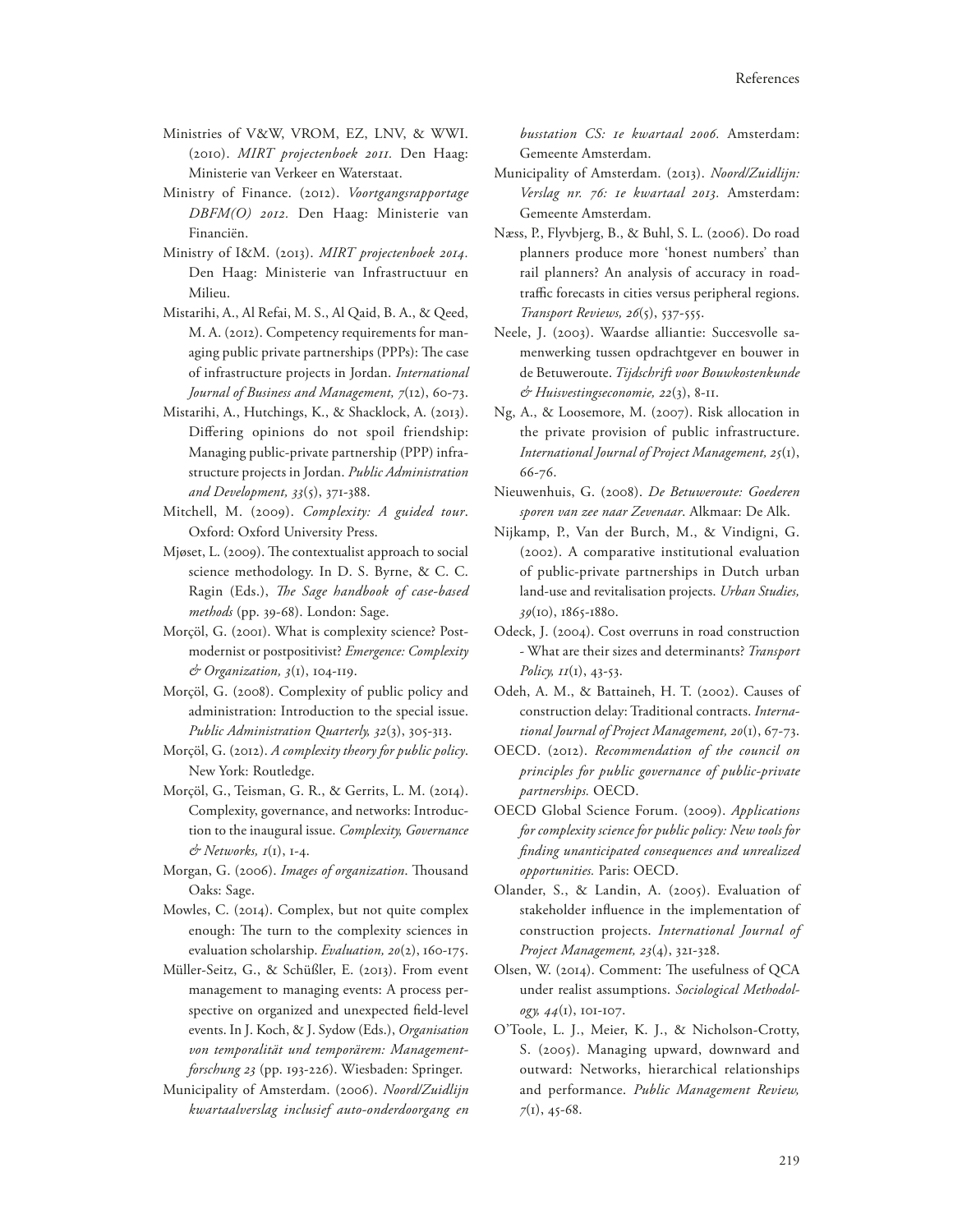- Ministries of V&W, VROM, EZ, LNV, & WWI. (2010). *MIRT projectenboek 2011.* Den Haag: Ministerie van Verkeer en Waterstaat.
- Ministry of Finance. (2012). *Voortgangsrapportage DBFM(O) 2012.* Den Haag: Ministerie van Financiën.
- Ministry of I&M. (2013). *MIRT projectenboek 2014.* Den Haag: Ministerie van Infrastructuur en Milieu.
- Mistarihi, A., Al Refai, M. S., Al Qaid, B. A., & Qeed, M. A. (2012). Competency requirements for managing public private partnerships (PPPs): The case of infrastructure projects in Jordan. *International Journal of Business and Management, 7*(12), 60-73.
- Mistarihi, A., Hutchings, K., & Shacklock, A. (2013). Differing opinions do not spoil friendship: Managing public-private partnership (PPP) infrastructure projects in Jordan. *Public Administration and Development, 33*(5), 371-388.
- Mitchell, M. (2009). *Complexity: A guided tour*. Oxford: Oxford University Press.
- Mjøset, L. (2009). The contextualist approach to social science methodology. In D. S. Byrne, & C. C. Ragin (Eds.), *The Sage handbook of case-based methods* (pp. 39-68). London: Sage.
- Morçöl, G. (2001). What is complexity science? Postmodernist or postpositivist? *Emergence: Complexity & Organization, 3*(1), 104-119.
- Morçöl, G. (2008). Complexity of public policy and administration: Introduction to the special issue. *Public Administration Quarterly, 32*(3), 305-313.
- Morçöl, G. (2012). *A complexity theory for public policy*. New York: Routledge.
- Morçöl, G., Teisman, G. R., & Gerrits, L. M. (2014). Complexity, governance, and networks: Introduction to the inaugural issue. *Complexity, Governance & Networks, 1*(1), 1-4.
- Morgan, G. (2006). *Images of organization*. Thousand Oaks: Sage.
- Mowles, C. (2014). Complex, but not quite complex enough: The turn to the complexity sciences in evaluation scholarship. *Evaluation, 20*(2), 160-175.
- Müller-Seitz, G., & Schüßler, E. (2013). From event management to managing events: A process perspective on organized and unexpected field-level events. In J. Koch, & J. Sydow (Eds.), *Organisation von temporalität und temporärem: Managementforschung 23* (pp. 193-226). Wiesbaden: Springer.
- Municipality of Amsterdam. (2006). *Noord/Zuidlijn kwartaalverslag inclusief auto-onderdoorgang en*

*busstation CS: 1e kwartaal 2006.* Amsterdam: Gemeente Amsterdam.

- Municipality of Amsterdam. (2013). *Noord/Zuidlijn: Verslag nr. 76: 1e kwartaal 2013.* Amsterdam: Gemeente Amsterdam.
- Næss, P., Flyvbjerg, B., & Buhl, S. L. (2006). Do road planners produce more 'honest numbers' than rail planners? An analysis of accuracy in roadtraffic forecasts in cities versus peripheral regions. *Transport Reviews, 26*(5), 537-555.
- Neele, J. (2003). Waardse alliantie: Succesvolle samenwerking tussen opdrachtgever en bouwer in de Betuweroute. *Tijdschrift voor Bouwkostenkunde & Huisvestingseconomie, 22*(3), 8-11.
- Ng, A., & Loosemore, M. (2007). Risk allocation in the private provision of public infrastructure. *International Journal of Project Management, 25*(1), 66-76.
- Nieuwenhuis, G. (2008). *De Betuweroute: Goederen sporen van zee naar Zevenaar*. Alkmaar: De Alk.
- Nijkamp, P., Van der Burch, M., & Vindigni, G. (2002). A comparative institutional evaluation of public-private partnerships in Dutch urban land-use and revitalisation projects. *Urban Studies, 39*(10), 1865-1880.
- Odeck, J. (2004). Cost overruns in road construction - What are their sizes and determinants? *Transport Policy, 11*(1), 43-53.
- Odeh, A. M., & Battaineh, H. T. (2002). Causes of construction delay: Traditional contracts. *International Journal of Project Management, 20*(1), 67-73.
- OECD. (2012). *Recommendation of the council on principles for public governance of public-private partnerships.* OECD.
- OECD Global Science Forum. (2009). *Applications for complexity science for public policy: New tools for 1nding unanticipated consequences and unrealized opportunities.* Paris: OECD.
- Olander, S., & Landin, A. (2005). Evaluation of stakeholder influence in the implementation of construction projects. *International Journal of Project Management, 23*(4), 321-328.
- Olsen, W. (2014). Comment: The usefulness of OCA under realist assumptions. *Sociological Methodology, 44*(1), 101-107.
- O'Toole, L. J., Meier, K. J., & Nicholson-Crotty, S. (2005). Managing upward, downward and outward: Networks, hierarchical relationships and performance. *Public Management Review, 7*(1), 45-68.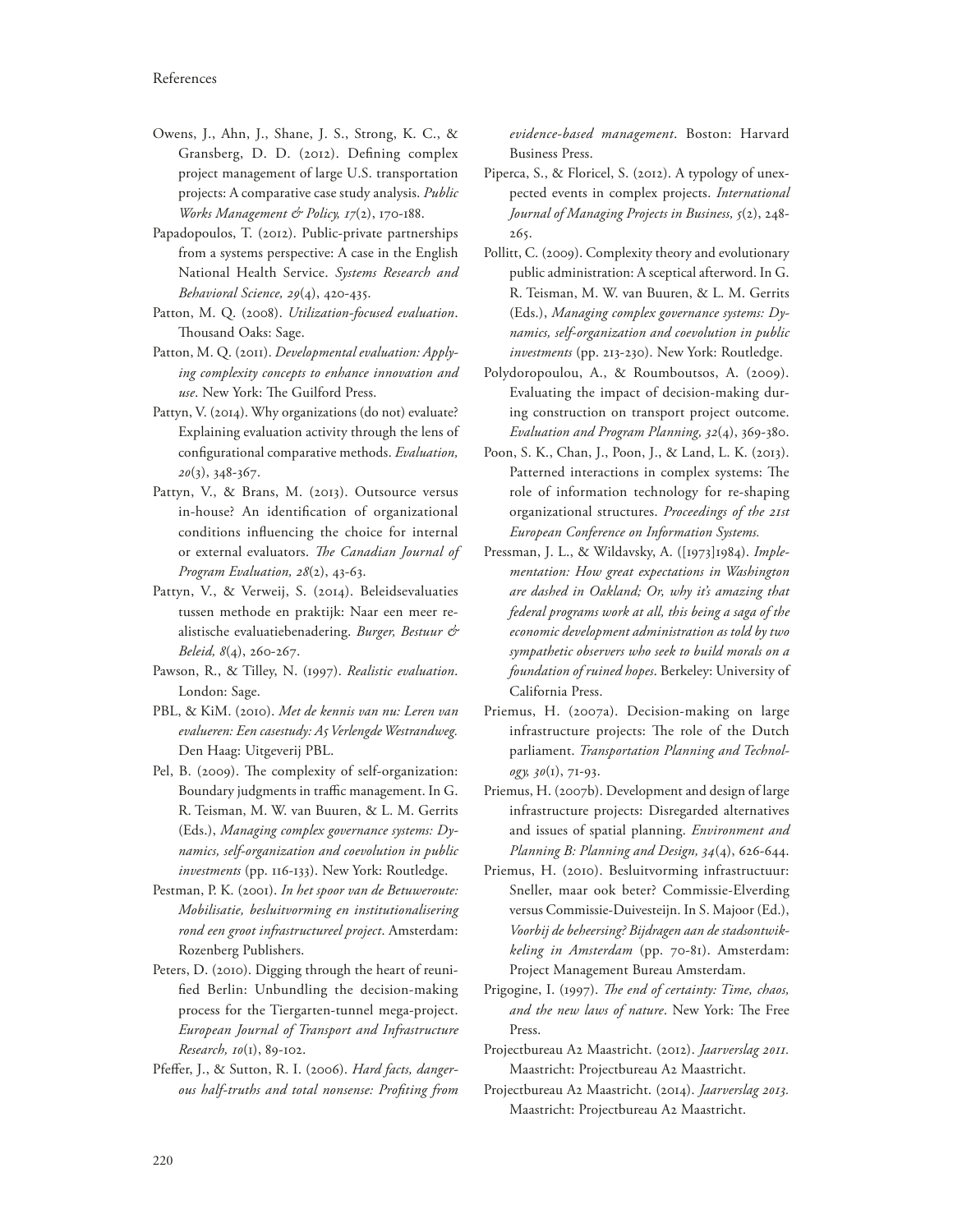- Owens, J., Ahn, J., Shane, J. S., Strong, K. C., & Gransberg, D. D. (2012). Defining complex project management of large U.S. transportation projects: A comparative case study analysis. *Public Works Management & Policy, 17*(2), 170-188.
- Papadopoulos, T. (2012). Public-private partnerships from a systems perspective: A case in the English National Health Service. *Systems Research and Behavioral Science, 29*(4), 420-435.
- Patton, M. Q. (2008). *Utilization-focused evaluation*. Thousand Oaks: Sage.
- Patton, M. Q. (2011). *Developmental evaluation: Applying complexity concepts to enhance innovation and*  use. New York: The Guilford Press.
- Pattyn, V. (2014). Why organizations (do not) evaluate? Explaining evaluation activity through the lens of con"gurational comparative methods. *Evaluation, 20*(3), 348-367.
- Pattyn, V., & Brans, M. (2013). Outsource versus in-house? An identification of organizational conditions influencing the choice for internal or external evaluators. The Canadian Journal of *Program Evaluation, 28*(2), 43-63.
- Pattyn, V., & Verweij, S. (2014). Beleidsevaluaties tussen methode en praktijk: Naar een meer realistische evaluatiebenadering. *Burger, Bestuur & Beleid, 8*(4), 260-267.
- Pawson, R., & Tilley, N. (1997). *Realistic evaluation*. London: Sage.
- PBL, & KiM. (2010). *Met de kennis van nu: Leren van evalueren: Een casestudy: A5 Verlengde Westrandweg.* Den Haag: Uitgeverij PBL.
- Pel, B. (2009). The complexity of self-organization: Boundary judgments in traffic management. In G. R. Teisman, M. W. van Buuren, & L. M. Gerrits (Eds.), *Managing complex governance systems: Dynamics, self-organization and coevolution in public investments* (pp. 116-133). New York: Routledge.
- Pestman, P. K. (2001). *In het spoor van de Betuweroute: Mobilisatie, besluitvorming en institutionalisering rond een groot infrastructureel project*. Amsterdam: Rozenberg Publishers.
- Peters, D. (2010). Digging through the heart of reuni fied Berlin: Unbundling the decision-making process for the Tiergarten-tunnel mega-project. *European Journal of Transport and Infrastructure Research, 10*(1), 89-102.
- Pfeffer, J., & Sutton, R. I. (2006). *Hard facts, dangerous half-truths and total nonsense: Pro1ting from*

*evidence-based management*. Boston: Harvard Business Press.

- Piperca, S., & Floricel, S. (2012). A typology of unexpected events in complex projects. *International Journal of Managing Projects in Business, 5*(2), 248- 265.
- Pollitt, C. (2009). Complexity theory and evolutionary public administration: A sceptical afterword. In G. R. Teisman, M. W. van Buuren, & L. M. Gerrits (Eds.), *Managing complex governance systems: Dynamics, self-organization and coevolution in public investments* (pp. 213-230). New York: Routledge.
- Polydoropoulou, A., & Roumboutsos, A. (2009). Evaluating the impact of decision-making during construction on transport project outcome. *Evaluation and Program Planning, 32*(4), 369-380.
- Poon, S. K., Chan, J., Poon, J., & Land, L. K. (2013). Patterned interactions in complex systems: The role of information technology for re-shaping organizational structures. *Proceedings of the 21st European Conference on Information Systems.*
- Pressman, J. L., & Wildavsky, A. ([1973]1984). *Implementation: How great expectations in Washington are dashed in Oakland; Or, why it's amazing that federal programs work at all, this being a saga of the economic development administration as told by two sympathetic observers who seek to build morals on a foundation of ruined hopes*. Berkeley: University of California Press.
- Priemus, H. (2007a). Decision-making on large infrastructure projects: The role of the Dutch parliament. *Transportation Planning and Technology, 30*(1), 71-93.
- Priemus, H. (2007b). Development and design of large infrastructure projects: Disregarded alternatives and issues of spatial planning. *Environment and Planning B: Planning and Design, 34*(4), 626-644.
- Priemus, H. (2010). Besluitvorming infrastructuur: Sneller, maar ook beter? Commissie-Elverding versus Commissie-Duivesteijn. In S. Majoor (Ed.), *Voorbij de beheersing? Bijdragen aan de stadsontwikkeling in Amsterdam* (pp. 70-81). Amsterdam: Project Management Bureau Amsterdam.
- Prigogine, I. (1997). *The end of certainty: Time, chaos,* and the new laws of nature. New York: The Free Press.
- Projectbureau A2 Maastricht. (2012). *Jaarverslag 2011.* Maastricht: Projectbureau A2 Maastricht.
- Projectbureau A2 Maastricht. (2014). *Jaarverslag 2013.* Maastricht: Projectbureau A2 Maastricht.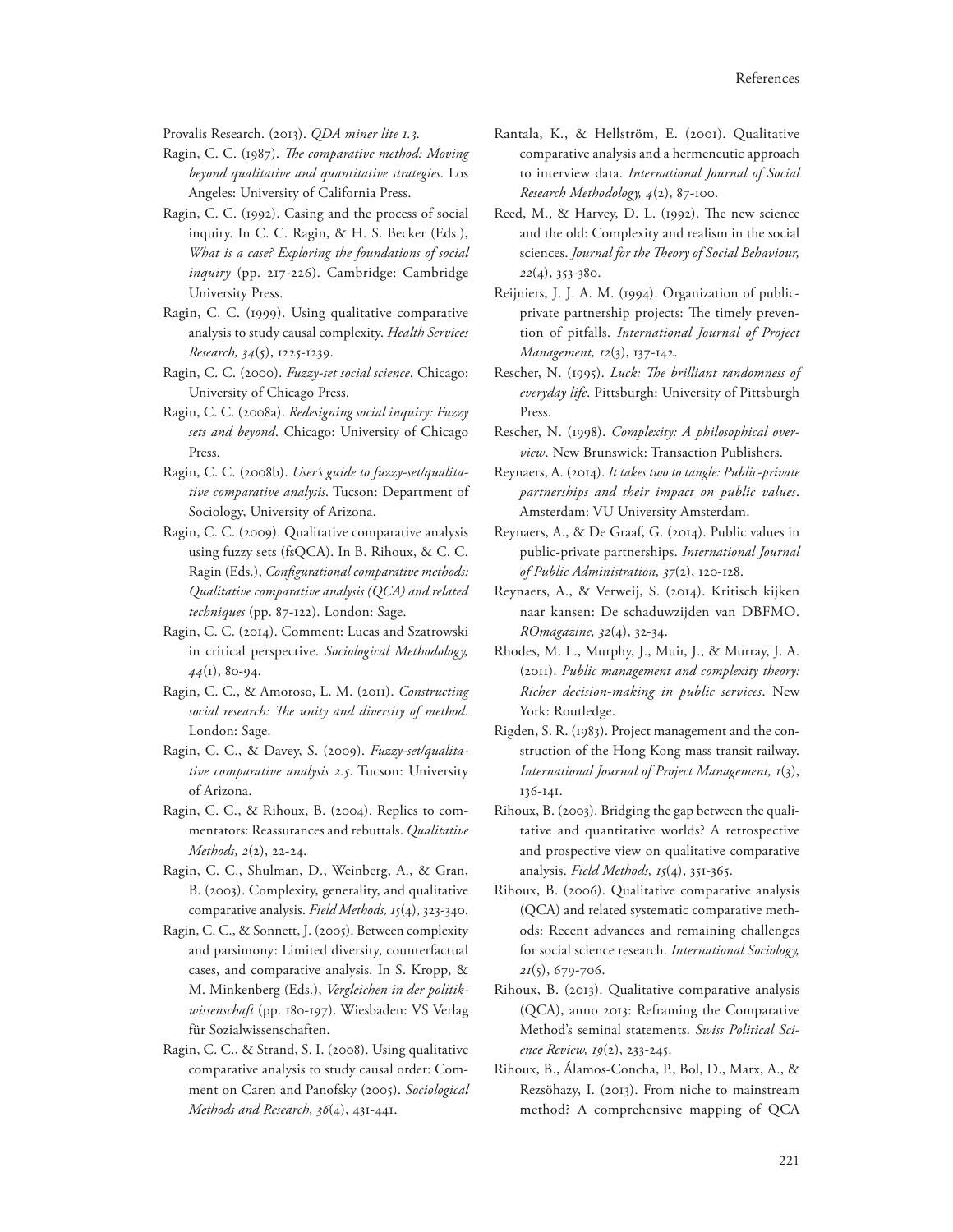Provalis Research. (2013). *QDA miner lite 1.3.*

- Ragin, C. C. (1987). *The comparative method: Moving beyond qualitative and quantitative strategies*. Los Angeles: University of California Press.
- Ragin, C. C. (1992). Casing and the process of social inquiry. In C. C. Ragin, & H. S. Becker (Eds.), *What is a case? Exploring the foundations of social inquiry* (pp. 217-226). Cambridge: Cambridge University Press.
- Ragin, C. C. (1999). Using qualitative comparative analysis to study causal complexity. *Health Services Research, 34*(5), 1225-1239.
- Ragin, C. C. (2000). *Fuzzy-set social science*. Chicago: University of Chicago Press.
- Ragin, C. C. (2008a). *Redesigning social inquiry: Fuzzy sets and beyond*. Chicago: University of Chicago Press.
- Ragin, C. C. (2008b). *User's guide to fuzzy-set/qualitative comparative analysis*. Tucson: Department of Sociology, University of Arizona.
- Ragin, C. C. (2009). Qualitative comparative analysis using fuzzy sets (fsQCA). In B. Rihoux, & C. C. Ragin (Eds.), *Configurational comparative methods: Qualitative comparative analysis (QCA) and related techniques* (pp. 87-122). London: Sage.
- Ragin, C. C. (2014). Comment: Lucas and Szatrowski in critical perspective. *Sociological Methodology, 44*(1), 80-94.
- Ragin, C. C., & Amoroso, L. M. (2011). *Constructing*  social research: The unity and diversity of method. London: Sage.
- Ragin, C. C., & Davey, S. (2009). *Fuzzy-set/qualitative comparative analysis 2.5*. Tucson: University of Arizona.
- Ragin, C. C., & Rihoux, B. (2004). Replies to commentators: Reassurances and rebuttals. *Qualitative Methods, 2*(2), 22-24.
- Ragin, C. C., Shulman, D., Weinberg, A., & Gran, B. (2003). Complexity, generality, and qualitative comparative analysis. *Field Methods, 15*(4), 323-340.
- Ragin, C. C., & Sonnett, J. (2005). Between complexity and parsimony: Limited diversity, counterfactual cases, and comparative analysis. In S. Kropp, & M. Minkenberg (Eds.), *Vergleichen in der politikwissenschaft* (pp. 180-197). Wiesbaden: VS Verlag für Sozialwissenschaften.
- Ragin, C. C., & Strand, S. I. (2008). Using qualitative comparative analysis to study causal order: Comment on Caren and Panofsky (2005). *Sociological Methods and Research, 36*(4), 431-441.
- Rantala, K., & Hellström, E. (2001). Qualitative comparative analysis and a hermeneutic approach to interview data. *International Journal of Social Research Methodology, 4*(2), 87-100.
- Reed, M., & Harvey, D. L. (1992). The new science and the old: Complexity and realism in the social sciences. Journal for the Theory of Social Behaviour, *22*(4), 353-380.
- Reijniers, J. J. A. M. (1994). Organization of publicprivate partnership projects: The timely prevention of pitfalls. *International Journal of Project Management, 12*(3), 137-142.
- Rescher, N. (1995). *Luck: The brilliant randomness of everyday life*. Pittsburgh: University of Pittsburgh Press.
- Rescher, N. (1998). *Complexity: A philosophical overview*. New Brunswick: Transaction Publishers.
- Reynaers, A. (2014). *It takes two to tangle: Public-private partnerships and their impact on public values*. Amsterdam: VU University Amsterdam.
- Reynaers, A., & De Graaf, G. (2014). Public values in public-private partnerships. *International Journal of Public Administration, 37*(2), 120-128.
- Reynaers, A., & Verweij, S. (2014). Kritisch kijken naar kansen: De schaduwzijden van DBFMO. *ROmagazine, 32*(4), 32-34.
- Rhodes, M. L., Murphy, J., Muir, J., & Murray, J. A. (2011). *Public management and complexity theory: Richer decision-making in public services*. New York: Routledge.
- Rigden, S. R. (1983). Project management and the construction of the Hong Kong mass transit railway. *International Journal of Project Management, 1*(3), 136-141.
- Rihoux, B. (2003). Bridging the gap between the qualitative and quantitative worlds? A retrospective and prospective view on qualitative comparative analysis. *Field Methods, 15*(4), 351-365.
- Rihoux, B. (2006). Qualitative comparative analysis (QCA) and related systematic comparative methods: Recent advances and remaining challenges for social science research. *International Sociology, 21*(5), 679-706.
- Rihoux, B. (2013). Qualitative comparative analysis (QCA), anno 2013: Reframing the Comparative Method's seminal statements. *Swiss Political Science Review, 19*(2), 233-245.
- Rihoux, B., Álamos-Concha, P., Bol, D., Marx, A., & Rezsöhazy, I. (2013). From niche to mainstream method? A comprehensive mapping of QCA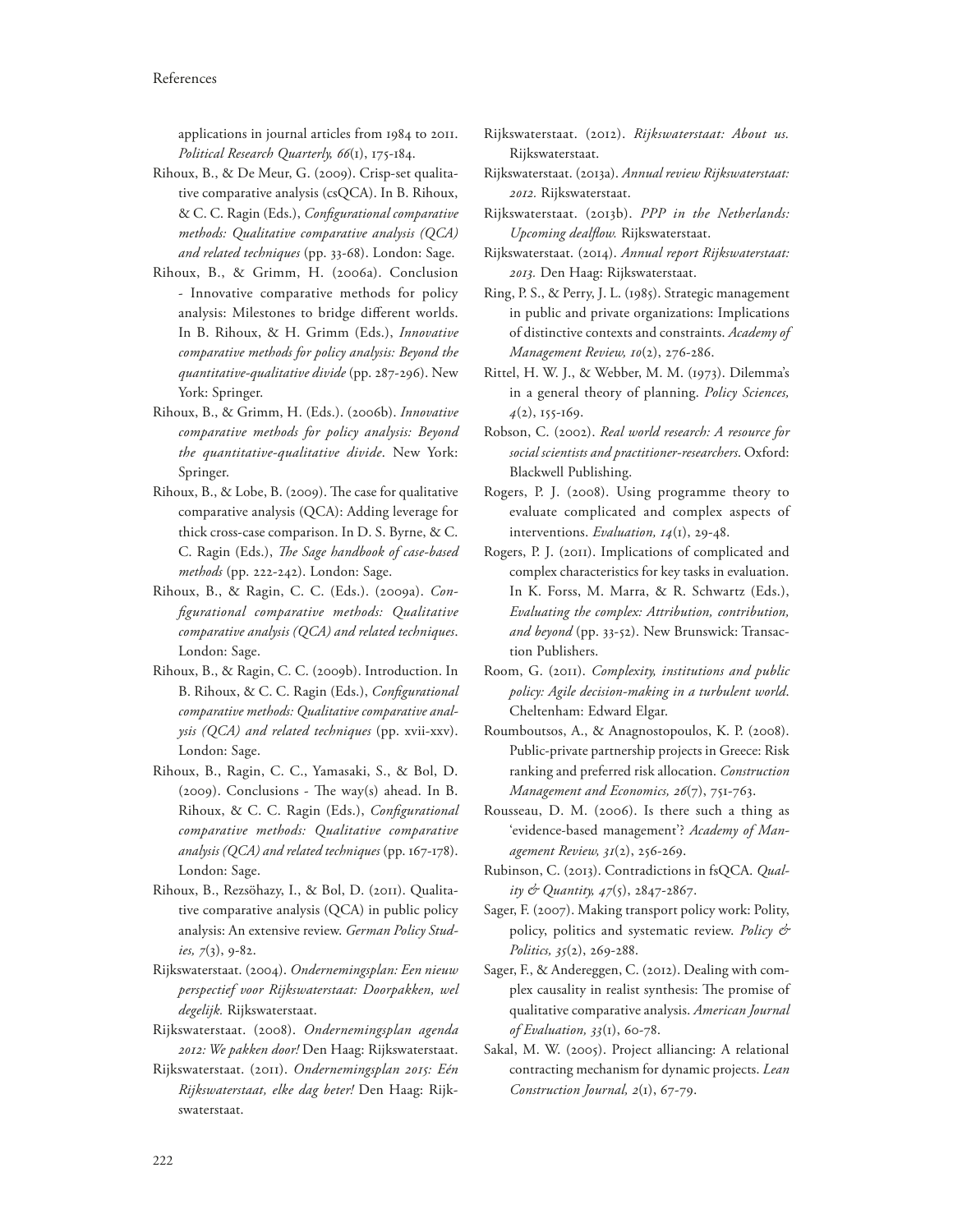applications in journal articles from 1984 to 2011. *Political Research Quarterly, 66*(1), 175-184.

- Rihoux, B., & De Meur, G. (2009). Crisp-set qualitative comparative analysis (csQCA). In B. Rihoux,  $& C. C.$  Ragin (Eds.), *Configurational comparative methods: Qualitative comparative analysis (QCA) and related techniques* (pp. 33-68). London: Sage.
- Rihoux, B., & Grimm, H. (2006a). Conclusion - Innovative comparative methods for policy analysis: Milestones to bridge different worlds. In B. Rihoux, & H. Grimm (Eds.), *Innovative comparative methods for policy analysis: Beyond the quantitative-qualitative divide* (pp. 287-296). New York: Springer.
- Rihoux, B., & Grimm, H. (Eds.). (2006b). *Innovative comparative methods for policy analysis: Beyond the quantitative-qualitative divide*. New York: Springer.
- Rihoux, B., & Lobe, B. (2009). The case for qualitative comparative analysis (QCA): Adding leverage for thick cross-case comparison. In D. S. Byrne, & C. C. Ragin (Eds.), *The Sage handbook of case-based methods* (pp. 222-242). London: Sage.
- Rihoux, B., & Ragin, C. C. (Eds.). (2009a). *Con-1gurational comparative methods: Qualitative comparative analysis (QCA) and related techniques*. London: Sage.
- Rihoux, B., & Ragin, C. C. (2009b). Introduction. In B. Rihoux, & C. C. Ragin (Eds.), *Configurational comparative methods: Qualitative comparative analysis (QCA) and related techniques* (pp. xvii-xxv). London: Sage.
- Rihoux, B., Ragin, C. C., Yamasaki, S., & Bol, D.  $(2009)$ . Conclusions - The way $(s)$  ahead. In B. Rihoux, & C. C. Ragin (Eds.), *Configurational comparative methods: Qualitative comparative analysis (QCA) and related techniques* (pp. 167-178). London: Sage.
- Rihoux, B., Rezsöhazy, I., & Bol, D. (2011). Qualitative comparative analysis (QCA) in public policy analysis: An extensive review. *German Policy Studies, 7*(3), 9-82.
- Rijkswaterstaat. (2004). *Ondernemingsplan: Een nieuw perspectief voor Rijkswaterstaat: Doorpakken, wel degelijk.* Rijkswaterstaat.
- Rijkswaterstaat. (2008). *Ondernemingsplan agenda 2012: We pakken door!* Den Haag: Rijkswaterstaat.
- Rijkswaterstaat. (2011). *Ondernemingsplan 2015: Eén Rijkswaterstaat, elke dag beter!* Den Haag: Rijkswaterstaat.
- Rijkswaterstaat. (2012). *Rijkswaterstaat: About us.* Rijkswaterstaat.
- Rijkswaterstaat. (2013a). *Annual review Rijkswaterstaat: 2012.* Rijkswaterstaat.
- Rijkswaterstaat. (2013b). *PPP in the Netherlands: Upcoming deal8ow.* Rijkswaterstaat.
- Rijkswaterstaat. (2014). *Annual report Rijkswaterstaat: 2013.* Den Haag: Rijkswaterstaat.
- Ring, P. S., & Perry, J. L. (1985). Strategic management in public and private organizations: Implications of distinctive contexts and constraints. *Academy of Management Review, 10*(2), 276-286.
- Rittel, H. W. J., & Webber, M. M. (1973). Dilemma's in a general theory of planning. *Policy Sciences, 4*(2), 155-169.
- Robson, C. (2002). *Real world research: A resource for social scientists and practitioner-researchers*. Oxford: Blackwell Publishing.
- Rogers, P. J. (2008). Using programme theory to evaluate complicated and complex aspects of interventions. *Evaluation, 14*(1), 29-48.
- Rogers, P. J. (2011). Implications of complicated and complex characteristics for key tasks in evaluation. In K. Forss, M. Marra, & R. Schwartz (Eds.), *Evaluating the complex: Attribution, contribution, and beyond* (pp. 33-52). New Brunswick: Transaction Publishers.
- Room, G. (2011). *Complexity, institutions and public policy: Agile decision-making in a turbulent world*. Cheltenham: Edward Elgar.
- Roumboutsos, A., & Anagnostopoulos, K. P. (2008). Public-private partnership projects in Greece: Risk ranking and preferred risk allocation. *Construction Management and Economics, 26*(7), 751-763.
- Rousseau, D. M. (2006). Is there such a thing as 'evidence-based management'? *Academy of Management Review, 31*(2), 256-269.
- Rubinson, C. (2013). Contradictions in fsQCA. *Quality & Quantity, 47*(5), 2847-2867.
- Sager, F. (2007). Making transport policy work: Polity, policy, politics and systematic review. *Policy & Politics, 35*(2), 269-288.
- Sager, F., & Andereggen, C. (2012). Dealing with complex causality in realist synthesis: The promise of qualitative comparative analysis. *American Journal of Evaluation, 33*(1), 60-78.
- Sakal, M. W. (2005). Project alliancing: A relational contracting mechanism for dynamic projects. *Lean Construction Journal, 2*(1), 67-79.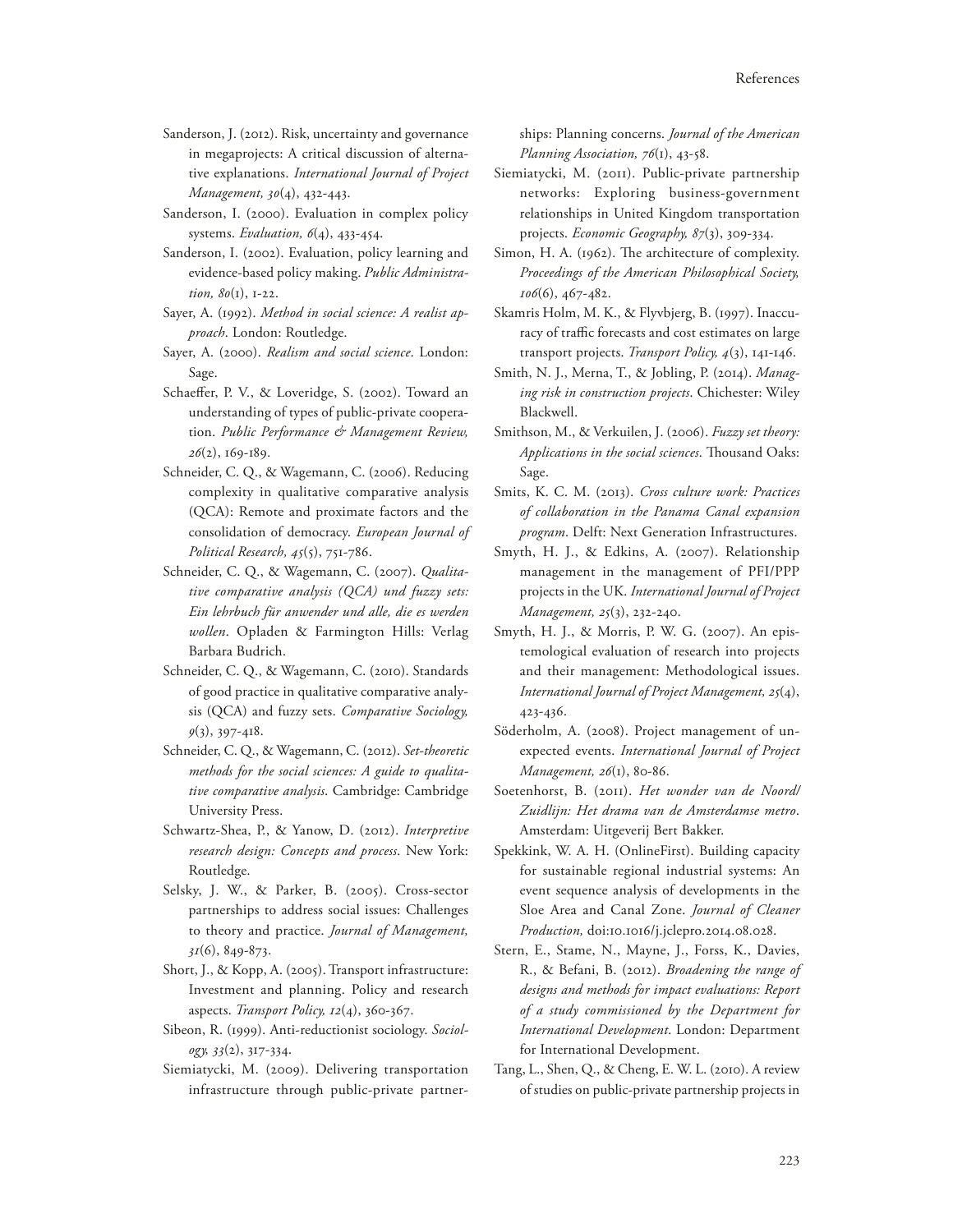- Sanderson, J. (2012). Risk, uncertainty and governance in megaprojects: A critical discussion of alternative explanations. *International Journal of Project Management, 30*(4), 432-443.
- Sanderson, I. (2000). Evaluation in complex policy systems. *Evaluation, 6*(4), 433-454.
- Sanderson, I. (2002). Evaluation, policy learning and evidence-based policy making. *Public Administration, 80*(1), 1-22.
- Sayer, A. (1992). *Method in social science: A realist approach*. London: Routledge.
- Sayer, A. (2000). *Realism and social science*. London: Sage.
- Schaeffer, P. V., & Loveridge, S. (2002). Toward an understanding of types of public-private cooperation. *Public Performance & Management Review, 26*(2), 169-189.
- Schneider, C. Q., & Wagemann, C. (2006). Reducing complexity in qualitative comparative analysis (QCA): Remote and proximate factors and the consolidation of democracy. *European Journal of Political Research, 45*(5), 751-786.
- Schneider, C. Q., & Wagemann, C. (2007). *Qualitative comparative analysis (QCA) und fuzzy sets: Ein lehrbuch für anwender und alle, die es werden wollen*. Opladen & Farmington Hills: Verlag Barbara Budrich.
- Schneider, C. Q., & Wagemann, C. (2010). Standards of good practice in qualitative comparative analysis (QCA) and fuzzy sets. *Comparative Sociology, 9*(3), 397-418.
- Schneider, C. Q., & Wagemann, C. (2012). *Set-theoretic methods for the social sciences: A guide to qualitative comparative analysis*. Cambridge: Cambridge University Press.
- Schwartz-Shea, P., & Yanow, D. (2012). *Interpretive research design: Concepts and process*. New York: Routledge.
- Selsky, J. W., & Parker, B. (2005). Cross-sector partnerships to address social issues: Challenges to theory and practice. *Journal of Management, 31*(6), 849-873.
- Short, J., & Kopp, A. (2005). Transport infrastructure: Investment and planning. Policy and research aspects. *Transport Policy, 12*(4), 360-367.
- Sibeon, R. (1999). Anti-reductionist sociology. *Sociology, 33*(2), 317-334.
- Siemiatycki, M. (2009). Delivering transportation infrastructure through public-private partner-

ships: Planning concerns. *Journal of the American Planning Association, 76*(1), 43-58.

- Siemiatycki, M. (2011). Public-private partnership networks: Exploring business-government relationships in United Kingdom transportation projects. *Economic Geography, 87*(3), 309-334.
- Simon, H. A. (1962). The architecture of complexity. *Proceedings of the American Philosophical Society, 106*(6), 467-482.
- Skamris Holm, M. K., & Flyvbjerg, B. (1997). Inaccuracy of traffic forecasts and cost estimates on large transport projects. *Transport Policy, 4*(3), 141-146.
- Smith, N. J., Merna, T., & Jobling, P. (2014). *Managing risk in construction projects*. Chichester: Wiley Blackwell.
- Smithson, M., & Verkuilen, J. (2006). *Fuzzy set theory: Applications in the social sciences*. Thousand Oaks: Sage.
- Smits, K. C. M. (2013). *Cross culture work: Practices of collaboration in the Panama Canal expansion program*. Delft: Next Generation Infrastructures.
- Smyth, H. J., & Edkins, A. (2007). Relationship management in the management of PFI/PPP projects in the UK. *International Journal of Project Management, 25*(3), 232-240.
- Smyth, H. J., & Morris, P. W. G. (2007). An epistemological evaluation of research into projects and their management: Methodological issues. *International Journal of Project Management, 25*(4), 423-436.
- Söderholm, A. (2008). Project management of unexpected events. *International Journal of Project Management, 26*(1), 80-86.
- Soetenhorst, B. (2011). *Het wonder van de Noord/ Zuidlijn: Het drama van de Amsterdamse metro*. Amsterdam: Uitgeverij Bert Bakker.
- Spekkink, W. A. H. (OnlineFirst). Building capacity for sustainable regional industrial systems: An event sequence analysis of developments in the Sloe Area and Canal Zone. *Journal of Cleaner Production,* doi:10.1016/j.jclepro.2014.08.028.
- Stern, E., Stame, N., Mayne, J., Forss, K., Davies, R., & Befani, B. (2012). *Broadening the range of designs and methods for impact evaluations: Report of a study commissioned by the Department for International Development*. London: Department for International Development.
- Tang, L., Shen, Q., & Cheng, E. W. L. (2010). A review of studies on public-private partnership projects in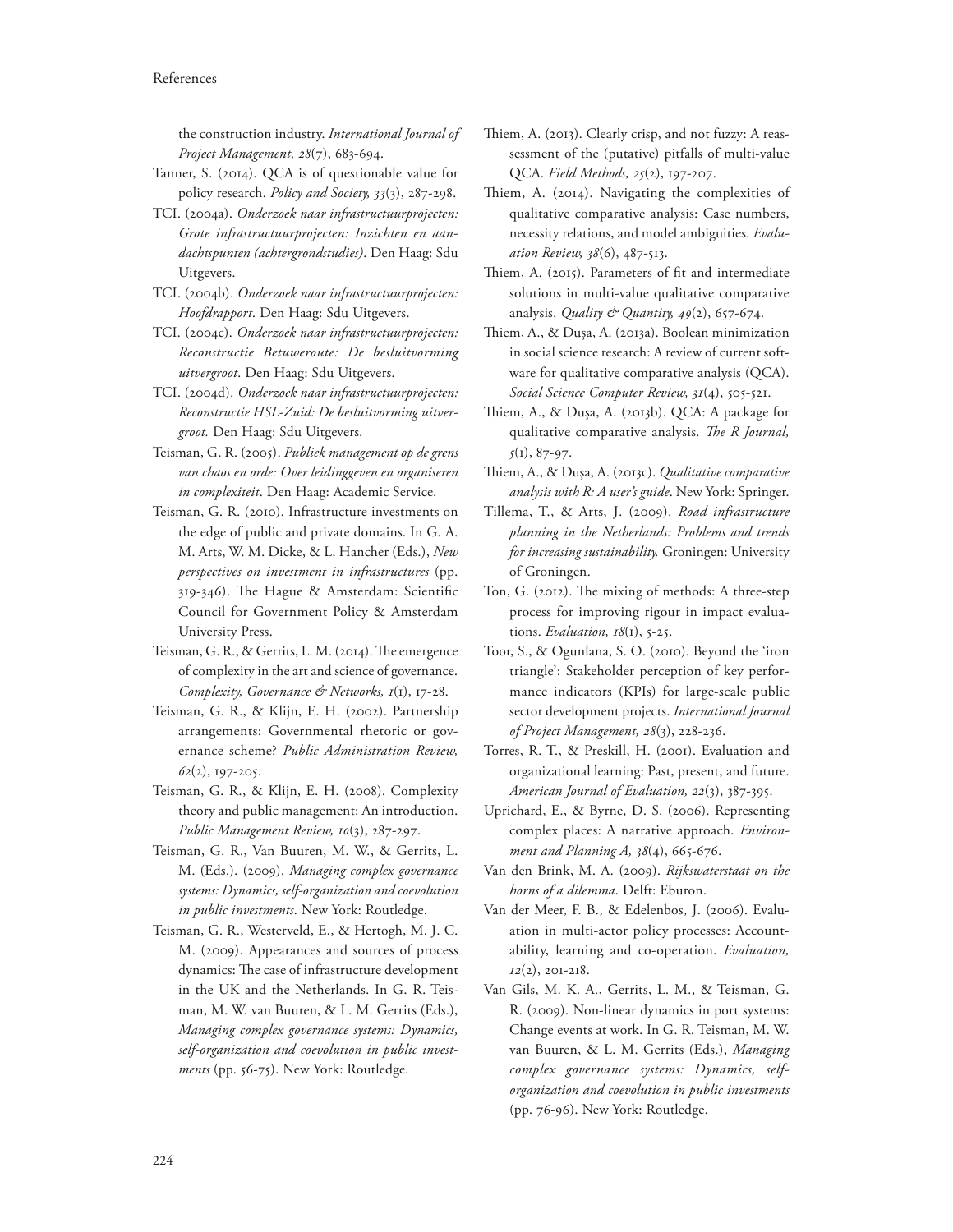the construction industry. *International Journal of Project Management, 28*(7), 683-694.

- Tanner, S. (2014). QCA is of questionable value for policy research. *Policy and Society, 33*(3), 287-298.
- TCI. (2004a). *Onderzoek naar infrastructuurprojecten: Grote infrastructuurprojecten: Inzichten en aandachtspunten (achtergrondstudies)*. Den Haag: Sdu Uitgevers.
- TCI. (2004b). *Onderzoek naar infrastructuurprojecten: Hoofdrapport*. Den Haag: Sdu Uitgevers.
- TCI. (2004c). *Onderzoek naar infrastructuurprojecten: Reconstructie Betuweroute: De besluitvorming uitvergroot*. Den Haag: Sdu Uitgevers.
- TCI. (2004d). *Onderzoek naar infrastructuurprojecten: Reconstructie HSL-Zuid: De besluitvorming uitvergroot.* Den Haag: Sdu Uitgevers.
- Teisman, G. R. (2005). *Publiek management op de grens van chaos en orde: Over leidinggeven en organiseren in complexiteit*. Den Haag: Academic Service.
- Teisman, G. R. (2010). Infrastructure investments on the edge of public and private domains. In G. A. M. Arts, W. M. Dicke, & L. Hancher (Eds.), *New perspectives on investment in infrastructures* (pp. 319-346). The Hague & Amsterdam: Scientific Council for Government Policy & Amsterdam University Press.
- Teisman, G. R., & Gerrits, L. M. (2014). The emergence of complexity in the art and science of governance. *Complexity, Governance & Networks, 1*(1), 17-28.
- Teisman, G. R., & Klijn, E. H. (2002). Partnership arrangements: Governmental rhetoric or governance scheme? *Public Administration Review, 62*(2), 197-205.
- Teisman, G. R., & Klijn, E. H. (2008). Complexity theory and public management: An introduction. *Public Management Review, 10*(3), 287-297.
- Teisman, G. R., Van Buuren, M. W., & Gerrits, L. M. (Eds.). (2009). *Managing complex governance systems: Dynamics, self-organization and coevolution in public investments*. New York: Routledge.
- Teisman, G. R., Westerveld, E., & Hertogh, M. J. C. M. (2009). Appearances and sources of process dynamics: The case of infrastructure development in the UK and the Netherlands. In G. R. Teisman, M. W. van Buuren, & L. M. Gerrits (Eds.), *Managing complex governance systems: Dynamics, self-organization and coevolution in public investments* (pp. 56-75). New York: Routledge.
- Thiem, A. (2013). Clearly crisp, and not fuzzy: A reassessment of the (putative) pitfalls of multi-value QCA. *Field Methods, 25*(2), 197-207.
- Thiem, A. (2014). Navigating the complexities of qualitative comparative analysis: Case numbers, necessity relations, and model ambiguities. *Evaluation Review, 38*(6), 487-513.
- Thiem, A. (2015). Parameters of fit and intermediate solutions in multi-value qualitative comparative analysis. *Quality & Quantity, 49*(2), 657-674.
- Thiem, A., & Dușa, A. (2013a). Boolean minimization in social science research: A review of current software for qualitative comparative analysis (QCA). *Social Science Computer Review, 31*(4), 505-521.
- Thiem, A., & Duşa, A. (2013b). QCA: A package for qualitative comparative analysis. *The R Journal*, *5*(1), 87-97.
- !iem, A., & Duşa, A. (2013c). *Qualitative comparative analysis with R: A user's guide*. New York: Springer.
- Tillema, T., & Arts, J. (2009). *Road infrastructure planning in the Netherlands: Problems and trends for increasing sustainability.* Groningen: University of Groningen.
- Ton, G. (2012). The mixing of methods: A three-step process for improving rigour in impact evaluations. *Evaluation, 18*(1), 5-25.
- Toor, S., & Ogunlana, S. O. (2010). Beyond the 'iron triangle': Stakeholder perception of key performance indicators (KPIs) for large-scale public sector development projects. *International Journal of Project Management, 28*(3), 228-236.
- Torres, R. T., & Preskill, H. (2001). Evaluation and organizational learning: Past, present, and future. *American Journal of Evaluation, 22*(3), 387-395.
- Uprichard, E., & Byrne, D. S. (2006). Representing complex places: A narrative approach. *Environment and Planning A, 38*(4), 665-676.
- Van den Brink, M. A. (2009). *Rijkswaterstaat on the horns of a dilemma*. Delft: Eburon.
- Van der Meer, F. B., & Edelenbos, J. (2006). Evaluation in multi-actor policy processes: Accountability, learning and co-operation. *Evaluation, 12*(2), 201-218.
- Van Gils, M. K. A., Gerrits, L. M., & Teisman, G. R. (2009). Non-linear dynamics in port systems: Change events at work. In G. R. Teisman, M. W. van Buuren, & L. M. Gerrits (Eds.), *Managing complex governance systems: Dynamics, selforganization and coevolution in public investments* (pp. 76-96). New York: Routledge.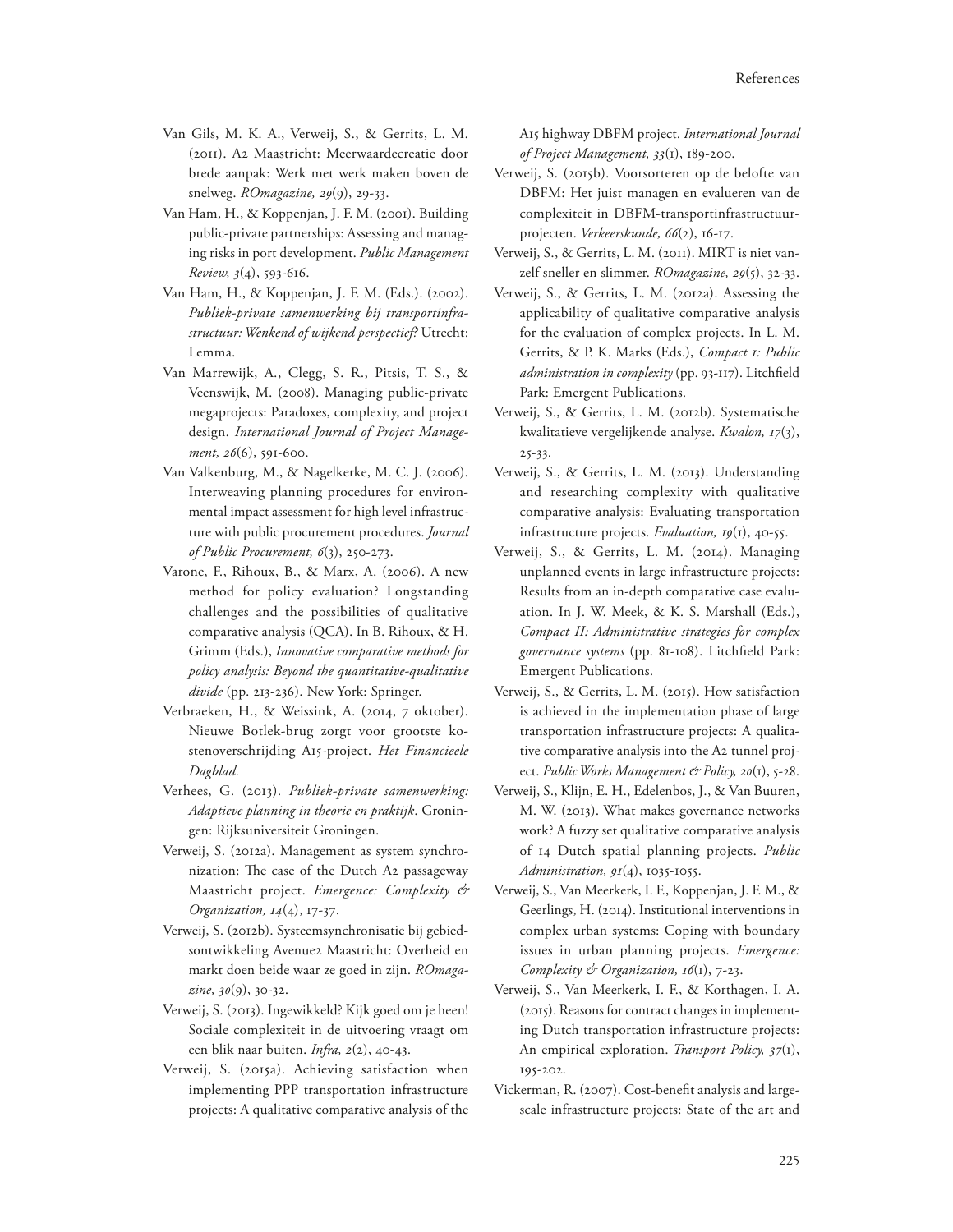- Van Gils, M. K. A., Verweij, S., & Gerrits, L. M. (2011). A2 Maastricht: Meerwaardecreatie door brede aanpak: Werk met werk maken boven de snelweg. *ROmagazine, 29*(9), 29-33.
- Van Ham, H., & Koppenjan, J. F. M. (2001). Building public-private partnerships: Assessing and managing risks in port development. *Public Management Review, 3*(4), 593-616.
- Van Ham, H., & Koppenjan, J. F. M. (Eds.). (2002). *Publiek-private samenwerking bij transportinfrastructuur: Wenkend of wijkend perspectief?* Utrecht: Lemma.
- Van Marrewijk, A., Clegg, S. R., Pitsis, T. S., & Veenswijk, M. (2008). Managing public-private megaprojects: Paradoxes, complexity, and project design. *International Journal of Project Management, 26*(6), 591-600.
- Van Valkenburg, M., & Nagelkerke, M. C. J. (2006). Interweaving planning procedures for environmental impact assessment for high level infrastructure with public procurement procedures. *Journal of Public Procurement, 6*(3), 250-273.
- Varone, F., Rihoux, B., & Marx, A. (2006). A new method for policy evaluation? Longstanding challenges and the possibilities of qualitative comparative analysis (QCA). In B. Rihoux, & H. Grimm (Eds.), *Innovative comparative methods for policy analysis: Beyond the quantitative-qualitative divide* (pp. 213-236). New York: Springer.
- Verbraeken, H., & Weissink, A. (2014, 7 oktober). Nieuwe Botlek-brug zorgt voor grootste kostenoverschrijding A15-project. *Het Financieele Dagblad.*
- Verhees, G. (2013). *Publiek-private samenwerking: Adaptieve planning in theorie en praktijk*. Groningen: Rijksuniversiteit Groningen.
- Verweij, S. (2012a). Management as system synchronization: The case of the Dutch A2 passageway Maastricht project. *Emergence: Complexity & Organization, 14*(4), 17-37.
- Verweij, S. (2012b). Systeemsynchronisatie bij gebiedsontwikkeling Avenue2 Maastricht: Overheid en markt doen beide waar ze goed in zijn. *ROmagazine, 30*(9), 30-32.
- Verweij, S. (2013). Ingewikkeld? Kijk goed om je heen! Sociale complexiteit in de uitvoering vraagt om een blik naar buiten. *Infra, 2*(2), 40-43.
- Verweij, S. (2015a). Achieving satisfaction when implementing PPP transportation infrastructure projects: A qualitative comparative analysis of the

A15 highway DBFM project. *International Journal of Project Management, 33*(1), 189-200.

- Verweij, S. (2015b). Voorsorteren op de belofte van DBFM: Het juist managen en evalueren van de complexiteit in DBFM-transportinfrastructuurprojecten. *Verkeerskunde, 66*(2), 16-17.
- Verweij, S., & Gerrits, L. M. (2011). MIRT is niet vanzelf sneller en slimmer. *ROmagazine, 29*(5), 32-33.
- Verweij, S., & Gerrits, L. M. (2012a). Assessing the applicability of qualitative comparative analysis for the evaluation of complex projects. In L. M. Gerrits, & P. K. Marks (Eds.), *Compact 1: Public*  administration in complexity (pp. 93-117). Litchfield Park: Emergent Publications.
- Verweij, S., & Gerrits, L. M. (2012b). Systematische kwalitatieve vergelijkende analyse. *Kwalon, 17*(3), 25-33.
- Verweij, S., & Gerrits, L. M. (2013). Understanding and researching complexity with qualitative comparative analysis: Evaluating transportation infrastructure projects. *Evaluation, 19*(1), 40-55.
- Verweij, S., & Gerrits, L. M. (2014). Managing unplanned events in large infrastructure projects: Results from an in-depth comparative case evaluation. In J. W. Meek, & K. S. Marshall (Eds.), *Compact II: Administrative strategies for complex*  governance systems (pp. 81-108). Litchfield Park: Emergent Publications.
- Verweij, S., & Gerrits, L. M. (2015). How satisfaction is achieved in the implementation phase of large transportation infrastructure projects: A qualitative comparative analysis into the A2 tunnel project. Public Works Management & Policy, 20(1), 5-28.
- Verweij, S., Klijn, E. H., Edelenbos, J., & Van Buuren, M. W. (2013). What makes governance networks work? A fuzzy set qualitative comparative analysis of 14 Dutch spatial planning projects. *Public Administration, 91*(4), 1035-1055.
- Verweij, S., Van Meerkerk, I. F., Koppenjan, J. F. M., & Geerlings, H. (2014). Institutional interventions in complex urban systems: Coping with boundary issues in urban planning projects. *Emergence: Complexity & Organization, 16*(1), 7-23.
- Verweij, S., Van Meerkerk, I. F., & Korthagen, I. A. (2015). Reasons for contract changes in implementing Dutch transportation infrastructure projects: An empirical exploration. *Transport Policy, 37*(1), 195-202.
- Vickerman, R. (2007). Cost-benefit analysis and largescale infrastructure projects: State of the art and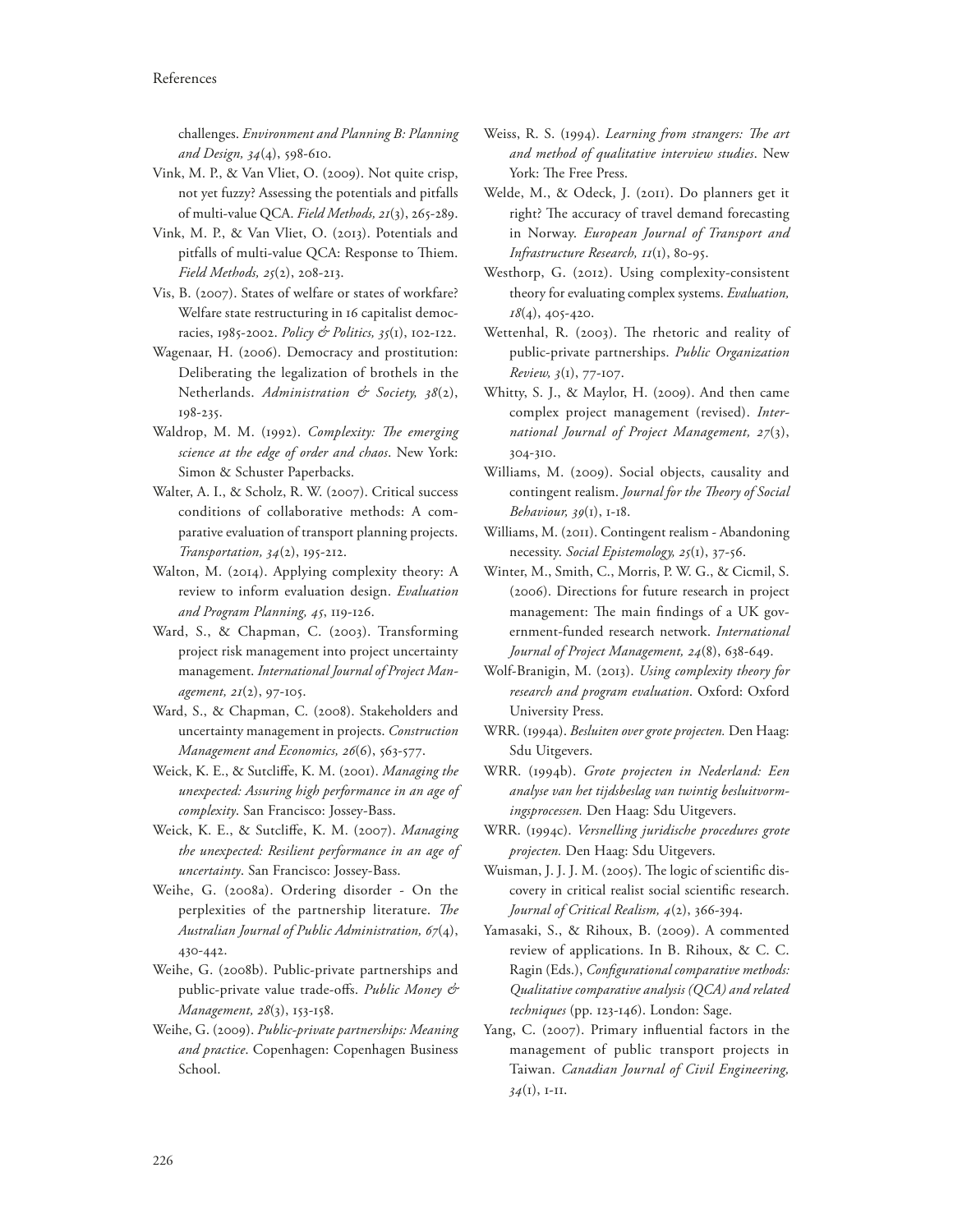challenges. *Environment and Planning B: Planning and Design, 34*(4), 598-610.

- Vink, M. P., & Van Vliet, O. (2009). Not quite crisp, not yet fuzzy? Assessing the potentials and pitfalls of multi-value QCA. *Field Methods, 21*(3), 265-289.
- Vink, M. P., & Van Vliet, O. (2013). Potentials and pitfalls of multi-value QCA: Response to Thiem. *Field Methods, 25*(2), 208-213.
- Vis, B. (2007). States of welfare or states of workfare? Welfare state restructuring in 16 capitalist democracies, 1985-2002. *Policy & Politics, 35*(1), 102-122.
- Wagenaar, H. (2006). Democracy and prostitution: Deliberating the legalization of brothels in the Netherlands. *Administration & Society, 38*(2), 198-235.
- Waldrop, M. M. (1992). *Complexity: The emerging science at the edge of order and chaos*. New York: Simon & Schuster Paperbacks.
- Walter, A. I., & Scholz, R. W. (2007). Critical success conditions of collaborative methods: A comparative evaluation of transport planning projects. *Transportation, 34*(2), 195-212.
- Walton, M. (2014). Applying complexity theory: A review to inform evaluation design. *Evaluation and Program Planning, 45*, 119-126.
- Ward, S., & Chapman, C. (2003). Transforming project risk management into project uncertainty management. *International Journal of Project Management, 21*(2), 97-105.
- Ward, S., & Chapman, C. (2008). Stakeholders and uncertainty management in projects. *Construction Management and Economics, 26*(6), 563-577.
- Weick, K. E., & Sutcli\*e, K. M. (2001). *Managing the unexpected: Assuring high performance in an age of complexity*. San Francisco: Jossey-Bass.
- Weick, K. E., & Sutcliffe, K. M. (2007). *Managing the unexpected: Resilient performance in an age of uncertainty*. San Francisco: Jossey-Bass.
- Weihe, G. (2008a). Ordering disorder On the perplexities of the partnership literature. The *Australian Journal of Public Administration, 67*(4), 430-442.
- Weihe, G. (2008b). Public-private partnerships and public-private value trade-o\*s. *Public Money & Management, 28*(3), 153-158.
- Weihe, G. (2009). *Public-private partnerships: Meaning and practice*. Copenhagen: Copenhagen Business School.
- Weiss, R. S. (1994). *Learning from strangers: The art and method of qualitative interview studies*. New York: The Free Press.
- Welde, M., & Odeck, J. (2011). Do planners get it right? The accuracy of travel demand forecasting in Norway. *European Journal of Transport and Infrastructure Research, 11*(1), 80-95.
- Westhorp, G. (2012). Using complexity-consistent theory for evaluating complex systems. *Evaluation, 18*(4), 405-420.
- Wettenhal, R. (2003). The rhetoric and reality of public-private partnerships. *Public Organization Review, 3*(1), 77-107.
- Whitty, S. J., & Maylor, H. (2009). And then came complex project management (revised). *International Journal of Project Management, 27*(3), 304-310.
- Williams, M. (2009). Social objects, causality and contingent realism. Journal for the Theory of Social *Behaviour, 39*(1), 1-18.
- Williams, M. (2011). Contingent realism Abandoning necessity. *Social Epistemology, 25*(1), 37-56.
- Winter, M., Smith, C., Morris, P. W. G., & Cicmil, S. (2006). Directions for future research in project management: The main findings of a UK government-funded research network. *International Journal of Project Management, 24*(8), 638-649.
- Wolf-Branigin, M. (2013). *Using complexity theory for research and program evaluation*. Oxford: Oxford University Press.
- WRR. (1994a). *Besluiten over grote projecten.* Den Haag: Sdu Uitgevers.
- WRR. (1994b). *Grote projecten in Nederland: Een analyse van het tijdsbeslag van twintig besluitvormingsprocessen.* Den Haag: Sdu Uitgevers.
- WRR. (1994c). *Versnelling juridische procedures grote projecten.* Den Haag: Sdu Uitgevers.
- Wuisman, J. J. J. M. (2005). The logic of scientific discovery in critical realist social scientific research. *Journal of Critical Realism, 4*(2), 366-394.
- Yamasaki, S., & Rihoux, B. (2009). A commented review of applications. In B. Rihoux, & C. C. Ragin (Eds.), *Configurational comparative methods: Qualitative comparative analysis (QCA) and related techniques* (pp. 123-146). London: Sage.
- Yang, C. (2007). Primary influential factors in the management of public transport projects in Taiwan. *Canadian Journal of Civil Engineering, 34*(1), 1-11.